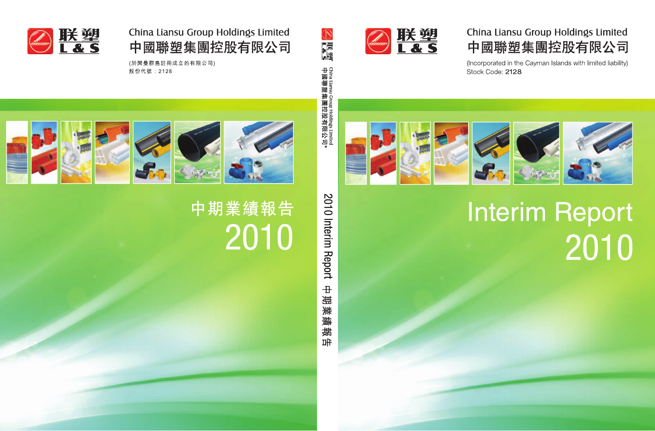

# China Liansu Group Holdings Limited 中國聯塑集團控股有限公司

(Incorporated in the Cayman Islands with limited liability) Stock Code: 2128



# Interim Report 2010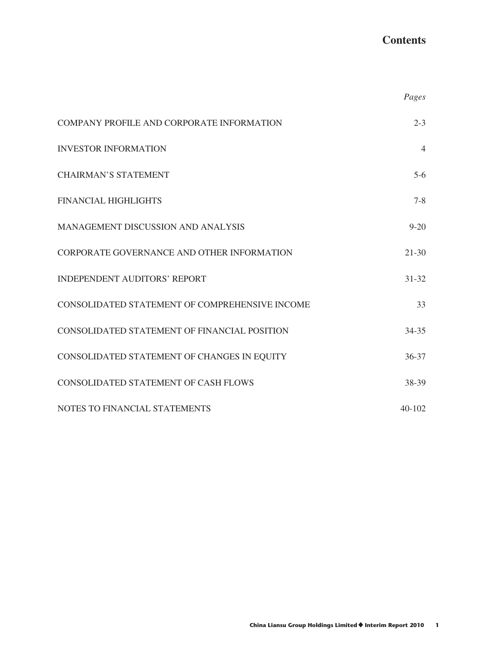## **Contents**

|                                                | Pages          |
|------------------------------------------------|----------------|
| COMPANY PROFILE AND CORPORATE INFORMATION      | $2 - 3$        |
| <b>INVESTOR INFORMATION</b>                    | $\overline{4}$ |
| <b>CHAIRMAN'S STATEMENT</b>                    | $5 - 6$        |
| <b>FINANCIAL HIGHLIGHTS</b>                    | $7 - 8$        |
| MANAGEMENT DISCUSSION AND ANALYSIS             | $9 - 20$       |
| CORPORATE GOVERNANCE AND OTHER INFORMATION     | $21 - 30$      |
| INDEPENDENT AUDITORS' REPORT                   | $31 - 32$      |
| CONSOLIDATED STATEMENT OF COMPREHENSIVE INCOME | 33             |
| CONSOLIDATED STATEMENT OF FINANCIAL POSITION   | $34 - 35$      |
| CONSOLIDATED STATEMENT OF CHANGES IN EQUITY    | $36 - 37$      |
| CONSOLIDATED STATEMENT OF CASH FLOWS           | 38-39          |
| NOTES TO FINANCIAL STATEMENTS                  | $40-102$       |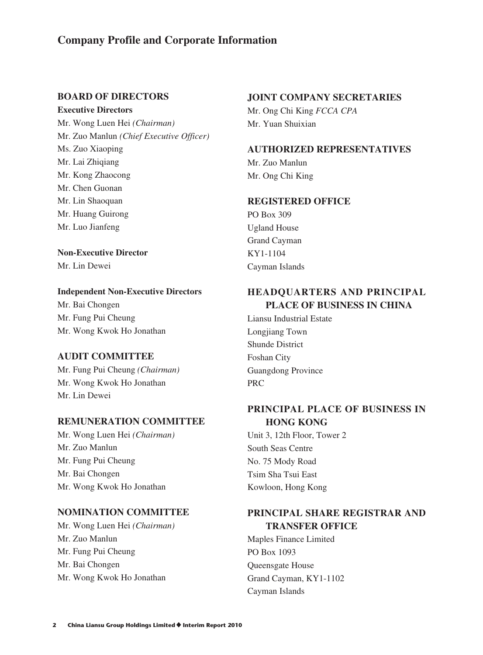## **Company Profile and Corporate Information**

#### **BOARD OF DIRECTORS**

**Executive Directors** Mr. Wong Luen Hei *(Chairman)* Mr. Zuo Manlun *(Chief Executive Officer)* Ms. Zuo Xiaoping Mr. Lai Zhiqiang Mr. Kong Zhaocong Mr. Chen Guonan Mr. Lin Shaoquan Mr. Huang Guirong Mr. Luo Jianfeng

## **Non-Executive Director** Mr. Lin Dewei

## **Independent Non-Executive Directors**

Mr. Bai Chongen Mr. Fung Pui Cheung Mr. Wong Kwok Ho Jonathan

## **AUDIT COMMITTEE**

Mr. Fung Pui Cheung *(Chairman)* Mr. Wong Kwok Ho Jonathan Mr. Lin Dewei

## **REMUNERATION COMMITTEE**

Mr. Wong Luen Hei *(Chairman)* Mr. Zuo Manlun Mr. Fung Pui Cheung Mr. Bai Chongen Mr. Wong Kwok Ho Jonathan

## **NOMINATION COMMITTEE**

Mr. Wong Luen Hei *(Chairman)* Mr. Zuo Manlun Mr. Fung Pui Cheung Mr. Bai Chongen Mr. Wong Kwok Ho Jonathan

#### **JOINT COMPANY SECRETARIES**

Mr. Ong Chi King *FCCA CPA* Mr. Yuan Shuixian

## **AUTHORIZED REPRESENTATIVES**

Mr. Zuo Manlun Mr. Ong Chi King

#### **REGISTERED OFFICE**

PO Box 309 Ugland House Grand Cayman KY1-1104 Cayman Islands

## **HEADQUARTERS AND PRINCIPAL PLACE OF BUSINESS IN CHINA**

Liansu Industrial Estate Longjiang Town Shunde District Foshan City Guangdong Province PRC

## **PRINCIPAL PLACE OF BUSINESS IN HONG KONG**

Unit 3, 12th Floor, Tower 2 South Seas Centre No. 75 Mody Road Tsim Sha Tsui East Kowloon, Hong Kong

## **PRINCIPAL SHARE REGISTRAR AND TRANSFER OFFICE**

Maples Finance Limited PO Box 1093 Queensgate House Grand Cayman, KY1-1102 Cayman Islands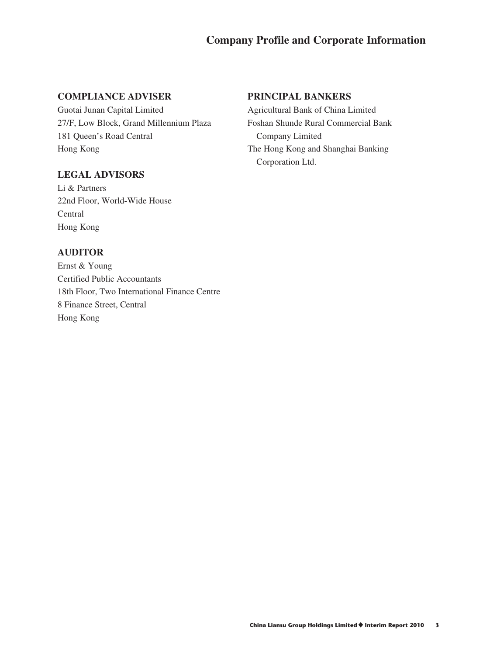## **Company Profile and Corporate Information**

## **COMPLIANCE ADVISER**

Guotai Junan Capital Limited 27/F, Low Block, Grand Millennium Plaza 181 Queen's Road Central Hong Kong

## **LEGAL ADVISORS**

Li & Partners 22nd Floor, World-Wide House Central Hong Kong

## **PRINCIPAL BANKERS**

Agricultural Bank of China Limited Foshan Shunde Rural Commercial Bank Company Limited The Hong Kong and Shanghai Banking Corporation Ltd.

## **AUDITOR**

Ernst & Young Certified Public Accountants 18th Floor, Two International Finance Centre 8 Finance Street, Central Hong Kong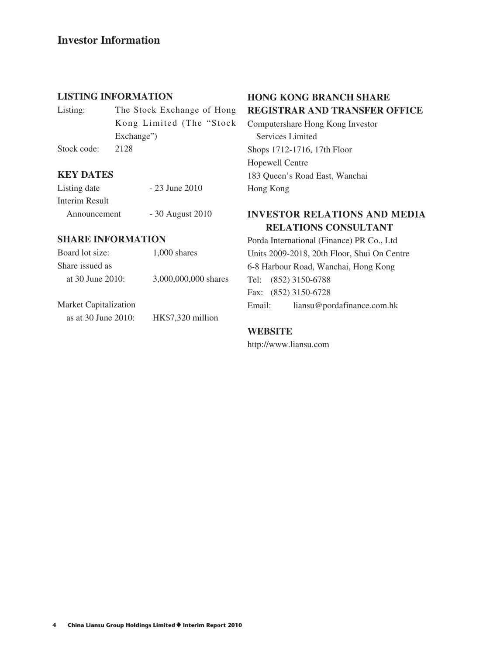## **Investor Information**

## **LISTING INFORMATION**

| Listing:    | The Stock Exchange of Hong |
|-------------|----------------------------|
|             | Kong Limited (The "Stock   |
|             | Exchange")                 |
| Stock code: | 2128                       |

## **KEY DATES**

| Listing date   | $-23$ June 2010  |
|----------------|------------------|
| Interim Result |                  |
| Announcement   | - 30 August 2010 |

## **SHARE INFORMATION**

| Board lot size:              | $1,000$ shares       |
|------------------------------|----------------------|
| Share issued as              |                      |
| at 30 June 2010:             | 3,000,000,000 shares |
| <b>Market Capitalization</b> |                      |
| as at 30 June 2010:          | HK\$7,320 million    |

## **HONG KONG BRANCH SHARE REGISTRAR AND TRANSFER OFFICE**

Computershare Hong Kong Investor Services Limited Shops 1712-1716, 17th Floor Hopewell Centre 183 Queen's Road East, Wanchai Hong Kong

## **INVESTOR RELATIONS AND MEDIA RELATIONS CONSULTANT**

Porda International (Finance) PR Co., Ltd Units 2009-2018, 20th Floor, Shui On Centre 6-8 Harbour Road, Wanchai, Hong Kong Tel: (852) 3150-6788 Fax: (852) 3150-6728 Email: liansu@pordafinance.com.hk

## **WEBSITE**

http://www.liansu.com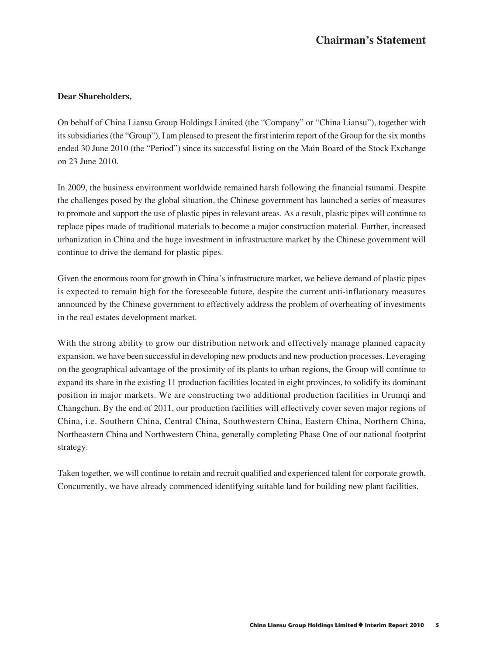#### **Dear Shareholders,**

On behalf of China Liansu Group Holdings Limited (the "Company" or "China Liansu"), together with its subsidiaries (the "Group"), I am pleased to present the first interim report of the Group for the six months ended 30 June 2010 (the "Period") since its successful listing on the Main Board of the Stock Exchange on 23 June 2010.

In 2009, the business environment worldwide remained harsh following the financial tsunami. Despite the challenges posed by the global situation, the Chinese government has launched a series of measures to promote and support the use of plastic pipes in relevant areas. As a result, plastic pipes will continue to replace pipes made of traditional materials to become a major construction material. Further, increased urbanization in China and the huge investment in infrastructure market by the Chinese government will continue to drive the demand for plastic pipes.

Given the enormous room for growth in China's infrastructure market, we believe demand of plastic pipes is expected to remain high for the foreseeable future, despite the current anti-inflationary measures announced by the Chinese government to effectively address the problem of overheating of investments in the real estates development market.

With the strong ability to grow our distribution network and effectively manage planned capacity expansion, we have been successful in developing new products and new production processes. Leveraging on the geographical advantage of the proximity of its plants to urban regions, the Group will continue to expand its share in the existing 11 production facilities located in eight provinces, to solidify its dominant position in major markets. We are constructing two additional production facilities in Urumqi and Changchun. By the end of 2011, our production facilities will effectively cover seven major regions of China, i.e. Southern China, Central China, Southwestern China, Eastern China, Northern China, Northeastern China and Northwestern China, generally completing Phase One of our national footprint strategy.

Taken together, we will continue to retain and recruit qualified and experienced talent for corporate growth. Concurrently, we have already commenced identifying suitable land for building new plant facilities.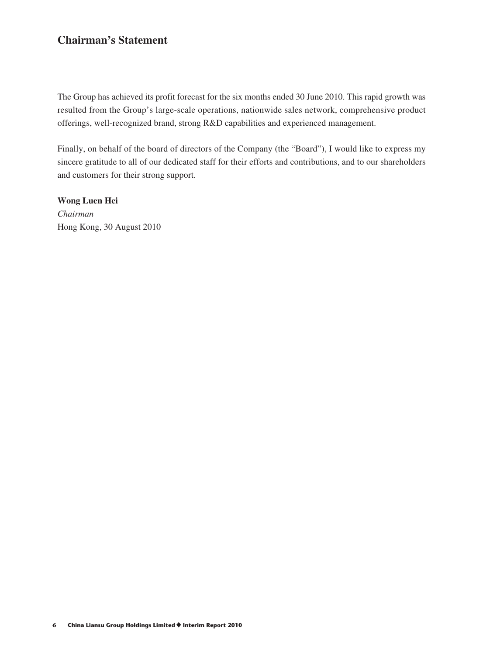## **Chairman's Statement**

The Group has achieved its profit forecast for the six months ended 30 June 2010. This rapid growth was resulted from the Group's large-scale operations, nationwide sales network, comprehensive product offerings, well-recognized brand, strong R&D capabilities and experienced management.

Finally, on behalf of the board of directors of the Company (the "Board"), I would like to express my sincere gratitude to all of our dedicated staff for their efforts and contributions, and to our shareholders and customers for their strong support.

**Wong Luen Hei** *Chairman* Hong Kong, 30 August 2010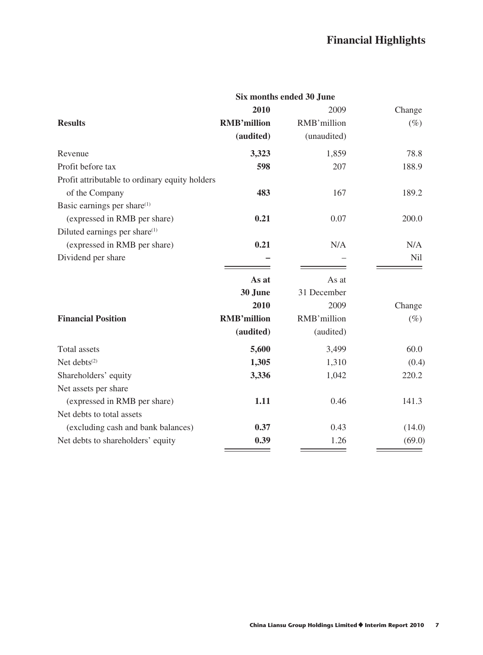| Six months ended 30 June |                                                |                              |  |  |
|--------------------------|------------------------------------------------|------------------------------|--|--|
| 2010                     | 2009                                           | Change                       |  |  |
| <b>RMB'million</b>       | RMB'million                                    | $(\%)$                       |  |  |
| (audited)                | (unaudited)                                    |                              |  |  |
| 3,323                    | 1,859                                          | 78.8                         |  |  |
| 598                      | 207                                            | 188.9                        |  |  |
|                          |                                                |                              |  |  |
| 483                      | 167                                            | 189.2                        |  |  |
|                          |                                                |                              |  |  |
| 0.21                     | 0.07                                           | 200.0                        |  |  |
|                          |                                                |                              |  |  |
| 0.21                     | N/A                                            | N/A                          |  |  |
|                          |                                                | <b>Nil</b>                   |  |  |
|                          |                                                |                              |  |  |
|                          |                                                |                              |  |  |
|                          | 31 December                                    |                              |  |  |
|                          |                                                | Change                       |  |  |
|                          |                                                | $(\%)$                       |  |  |
| (audited)                | (audited)                                      |                              |  |  |
| 5,600                    | 3,499                                          | 60.0                         |  |  |
| 1,305                    | 1,310                                          | (0.4)                        |  |  |
| 3,336                    | 1,042                                          | 220.2                        |  |  |
|                          |                                                |                              |  |  |
| 1.11                     | 0.46                                           | 141.3                        |  |  |
|                          |                                                |                              |  |  |
| 0.37                     | 0.43                                           | (14.0)                       |  |  |
| 0.39                     | 1.26                                           | (69.0)                       |  |  |
|                          | As at<br>30 June<br>2010<br><b>RMB'million</b> | As at<br>2009<br>RMB'million |  |  |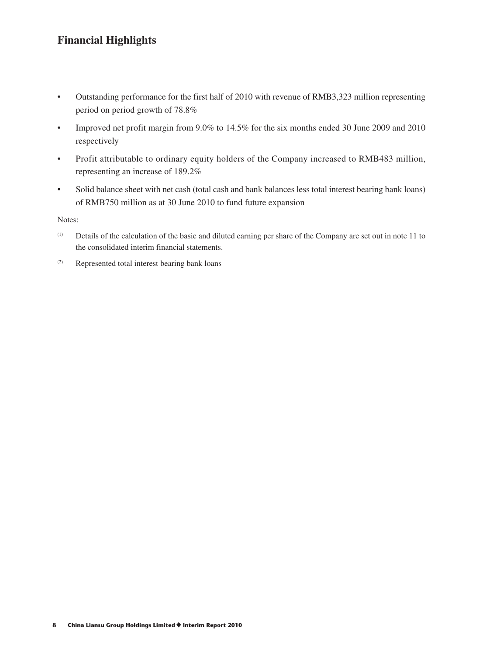## **Financial Highlights**

- Outstanding performance for the first half of 2010 with revenue of RMB3,323 million representing period on period growth of 78.8%
- Improved net profit margin from 9.0% to 14.5% for the six months ended 30 June 2009 and 2010 respectively
- Profit attributable to ordinary equity holders of the Company increased to RMB483 million, representing an increase of 189.2%
- Solid balance sheet with net cash (total cash and bank balances less total interest bearing bank loans) of RMB750 million as at 30 June 2010 to fund future expansion

Notes:

- (1) Details of the calculation of the basic and diluted earning per share of the Company are set out in note 11 to the consolidated interim financial statements.
- (2) Represented total interest bearing bank loans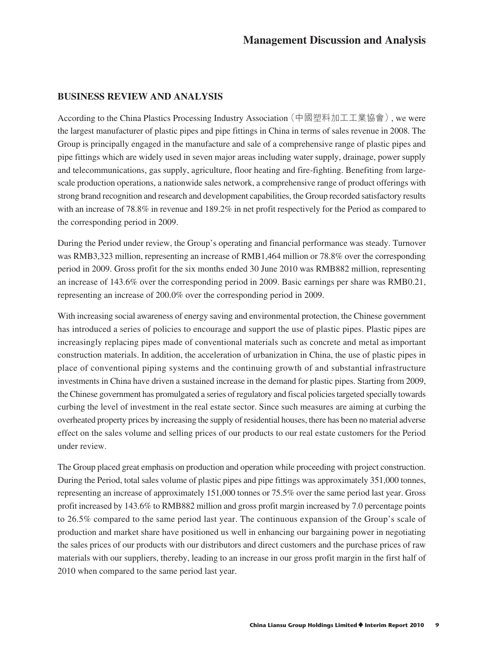## **BUSINESS REVIEW AND ANALYSIS**

According to the China Plastics Processing Industry Association(中國塑料加工工業協會), we were the largest manufacturer of plastic pipes and pipe fittings in China in terms of sales revenue in 2008. The Group is principally engaged in the manufacture and sale of a comprehensive range of plastic pipes and pipe fittings which are widely used in seven major areas including water supply, drainage, power supply and telecommunications, gas supply, agriculture, floor heating and fire-fighting. Benefiting from largescale production operations, a nationwide sales network, a comprehensive range of product offerings with strong brand recognition and research and development capabilities, the Group recorded satisfactory results with an increase of 78.8% in revenue and 189.2% in net profit respectively for the Period as compared to the corresponding period in 2009.

During the Period under review, the Group's operating and financial performance was steady. Turnover was RMB3,323 million, representing an increase of RMB1,464 million or 78.8% over the corresponding period in 2009. Gross profit for the six months ended 30 June 2010 was RMB882 million, representing an increase of 143.6% over the corresponding period in 2009. Basic earnings per share was RMB0.21, representing an increase of 200.0% over the corresponding period in 2009.

With increasing social awareness of energy saving and environmental protection, the Chinese government has introduced a series of policies to encourage and support the use of plastic pipes. Plastic pipes are increasingly replacing pipes made of conventional materials such as concrete and metal asimportant construction materials. In addition, the acceleration of urbanization in China, the use of plastic pipes in place of conventional piping systems and the continuing growth of and substantial infrastructure investments in China have driven a sustained increase in the demand for plastic pipes. Starting from 2009, the Chinese government has promulgated a series of regulatory and fiscal policies targeted specially towards curbing the level of investment in the real estate sector. Since such measures are aiming at curbing the overheated property prices by increasing the supply of residential houses, there has been no material adverse effect on the sales volume and selling prices of our products to our real estate customers for the Period under review.

The Group placed great emphasis on production and operation while proceeding with project construction. During the Period, total sales volume of plastic pipes and pipe fittings was approximately 351,000 tonnes, representing an increase of approximately 151,000 tonnes or 75.5% over the same period last year. Gross profit increased by 143.6% to RMB882 million and gross profit margin increased by 7.0 percentage points to 26.5% compared to the same period last year. The continuous expansion of the Group's scale of production and market share have positioned us well in enhancing our bargaining power in negotiating the sales prices of our products with our distributors and direct customers and the purchase prices of raw materials with our suppliers, thereby, leading to an increase in our gross profit margin in the first half of 2010 when compared to the same period last year.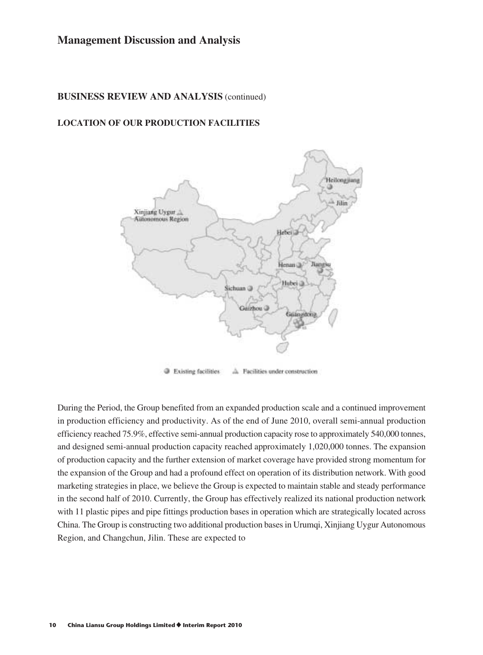## **Management Discussion and Analysis**

## **BUSINESS REVIEW AND ANALYSIS** (continued)

#### **LOCATION OF OUR PRODUCTION FACILITIES**



**3** Existing facilities A Facilities under construction

During the Period, the Group benefited from an expanded production scale and a continued improvement in production efficiency and productivity. As of the end of June 2010, overall semi-annual production efficiency reached 75.9%, effective semi-annual production capacity rose to approximately 540,000 tonnes, and designed semi-annual production capacity reached approximately 1,020,000 tonnes. The expansion of production capacity and the further extension of market coverage have provided strong momentum for the expansion of the Group and had a profound effect on operation of its distribution network. With good marketing strategies in place, we believe the Group is expected to maintain stable and steady performance in the second half of 2010. Currently, the Group has effectively realized its national production network with 11 plastic pipes and pipe fittings production bases in operation which are strategically located across China. The Group is constructing two additional production bases in Urumqi, Xinjiang Uygur Autonomous Region, and Changchun, Jilin. These are expected to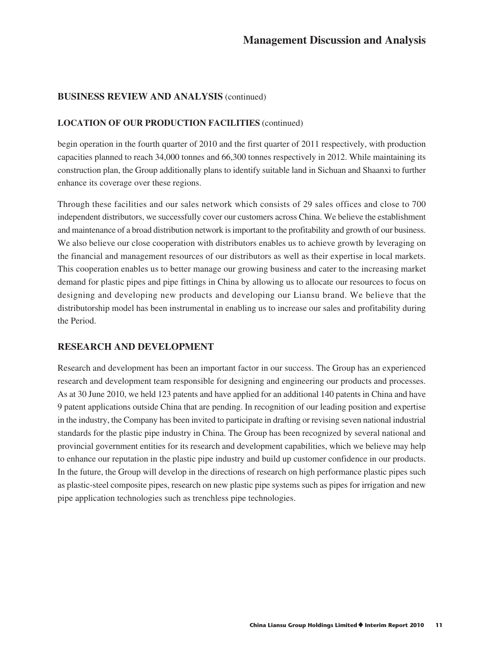## **BUSINESS REVIEW AND ANALYSIS** (continued)

#### **LOCATION OF OUR PRODUCTION FACILITIES** (continued)

begin operation in the fourth quarter of 2010 and the first quarter of 2011 respectively, with production capacities planned to reach 34,000 tonnes and 66,300 tonnes respectively in 2012. While maintaining its construction plan, the Group additionally plans to identify suitable land in Sichuan and Shaanxi to further enhance its coverage over these regions.

Through these facilities and our sales network which consists of 29 sales offices and close to 700 independent distributors, we successfully cover our customers across China. We believe the establishment and maintenance of a broad distribution network is important to the profitability and growth of our business. We also believe our close cooperation with distributors enables us to achieve growth by leveraging on the financial and management resources of our distributors as well as their expertise in local markets. This cooperation enables us to better manage our growing business and cater to the increasing market demand for plastic pipes and pipe fittings in China by allowing us to allocate our resources to focus on designing and developing new products and developing our Liansu brand. We believe that the distributorship model has been instrumental in enabling us to increase our sales and profitability during the Period.

## **RESEARCH AND DEVELOPMENT**

Research and development has been an important factor in our success. The Group has an experienced research and development team responsible for designing and engineering our products and processes. As at 30 June 2010, we held 123 patents and have applied for an additional 140 patents in China and have 9 patent applications outside China that are pending. In recognition of our leading position and expertise in the industry, the Company has been invited to participate in drafting or revising seven national industrial standards for the plastic pipe industry in China. The Group has been recognized by several national and provincial government entities for its research and development capabilities, which we believe may help to enhance our reputation in the plastic pipe industry and build up customer confidence in our products. In the future, the Group will develop in the directions of research on high performance plastic pipes such as plastic-steel composite pipes, research on new plastic pipe systems such as pipes for irrigation and new pipe application technologies such as trenchless pipe technologies.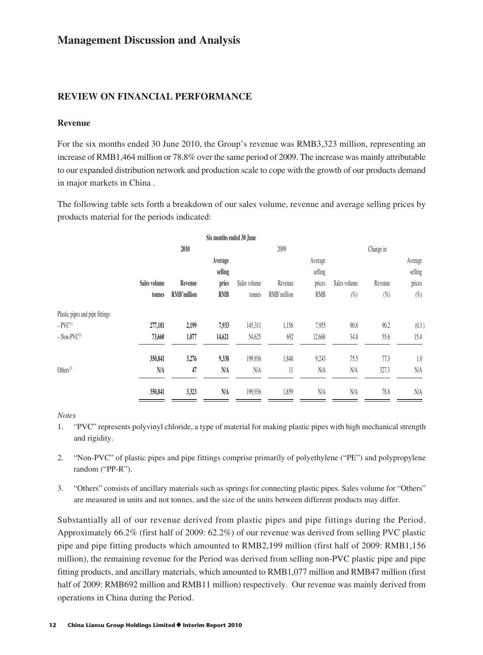## **Management Discussion and Analysis**

## **REVIEW ON FINANCIAL PERFORMANCE**

#### **Revenue**

For the six months ended 30 June 2010, the Group's revenue was RMB3,323 million, representing an increase of RMB1,464 million or 78.8% over the same period of 2009. The increase was mainly attributable to our expanded distribution network and production scale to cope with the growth of our products demand in major markets in China .

The following table sets forth a breakdown of our sales volume, revenue and average selling prices by products material for the periods indicated:

|                                 |              |             | Six months ended 30 June |              |             |         |              |           |         |
|---------------------------------|--------------|-------------|--------------------------|--------------|-------------|---------|--------------|-----------|---------|
|                                 |              | 2010        |                          |              | 2009        |         |              | Change in |         |
|                                 |              |             | Average                  |              |             | Average |              |           | Average |
|                                 |              |             | selling                  |              |             | selling |              |           | selling |
|                                 | Sales volume | Revenue     | pries                    | Sales volume | Revenue     | prices  | Sales volume | Revenue   | prices  |
|                                 | tonnes       | RMB'million | RMB                      | tonnes       | RMB'million | RMB     | $(\%)$       | $(\%)$    | $(\%)$  |
| Plastic pipes and pipe fittings |              |             |                          |              |             |         |              |           |         |
| $-$ PVC <sup>(1)</sup>          | 277,181      | 2,199       | 7,933                    | 145,311      | 1,156       | 7,955   | 90.8         | 90.2      | (0.3)   |
| $-$ Non-PV $C^{(2)}$            | 73,660       | 1,077       | 14,621                   | 54,625       | 692         | 12,668  | 34.8         | 55.6      | 15.4    |
|                                 | 350,841      | 3,276       | 9,338                    | 199,936      | 1,848       | 9,243   | 75.5         | 77.3      | 1.0     |
| Others $(3)$                    | N/A          | 47          | N/A                      | N/A          | 11          | N/A     | N/A          | 327.3     | N/A     |
|                                 | 350,841      | 3,323       | N/A                      | 199,936      | 1,859       | N/A     | N/A          | 78.8      | N/A     |
|                                 |              |             |                          |              |             |         |              |           |         |

#### *Notes*

- 1. "PVC" represents polyvinyl chloride, a type of material for making plastic pipes with high mechanical strength and rigidity.
- 2. "Non-PVC" of plastic pipes and pipe fittings comprise primarily of polyethylene ("PE") and polypropylene random ("PP-R").
- 3. "Others" consists of ancillary materials such as springs for connecting plastic pipes. Sales volume for "Others" are measured in units and not tonnes, and the size of the units between different products may differ.

Substantially all of our revenue derived from plastic pipes and pipe fittings during the Period. Approximately 66.2% (first half of 2009: 62.2%) of our revenue was derived from selling PVC plastic pipe and pipe fitting products which amounted to RMB2,199 million (first half of 2009: RMB1,156 million), the remaining revenue for the Period was derived from selling non-PVC plastic pipe and pipe fitting products, and ancillary materials, which amounted to RMB1,077 million and RMB47 million (first half of 2009: RMB692 million and RMB11 million) respectively. Our revenue was mainly derived from operations in China during the Period.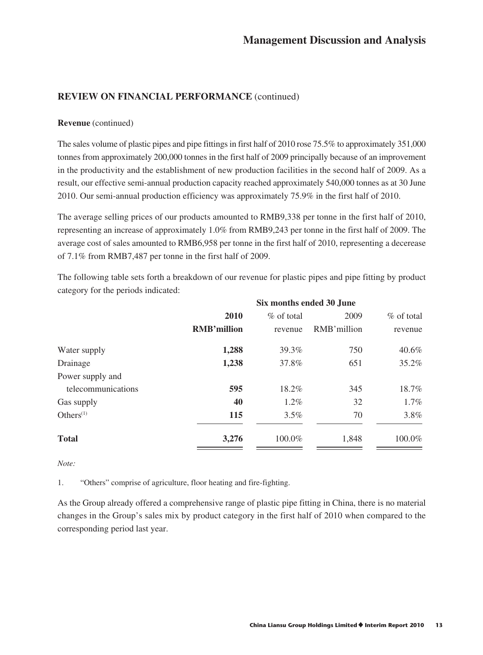## **REVIEW ON FINANCIAL PERFORMANCE** (continued)

#### **Revenue** (continued)

The sales volume of plastic pipes and pipe fittings in first half of 2010 rose 75.5% to approximately 351,000 tonnes from approximately 200,000 tonnes in the first half of 2009 principally because of an improvement in the productivity and the establishment of new production facilities in the second half of 2009. As a result, our effective semi-annual production capacity reached approximately 540,000 tonnes as at 30 June 2010. Our semi-annual production efficiency was approximately 75.9% in the first half of 2010.

The average selling prices of our products amounted to RMB9,338 per tonne in the first half of 2010, representing an increase of approximately 1.0% from RMB9,243 per tonne in the first half of 2009. The average cost of sales amounted to RMB6,958 per tonne in the first half of 2010, representing a decerease of 7.1% from RMB7,487 per tonne in the first half of 2009.

The following table sets forth a breakdown of our revenue for plastic pipes and pipe fitting by product category for the periods indicated:

|                         | Six months ended 30 June |               |             |               |  |
|-------------------------|--------------------------|---------------|-------------|---------------|--|
|                         | 2010                     | $\%$ of total | 2009        | $\%$ of total |  |
|                         | <b>RMB'million</b>       | revenue       | RMB'million | revenue       |  |
| Water supply            | 1,288                    | 39.3%         | 750         | $40.6\%$      |  |
| Drainage                | 1,238                    | 37.8%         | 651         | 35.2%         |  |
| Power supply and        |                          |               |             |               |  |
| telecommunications      | 595                      | 18.2%         | 345         | 18.7%         |  |
| Gas supply              | 40                       | 1.2%          | 32          | 1.7%          |  |
| $Others$ <sup>(1)</sup> | 115                      | 3.5%          | 70          | 3.8%          |  |
| <b>Total</b>            | 3,276                    | 100.0%        | 1,848       | 100.0%        |  |
|                         |                          |               |             |               |  |

*Note:*

1. "Others" comprise of agriculture, floor heating and fire-fighting.

As the Group already offered a comprehensive range of plastic pipe fitting in China, there is no material changes in the Group's sales mix by product category in the first half of 2010 when compared to the corresponding period last year.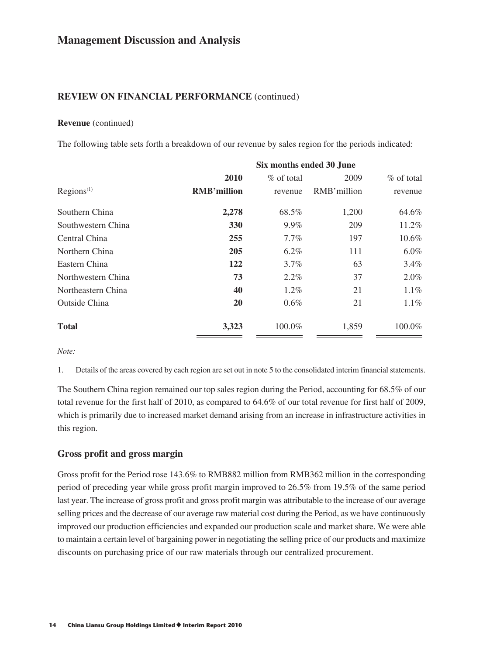## **Management Discussion and Analysis**

## **REVIEW ON FINANCIAL PERFORMANCE** (continued)

#### **Revenue** (continued)

The following table sets forth a breakdown of our revenue by sales region for the periods indicated:

|                       | Six months ended 30 June |               |             |            |
|-----------------------|--------------------------|---------------|-------------|------------|
|                       | 2010                     | $\%$ of total | 2009        | % of total |
| Region <sup>(1)</sup> | <b>RMB'million</b>       | revenue       | RMB'million | revenue    |
| Southern China        | 2,278                    | 68.5%         | 1,200       | 64.6%      |
| Southwestern China    | 330                      | 9.9%          | 209         | 11.2%      |
| Central China         | 255                      | 7.7%          | 197         | 10.6%      |
| Northern China        | 205                      | $6.2\%$       | 111         | $6.0\%$    |
| Eastern China         | 122                      | 3.7%          | 63          | 3.4%       |
| Northwestern China    | 73                       | 2.2%          | 37          | 2.0%       |
| Northeastern China    | 40                       | 1.2%          | 21          | $1.1\%$    |
| <b>Outside China</b>  | <b>20</b>                | 0.6%          | 21          | 1.1%       |
| <b>Total</b>          | 3,323                    | 100.0%        | 1,859       | 100.0%     |

*Note:*

1. Details of the areas covered by each region are set out in note 5 to the consolidated interim financial statements.

The Southern China region remained our top sales region during the Period, accounting for 68.5% of our total revenue for the first half of 2010, as compared to 64.6% of our total revenue for first half of 2009, which is primarily due to increased market demand arising from an increase in infrastructure activities in this region.

## **Gross profit and gross margin**

Gross profit for the Period rose 143.6% to RMB882 million from RMB362 million in the corresponding period of preceding year while gross profit margin improved to 26.5% from 19.5% of the same period last year. The increase of gross profit and gross profit margin was attributable to the increase of our average selling prices and the decrease of our average raw material cost during the Period, as we have continuously improved our production efficiencies and expanded our production scale and market share. We were able to maintain a certain level of bargaining power in negotiating the selling price of our products and maximize discounts on purchasing price of our raw materials through our centralized procurement.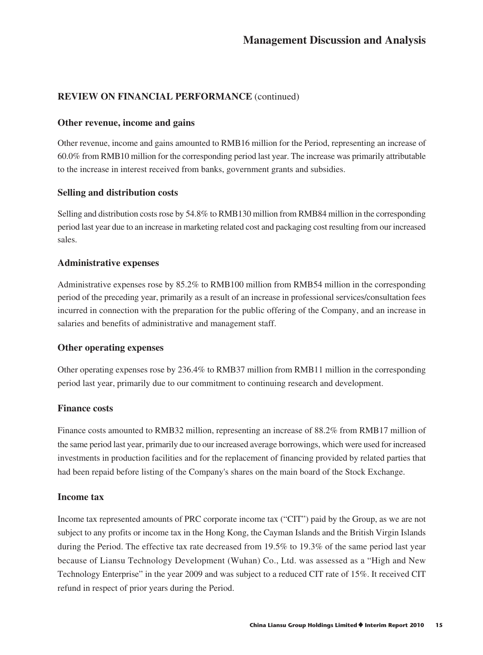## **REVIEW ON FINANCIAL PERFORMANCE** (continued)

#### **Other revenue, income and gains**

Other revenue, income and gains amounted to RMB16 million for the Period, representing an increase of 60.0% from RMB10 million for the corresponding period last year. The increase was primarily attributable to the increase in interest received from banks, government grants and subsidies.

#### **Selling and distribution costs**

Selling and distribution costs rose by 54.8% to RMB130 million from RMB84 million in the corresponding period last year due to an increase in marketing related cost and packaging cost resulting from our increased sales.

#### **Administrative expenses**

Administrative expenses rose by 85.2% to RMB100 million from RMB54 million in the corresponding period of the preceding year, primarily as a result of an increase in professional services/consultation fees incurred in connection with the preparation for the public offering of the Company, and an increase in salaries and benefits of administrative and management staff.

#### **Other operating expenses**

Other operating expenses rose by 236.4% to RMB37 million from RMB11 million in the corresponding period last year, primarily due to our commitment to continuing research and development.

#### **Finance costs**

Finance costs amounted to RMB32 million, representing an increase of 88.2% from RMB17 million of the same period last year, primarily due to our increased average borrowings, which were used for increased investments in production facilities and for the replacement of financing provided by related parties that had been repaid before listing of the Company's shares on the main board of the Stock Exchange.

#### **Income tax**

Income tax represented amounts of PRC corporate income tax ("CIT") paid by the Group, as we are not subject to any profits or income tax in the Hong Kong, the Cayman Islands and the British Virgin Islands during the Period. The effective tax rate decreased from 19.5% to 19.3% of the same period last year because of Liansu Technology Development (Wuhan) Co., Ltd. was assessed as a "High and New Technology Enterprise" in the year 2009 and was subject to a reduced CIT rate of 15%. It received CIT refund in respect of prior years during the Period.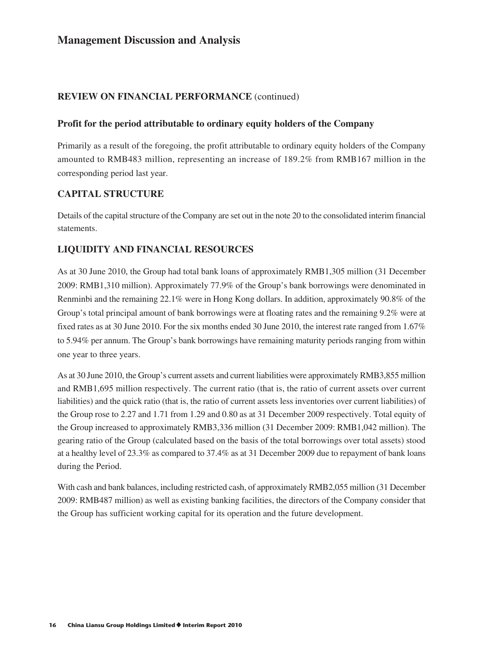## **Management Discussion and Analysis**

## **REVIEW ON FINANCIAL PERFORMANCE** (continued)

## **Profit for the period attributable to ordinary equity holders of the Company**

Primarily as a result of the foregoing, the profit attributable to ordinary equity holders of the Company amounted to RMB483 million, representing an increase of 189.2% from RMB167 million in the corresponding period last year.

## **CAPITAL STRUCTURE**

Details of the capital structure of the Company are set out in the note 20 to the consolidated interim financial statements.

## **LIQUIDITY AND FINANCIAL RESOURCES**

As at 30 June 2010, the Group had total bank loans of approximately RMB1,305 million (31 December 2009: RMB1,310 million). Approximately 77.9% of the Group's bank borrowings were denominated in Renminbi and the remaining 22.1% were in Hong Kong dollars. In addition, approximately 90.8% of the Group's total principal amount of bank borrowings were at floating rates and the remaining 9.2% were at fixed rates as at 30 June 2010. For the six months ended 30 June 2010, the interest rate ranged from 1.67% to 5.94% per annum. The Group's bank borrowings have remaining maturity periods ranging from within one year to three years.

As at 30 June 2010, the Group's current assets and current liabilities were approximately RMB3,855 million and RMB1,695 million respectively. The current ratio (that is, the ratio of current assets over current liabilities) and the quick ratio (that is, the ratio of current assets less inventories over current liabilities) of the Group rose to 2.27 and 1.71 from 1.29 and 0.80 as at 31 December 2009 respectively. Total equity of the Group increased to approximately RMB3,336 million (31 December 2009: RMB1,042 million). The gearing ratio of the Group (calculated based on the basis of the total borrowings over total assets) stood at a healthy level of 23.3% as compared to 37.4% as at 31 December 2009 due to repayment of bank loans during the Period.

With cash and bank balances, including restricted cash, of approximately RMB2,055 million (31 December 2009: RMB487 million) as well as existing banking facilities, the directors of the Company consider that the Group has sufficient working capital for its operation and the future development.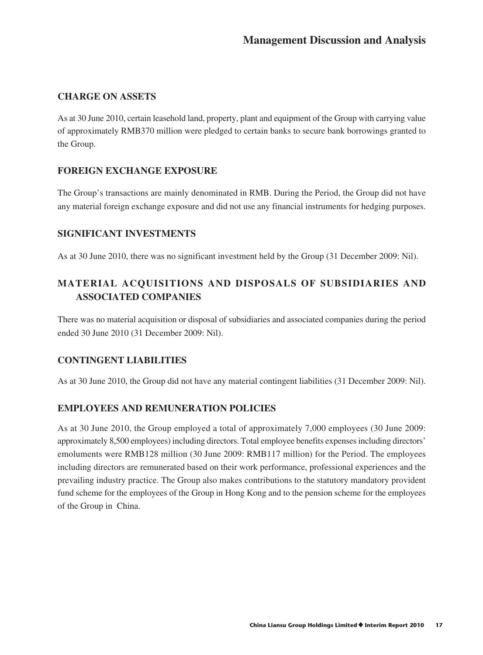## **CHARGE ON ASSETS**

As at 30 June 2010, certain leasehold land, property, plant and equipment of the Group with carrying value of approximately RMB370 million were pledged to certain banks to secure bank borrowings granted to the Group.

## **FOREIGN EXCHANGE EXPOSURE**

The Group's transactions are mainly denominated in RMB. During the Period, the Group did not have any material foreign exchange exposure and did not use any financial instruments for hedging purposes.

## **SIGNIFICANT INVESTMENTS**

As at 30 June 2010, there was no significant investment held by the Group (31 December 2009: Nil).

## **MATERIAL ACQUISITIONS AND DISPOSALS OF SUBSIDIARIES AND ASSOCIATED COMPANIES**

There was no material acquisition or disposal of subsidiaries and associated companies during the period ended 30 June 2010 (31 December 2009: Nil).

## **CONTINGENT LIABILITIES**

As at 30 June 2010, the Group did not have any material contingent liabilities (31 December 2009: Nil).

## **EMPLOYEES AND REMUNERATION POLICIES**

As at 30 June 2010, the Group employed a total of approximately 7,000 employees (30 June 2009: approximately 8,500 employees) including directors. Total employee benefits expenses including directors' emoluments were RMB128 million (30 June 2009: RMB117 million) for the Period. The employees including directors are remunerated based on their work performance, professional experiences and the prevailing industry practice. The Group also makes contributions to the statutory mandatory provident fund scheme for the employees of the Group in Hong Kong and to the pension scheme for the employees of the Group in China.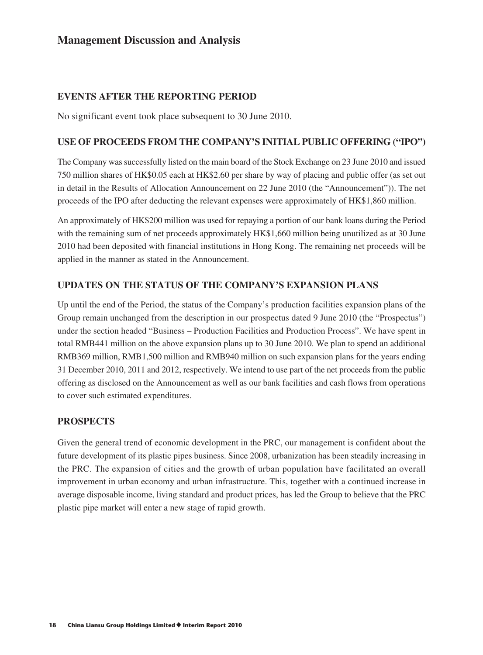## **Management Discussion and Analysis**

## **EVENTS AFTER THE REPORTING PERIOD**

No significant event took place subsequent to 30 June 2010.

## **USE OF PROCEEDS FROM THE COMPANY'S INITIAL PUBLIC OFFERING ("IPO")**

The Company was successfully listed on the main board of the Stock Exchange on 23 June 2010 and issued 750 million shares of HK\$0.05 each at HK\$2.60 per share by way of placing and public offer (as set out in detail in the Results of Allocation Announcement on 22 June 2010 (the "Announcement")). The net proceeds of the IPO after deducting the relevant expenses were approximately of HK\$1,860 million.

An approximately of HK\$200 million was used for repaying a portion of our bank loans during the Period with the remaining sum of net proceeds approximately HK\$1,660 million being unutilized as at 30 June 2010 had been deposited with financial institutions in Hong Kong. The remaining net proceeds will be applied in the manner as stated in the Announcement.

## **UPDATES ON THE STATUS OF THE COMPANY'S EXPANSION PLANS**

Up until the end of the Period, the status of the Company's production facilities expansion plans of the Group remain unchanged from the description in our prospectus dated 9 June 2010 (the "Prospectus") under the section headed "Business – Production Facilities and Production Process". We have spent in total RMB441 million on the above expansion plans up to 30 June 2010. We plan to spend an additional RMB369 million, RMB1,500 million and RMB940 million on such expansion plans for the years ending 31 December 2010, 2011 and 2012, respectively. We intend to use part of the net proceeds from the public offering as disclosed on the Announcement as well as our bank facilities and cash flows from operations to cover such estimated expenditures.

## **PROSPECTS**

Given the general trend of economic development in the PRC, our management is confident about the future development of its plastic pipes business. Since 2008, urbanization has been steadily increasing in the PRC. The expansion of cities and the growth of urban population have facilitated an overall improvement in urban economy and urban infrastructure. This, together with a continued increase in average disposable income, living standard and product prices, has led the Group to believe that the PRC plastic pipe market will enter a new stage of rapid growth.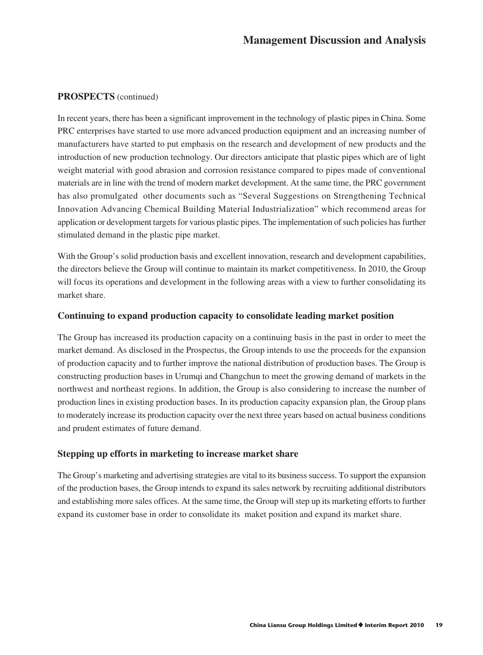## **PROSPECTS** (continued)

In recent years, there has been a significant improvement in the technology of plastic pipes in China. Some PRC enterprises have started to use more advanced production equipment and an increasing number of manufacturers have started to put emphasis on the research and development of new products and the introduction of new production technology. Our directors anticipate that plastic pipes which are of light weight material with good abrasion and corrosion resistance compared to pipes made of conventional materials are in line with the trend of modern market development. At the same time, the PRC government has also promulgated other documents such as "Several Suggestions on Strengthening Technical Innovation Advancing Chemical Building Material Industrialization" which recommend areas for application or development targets for various plastic pipes. The implementation of such policies has further stimulated demand in the plastic pipe market.

With the Group's solid production basis and excellent innovation, research and development capabilities, the directors believe the Group will continue to maintain its market competitiveness. In 2010, the Group will focus its operations and development in the following areas with a view to further consolidating its market share.

## **Continuing to expand production capacity to consolidate leading market position**

The Group has increased its production capacity on a continuing basis in the past in order to meet the market demand. As disclosed in the Prospectus, the Group intends to use the proceeds for the expansion of production capacity and to further improve the national distribution of production bases. The Group is constructing production bases in Urumqi and Changchun to meet the growing demand of markets in the northwest and northeast regions. In addition, the Group is also considering to increase the number of production lines in existing production bases. In its production capacity expansion plan, the Group plans to moderately increase its production capacity over the next three years based on actual business conditions and prudent estimates of future demand.

#### **Stepping up efforts in marketing to increase market share**

The Group's marketing and advertising strategies are vital to its business success. To support the expansion of the production bases, the Group intends to expand its sales network by recruiting additional distributors and establishing more sales offices. At the same time, the Group will step up its marketing efforts to further expand its customer base in order to consolidate its maket position and expand its market share.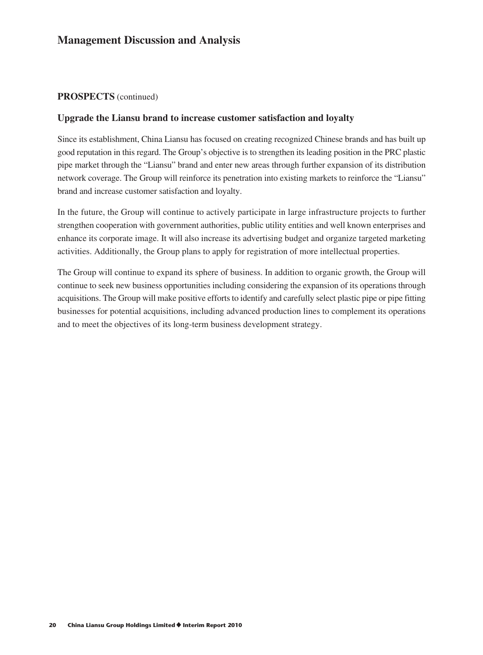## **Management Discussion and Analysis**

## **PROSPECTS** (continued)

#### **Upgrade the Liansu brand to increase customer satisfaction and loyalty**

Since its establishment, China Liansu has focused on creating recognized Chinese brands and has built up good reputation in this regard. The Group's objective is to strengthen its leading position in the PRC plastic pipe market through the "Liansu" brand and enter new areas through further expansion of its distribution network coverage. The Group will reinforce its penetration into existing markets to reinforce the "Liansu" brand and increase customer satisfaction and loyalty.

In the future, the Group will continue to actively participate in large infrastructure projects to further strengthen cooperation with government authorities, public utility entities and well known enterprises and enhance its corporate image. It will also increase its advertising budget and organize targeted marketing activities. Additionally, the Group plans to apply for registration of more intellectual properties.

The Group will continue to expand its sphere of business. In addition to organic growth, the Group will continue to seek new business opportunities including considering the expansion of its operations through acquisitions. The Group will make positive efforts to identify and carefully select plastic pipe or pipe fitting businesses for potential acquisitions, including advanced production lines to complement its operations and to meet the objectives of its long-term business development strategy.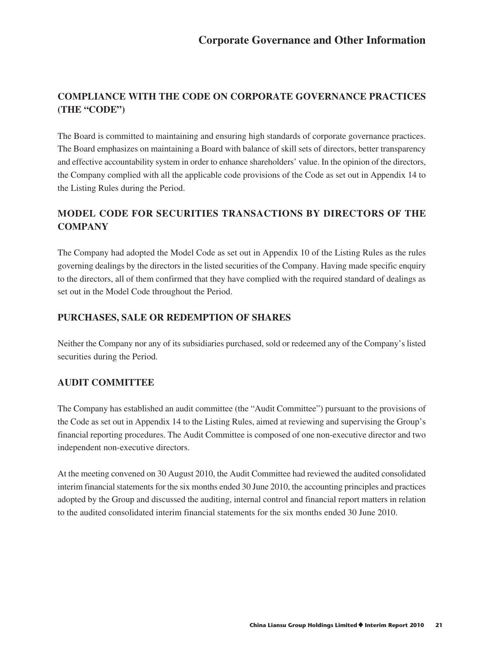## **COMPLIANCE WITH THE CODE ON CORPORATE GOVERNANCE PRACTICES (THE "CODE")**

The Board is committed to maintaining and ensuring high standards of corporate governance practices. The Board emphasizes on maintaining a Board with balance of skill sets of directors, better transparency and effective accountability system in order to enhance shareholders' value. In the opinion of the directors, the Company complied with all the applicable code provisions of the Code as set out in Appendix 14 to the Listing Rules during the Period.

## **MODEL CODE FOR SECURITIES TRANSACTIONS BY DIRECTORS OF THE COMPANY**

The Company had adopted the Model Code as set out in Appendix 10 of the Listing Rules as the rules governing dealings by the directors in the listed securities of the Company. Having made specific enquiry to the directors, all of them confirmed that they have complied with the required standard of dealings as set out in the Model Code throughout the Period.

## **PURCHASES, SALE OR REDEMPTION OF SHARES**

Neither the Company nor any of its subsidiaries purchased, sold or redeemed any of the Company's listed securities during the Period.

## **AUDIT COMMITTEE**

The Company has established an audit committee (the "Audit Committee") pursuant to the provisions of the Code as set out in Appendix 14 to the Listing Rules, aimed at reviewing and supervising the Group's financial reporting procedures. The Audit Committee is composed of one non-executive director and two independent non-executive directors.

At the meeting convened on 30 August 2010, the Audit Committee had reviewed the audited consolidated interim financial statements for the six months ended 30 June 2010, the accounting principles and practices adopted by the Group and discussed the auditing, internal control and financial report matters in relation to the audited consolidated interim financial statements for the six months ended 30 June 2010.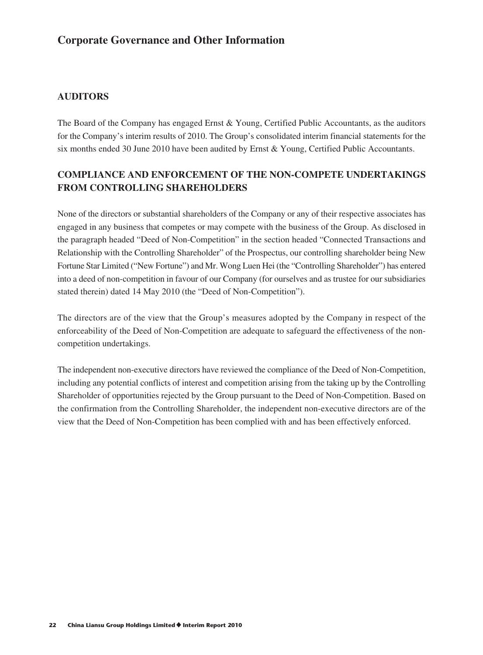## **AUDITORS**

The Board of the Company has engaged Ernst & Young, Certified Public Accountants, as the auditors for the Company's interim results of 2010. The Group's consolidated interim financial statements for the six months ended 30 June 2010 have been audited by Ernst & Young, Certified Public Accountants.

## **COMPLIANCE AND ENFORCEMENT OF THE NON-COMPETE UNDERTAKINGS FROM CONTROLLING SHAREHOLDERS**

None of the directors or substantial shareholders of the Company or any of their respective associates has engaged in any business that competes or may compete with the business of the Group. As disclosed in the paragraph headed "Deed of Non-Competition" in the section headed "Connected Transactions and Relationship with the Controlling Shareholder" of the Prospectus, our controlling shareholder being New Fortune Star Limited ("New Fortune") and Mr. Wong Luen Hei (the "Controlling Shareholder") has entered into a deed of non-competition in favour of our Company (for ourselves and as trustee for our subsidiaries stated therein) dated 14 May 2010 (the "Deed of Non-Competition").

The directors are of the view that the Group's measures adopted by the Company in respect of the enforceability of the Deed of Non-Competition are adequate to safeguard the effectiveness of the noncompetition undertakings.

The independent non-executive directors have reviewed the compliance of the Deed of Non-Competition, including any potential conflicts of interest and competition arising from the taking up by the Controlling Shareholder of opportunities rejected by the Group pursuant to the Deed of Non-Competition. Based on the confirmation from the Controlling Shareholder, the independent non-executive directors are of the view that the Deed of Non-Competition has been complied with and has been effectively enforced.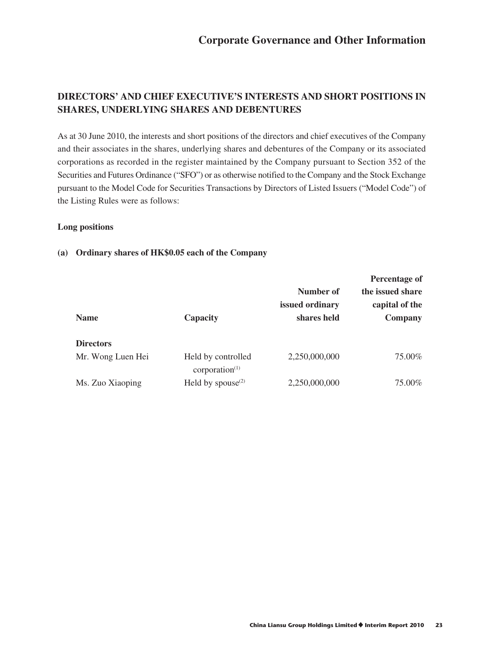## **DIRECTORS' AND CHIEF EXECUTIVE'S INTERESTS AND SHORT POSITIONS IN SHARES, UNDERLYING SHARES AND DEBENTURES**

As at 30 June 2010, the interests and short positions of the directors and chief executives of the Company and their associates in the shares, underlying shares and debentures of the Company or its associated corporations as recorded in the register maintained by the Company pursuant to Section 352 of the Securities and Futures Ordinance ("SFO") or as otherwise notified to the Company and the Stock Exchange pursuant to the Model Code for Securities Transactions by Directors of Listed Issuers ("Model Code") of the Listing Rules were as follows:

#### **Long positions**

| <b>Name</b>       | Capacity                                | Number of<br>issued ordinary<br>shares held | Percentage of<br>the issued share<br>capital of the<br>Company |
|-------------------|-----------------------------------------|---------------------------------------------|----------------------------------------------------------------|
| <b>Directors</b>  |                                         |                                             |                                                                |
| Mr. Wong Luen Hei | Held by controlled<br>corporation $(1)$ | 2,250,000,000                               | 75.00%                                                         |
| Ms. Zuo Xiaoping  | Held by spouse $(2)$                    | 2,250,000,000                               | 75.00%                                                         |

#### **(a) Ordinary shares of HK\$0.05 each of the Company**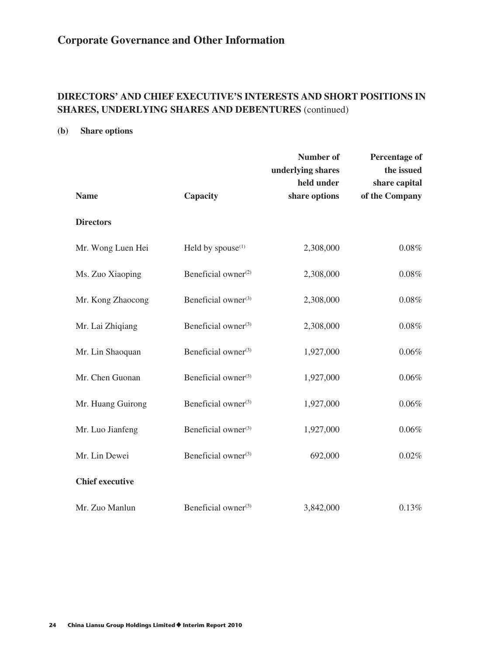## **DIRECTORS' AND CHIEF EXECUTIVE'S INTERESTS AND SHORT POSITIONS IN SHARES, UNDERLYING SHARES AND DEBENTURES** (continued)

## **(b) Share options**

| <b>Name</b>            | Capacity                        | <b>Number of</b><br>underlying shares<br>held under<br>share options | <b>Percentage of</b><br>the issued<br>share capital<br>of the Company |  |
|------------------------|---------------------------------|----------------------------------------------------------------------|-----------------------------------------------------------------------|--|
| <b>Directors</b>       |                                 |                                                                      |                                                                       |  |
| Mr. Wong Luen Hei      | Held by spouse <sup>(1)</sup>   | 2,308,000                                                            | 0.08%                                                                 |  |
| Ms. Zuo Xiaoping       | Beneficial owner <sup>(2)</sup> | 2,308,000                                                            | 0.08%                                                                 |  |
| Mr. Kong Zhaocong      | Beneficial owner <sup>(3)</sup> | 2,308,000                                                            | $0.08\%$                                                              |  |
| Mr. Lai Zhiqiang       | Beneficial owner <sup>(3)</sup> | 2,308,000                                                            | $0.08\%$                                                              |  |
| Mr. Lin Shaoquan       | Beneficial owner <sup>(3)</sup> | 1,927,000                                                            | 0.06%                                                                 |  |
| Mr. Chen Guonan        | Beneficial owner <sup>(3)</sup> | 1,927,000                                                            | 0.06%                                                                 |  |
| Mr. Huang Guirong      | Beneficial owner <sup>(3)</sup> | 1,927,000                                                            | 0.06%                                                                 |  |
| Mr. Luo Jianfeng       | Beneficial owner <sup>(3)</sup> | 1,927,000                                                            | 0.06%                                                                 |  |
| Mr. Lin Dewei          | Beneficial owner <sup>(3)</sup> | 692,000                                                              | 0.02%                                                                 |  |
| <b>Chief executive</b> |                                 |                                                                      |                                                                       |  |
| Mr. Zuo Manlun         | Beneficial owner <sup>(3)</sup> | 3,842,000                                                            | 0.13%                                                                 |  |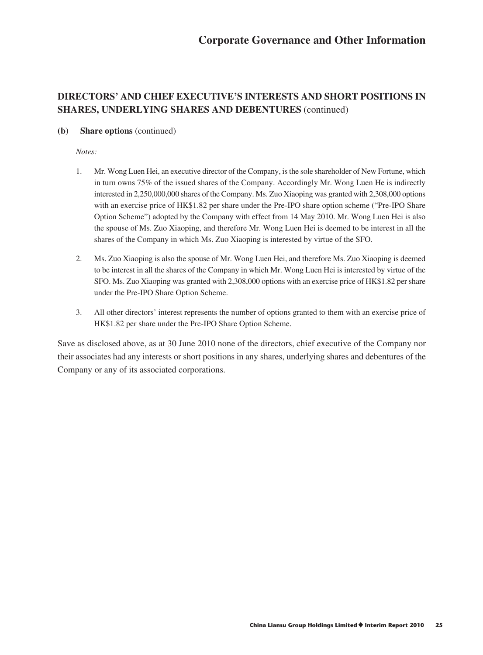## **DIRECTORS' AND CHIEF EXECUTIVE'S INTERESTS AND SHORT POSITIONS IN SHARES, UNDERLYING SHARES AND DEBENTURES** (continued)

#### **(b) Share options** (continued)

*Notes:*

- 1. Mr. Wong Luen Hei, an executive director of the Company, is the sole shareholder of New Fortune, which in turn owns 75% of the issued shares of the Company. Accordingly Mr. Wong Luen He is indirectly interested in 2,250,000,000 shares of the Company. Ms. Zuo Xiaoping was granted with 2,308,000 options with an exercise price of HK\$1.82 per share under the Pre-IPO share option scheme ("Pre-IPO Share Option Scheme") adopted by the Company with effect from 14 May 2010. Mr. Wong Luen Hei is also the spouse of Ms. Zuo Xiaoping, and therefore Mr. Wong Luen Hei is deemed to be interest in all the shares of the Company in which Ms. Zuo Xiaoping is interested by virtue of the SFO.
- 2. Ms. Zuo Xiaoping is also the spouse of Mr. Wong Luen Hei, and therefore Ms. Zuo Xiaoping is deemed to be interest in all the shares of the Company in which Mr. Wong Luen Hei is interested by virtue of the SFO. Ms. Zuo Xiaoping was granted with 2,308,000 options with an exercise price of HK\$1.82 per share under the Pre-IPO Share Option Scheme.
- 3. All other directors' interest represents the number of options granted to them with an exercise price of HK\$1.82 per share under the Pre-IPO Share Option Scheme.

Save as disclosed above, as at 30 June 2010 none of the directors, chief executive of the Company nor their associates had any interests or short positions in any shares, underlying shares and debentures of the Company or any of its associated corporations.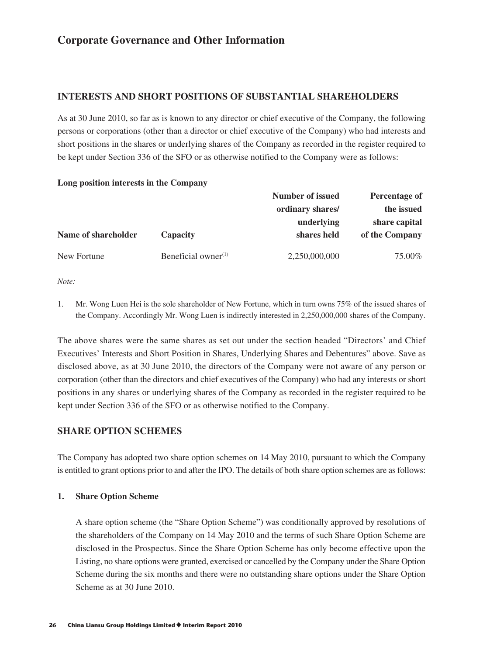## **INTERESTS AND SHORT POSITIONS OF SUBSTANTIAL SHAREHOLDERS**

As at 30 June 2010, so far as is known to any director or chief executive of the Company, the following persons or corporations (other than a director or chief executive of the Company) who had interests and short positions in the shares or underlying shares of the Company as recorded in the register required to be kept under Section 336 of the SFO or as otherwise notified to the Company were as follows:

#### **Long position interests in the Company**

|                     |                        | <b>Number of issued</b> | Percentage of  |  |
|---------------------|------------------------|-------------------------|----------------|--|
|                     |                        | ordinary shares/        | the issued     |  |
|                     |                        | underlying              | share capital  |  |
| Name of shareholder | Capacity               | shares held             | of the Company |  |
| New Fortune         | Beneficial owner $(1)$ | 2,250,000,000           | 75.00%         |  |

*Note:*

1. Mr. Wong Luen Hei is the sole shareholder of New Fortune, which in turn owns 75% of the issued shares of the Company. Accordingly Mr. Wong Luen is indirectly interested in 2,250,000,000 shares of the Company.

The above shares were the same shares as set out under the section headed "Directors' and Chief Executives' Interests and Short Position in Shares, Underlying Shares and Debentures" above. Save as disclosed above, as at 30 June 2010, the directors of the Company were not aware of any person or corporation (other than the directors and chief executives of the Company) who had any interests or short positions in any shares or underlying shares of the Company as recorded in the register required to be kept under Section 336 of the SFO or as otherwise notified to the Company.

## **SHARE OPTION SCHEMES**

The Company has adopted two share option schemes on 14 May 2010, pursuant to which the Company is entitled to grant options prior to and after the IPO. The details of both share option schemes are as follows:

#### **1. Share Option Scheme**

A share option scheme (the "Share Option Scheme") was conditionally approved by resolutions of the shareholders of the Company on 14 May 2010 and the terms of such Share Option Scheme are disclosed in the Prospectus. Since the Share Option Scheme has only become effective upon the Listing, no share options were granted, exercised or cancelled by the Company under the Share Option Scheme during the six months and there were no outstanding share options under the Share Option Scheme as at 30 June 2010.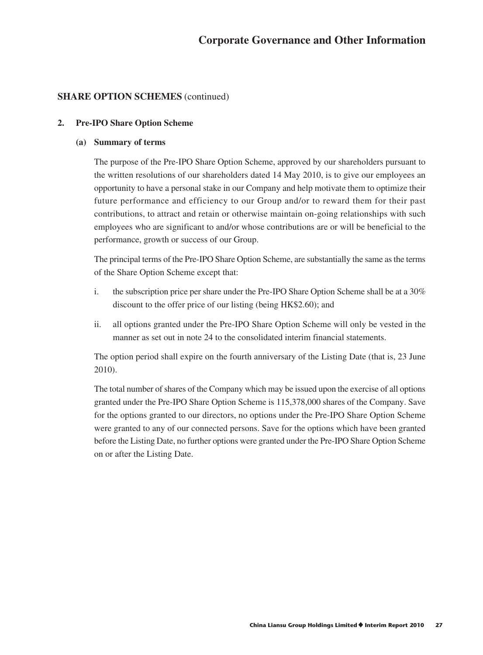## **SHARE OPTION SCHEMES** (continued)

#### **2. Pre-IPO Share Option Scheme**

#### **(a) Summary of terms**

The purpose of the Pre-IPO Share Option Scheme, approved by our shareholders pursuant to the written resolutions of our shareholders dated 14 May 2010, is to give our employees an opportunity to have a personal stake in our Company and help motivate them to optimize their future performance and efficiency to our Group and/or to reward them for their past contributions, to attract and retain or otherwise maintain on-going relationships with such employees who are significant to and/or whose contributions are or will be beneficial to the performance, growth or success of our Group.

The principal terms of the Pre-IPO Share Option Scheme, are substantially the same as the terms of the Share Option Scheme except that:

- i. the subscription price per share under the Pre-IPO Share Option Scheme shall be at a 30% discount to the offer price of our listing (being HK\$2.60); and
- ii. all options granted under the Pre-IPO Share Option Scheme will only be vested in the manner as set out in note 24 to the consolidated interim financial statements.

The option period shall expire on the fourth anniversary of the Listing Date (that is, 23 June 2010).

The total number of shares of the Company which may be issued upon the exercise of all options granted under the Pre-IPO Share Option Scheme is 115,378,000 shares of the Company. Save for the options granted to our directors, no options under the Pre-IPO Share Option Scheme were granted to any of our connected persons. Save for the options which have been granted before the Listing Date, no further options were granted under the Pre-IPO Share Option Scheme on or after the Listing Date.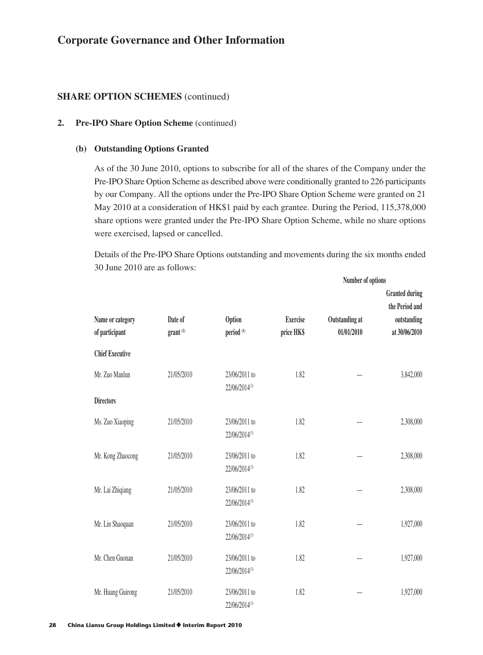## **SHARE OPTION SCHEMES** (continued)

#### **2. Pre-IPO Share Option Scheme** (continued)

#### **(b) Outstanding Options Granted**

As of the 30 June 2010, options to subscribe for all of the shares of the Company under the Pre-IPO Share Option Scheme as described above were conditionally granted to 226 participants by our Company. All the options under the Pre-IPO Share Option Scheme were granted on 21 May 2010 at a consideration of HK\$1 paid by each grantee. During the Period, 115,378,000 share options were granted under the Pre-IPO Share Option Scheme, while no share options were exercised, lapsed or cancelled.

Details of the Pre-IPO Share Options outstanding and movements during the six months ended 30 June 2010 are as follows:

**Number of options**

| Name or category<br>of participant | Date of<br>$grant$ <sup>(1)</sup> | Option<br>period <sup>(1)</sup> | <b>Exercise</b><br>price HK\$ | <b>Outstanding at</b><br>01/01/2010 | <b>Granted during</b><br>the Period and<br>outstanding<br>at 30/06/2010 |
|------------------------------------|-----------------------------------|---------------------------------|-------------------------------|-------------------------------------|-------------------------------------------------------------------------|
| <b>Chief Executive</b>             |                                   |                                 |                               |                                     |                                                                         |
| Mr. Zuo Manlun                     | 21/05/2010                        | 23/06/2011 to<br>22/06/2014(3)  | 1.82                          |                                     | 3,842,000                                                               |
| <b>Directors</b>                   |                                   |                                 |                               |                                     |                                                                         |
| Ms. Zuo Xiaoping                   | 21/05/2010                        | 23/06/2011 to<br>22/06/2014(3)  | 1.82                          |                                     | 2,308,000                                                               |
| Mr. Kong Zhaocong                  | 21/05/2010                        | 23/06/2011 to<br>22/06/2014(3)  | 1.82                          |                                     | 2,308,000                                                               |
| Mr. Lai Zhiqiang                   | 21/05/2010                        | 23/06/2011 to<br>22/06/2014(3)  | 1.82                          |                                     | 2,308,000                                                               |
| Mr. Lin Shaoquan                   | 21/05/2010                        | 23/06/2011 to<br>22/06/2014(3)  | 1.82                          |                                     | 1,927,000                                                               |
| Mr. Chen Guonan                    | 21/05/2010                        | 23/06/2011 to<br>22/06/2014(3)  | 1.82                          |                                     | 1,927,000                                                               |
| Mr. Huang Guirong                  | 21/05/2010                        | 23/06/2011 to<br>22/06/2014(3)  | 1.82                          |                                     | 1,927,000                                                               |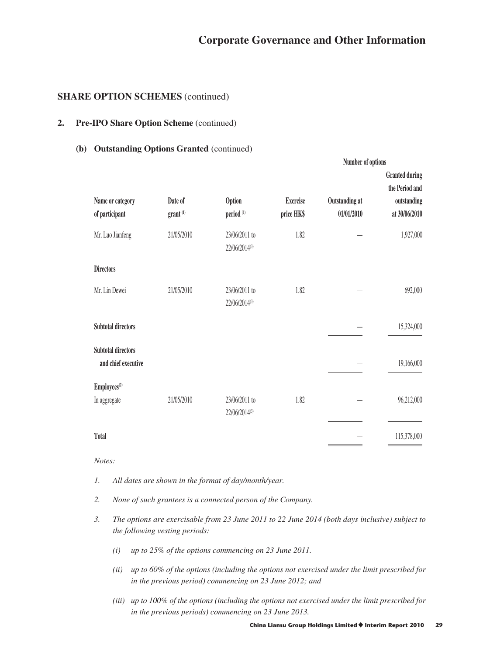**Number of options**

#### **SHARE OPTION SCHEMES** (continued)

#### **2. Pre-IPO Share Option Scheme** (continued)

#### **(b) Outstanding Options Granted** (continued)

| Name or category<br>of participant                    | Date of<br>$\,$ grant $^{(1)}$ | Option<br>period <sup>(1)</sup> | <b>Exercise</b><br>price HK\$ | <b>Outstanding at</b><br>01/01/2010 | <b>Granted during</b><br>the Period and<br>outstanding<br>at 30/06/2010 |
|-------------------------------------------------------|--------------------------------|---------------------------------|-------------------------------|-------------------------------------|-------------------------------------------------------------------------|
| Mr. Luo Jianfeng                                      | 21/05/2010                     | 23/06/2011 to<br>22/06/2014(3)  | 1.82                          |                                     | 1,927,000                                                               |
| <b>Directors</b>                                      |                                |                                 |                               |                                     |                                                                         |
| Mr. Lin Dewei                                         | 21/05/2010                     | 23/06/2011 to<br>22/06/2014(3)  | 1.82                          |                                     | 692,000                                                                 |
| <b>Subtotal directors</b>                             |                                |                                 |                               |                                     | 15,324,000                                                              |
| <b>Subtotal directors</b><br>and chief executive      |                                |                                 |                               |                                     | 19,166,000                                                              |
| $\text{Employees}^{\scriptscriptstyle{\mathrm{(2)}}}$ |                                |                                 |                               |                                     |                                                                         |
| In aggregate                                          | 21/05/2010                     | 23/06/2011 to<br>22/06/2014(3)  | 1.82                          |                                     | 96,212,000                                                              |
| <b>Total</b>                                          |                                |                                 |                               |                                     | 115,378,000                                                             |

*Notes:*

- *1. All dates are shown in the format of day/month/year.*
- *2. None of such grantees is a connected person of the Company.*
- *3. The options are exercisable from 23 June 2011 to 22 June 2014 (both days inclusive) subject to the following vesting periods:*
	- *(i) up to 25% of the options commencing on 23 June 2011.*
	- *(ii) up to 60% of the options (including the options not exercised under the limit prescribed for in the previous period) commencing on 23 June 2012; and*
	- *(iii) up to 100% of the options (including the options not exercised under the limit prescribed for in the previous periods) commencing on 23 June 2013.*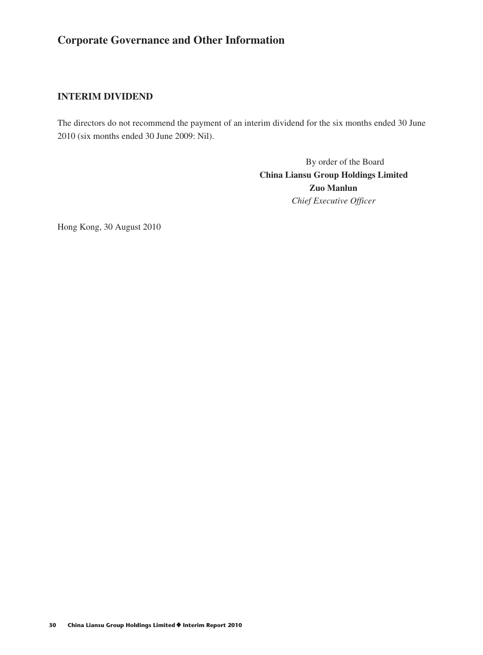## **INTERIM DIVIDEND**

The directors do not recommend the payment of an interim dividend for the six months ended 30 June 2010 (six months ended 30 June 2009: Nil).

> By order of the Board **China Liansu Group Holdings Limited Zuo Manlun** *Chief Executive Officer*

Hong Kong, 30 August 2010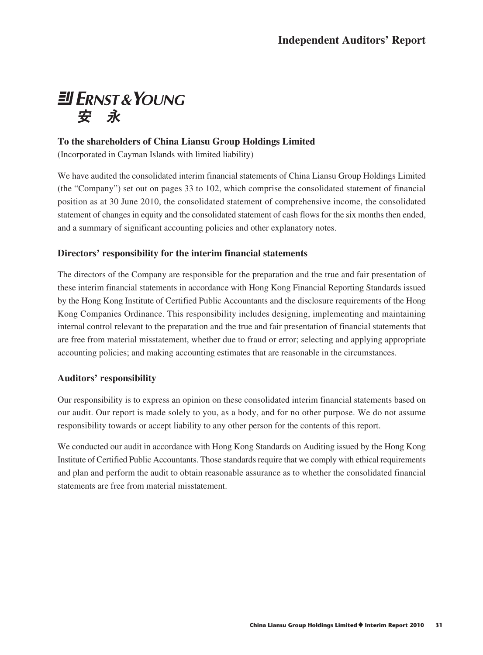# **Ell ERNST & YOUNG** 安永

## **To the shareholders of China Liansu Group Holdings Limited**

(Incorporated in Cayman Islands with limited liability)

We have audited the consolidated interim financial statements of China Liansu Group Holdings Limited (the "Company") set out on pages 33 to 102, which comprise the consolidated statement of financial position as at 30 June 2010, the consolidated statement of comprehensive income, the consolidated statement of changes in equity and the consolidated statement of cash flows for the six months then ended, and a summary of significant accounting policies and other explanatory notes.

## **Directors' responsibility for the interim financial statements**

The directors of the Company are responsible for the preparation and the true and fair presentation of these interim financial statements in accordance with Hong Kong Financial Reporting Standards issued by the Hong Kong Institute of Certified Public Accountants and the disclosure requirements of the Hong Kong Companies Ordinance. This responsibility includes designing, implementing and maintaining internal control relevant to the preparation and the true and fair presentation of financial statements that are free from material misstatement, whether due to fraud or error; selecting and applying appropriate accounting policies; and making accounting estimates that are reasonable in the circumstances.

## **Auditors' responsibility**

Our responsibility is to express an opinion on these consolidated interim financial statements based on our audit. Our report is made solely to you, as a body, and for no other purpose. We do not assume responsibility towards or accept liability to any other person for the contents of this report.

We conducted our audit in accordance with Hong Kong Standards on Auditing issued by the Hong Kong Institute of Certified Public Accountants. Those standards require that we comply with ethical requirements and plan and perform the audit to obtain reasonable assurance as to whether the consolidated financial statements are free from material misstatement.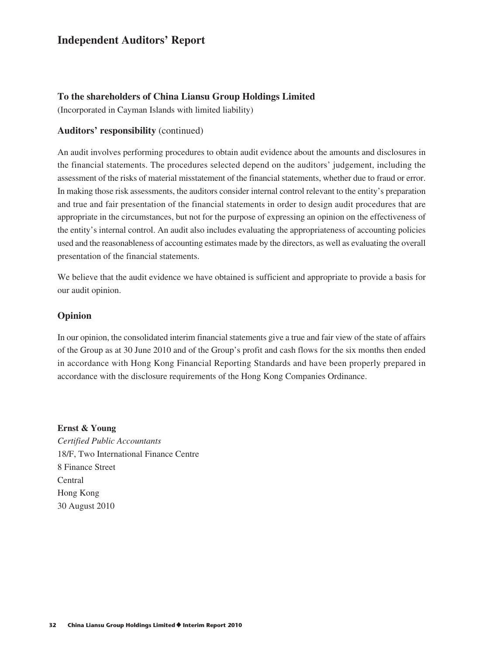## **Independent Auditors' Report**

## **To the shareholders of China Liansu Group Holdings Limited**

(Incorporated in Cayman Islands with limited liability)

## **Auditors' responsibility** (continued)

An audit involves performing procedures to obtain audit evidence about the amounts and disclosures in the financial statements. The procedures selected depend on the auditors' judgement, including the assessment of the risks of material misstatement of the financial statements, whether due to fraud or error. In making those risk assessments, the auditors consider internal control relevant to the entity's preparation and true and fair presentation of the financial statements in order to design audit procedures that are appropriate in the circumstances, but not for the purpose of expressing an opinion on the effectiveness of the entity's internal control. An audit also includes evaluating the appropriateness of accounting policies used and the reasonableness of accounting estimates made by the directors, as well as evaluating the overall presentation of the financial statements.

We believe that the audit evidence we have obtained is sufficient and appropriate to provide a basis for our audit opinion.

## **Opinion**

In our opinion, the consolidated interim financial statements give a true and fair view of the state of affairs of the Group as at 30 June 2010 and of the Group's profit and cash flows for the six months then ended in accordance with Hong Kong Financial Reporting Standards and have been properly prepared in accordance with the disclosure requirements of the Hong Kong Companies Ordinance.

#### **Ernst & Young**

*Certified Public Accountants* 18/F, Two International Finance Centre 8 Finance Street Central Hong Kong 30 August 2010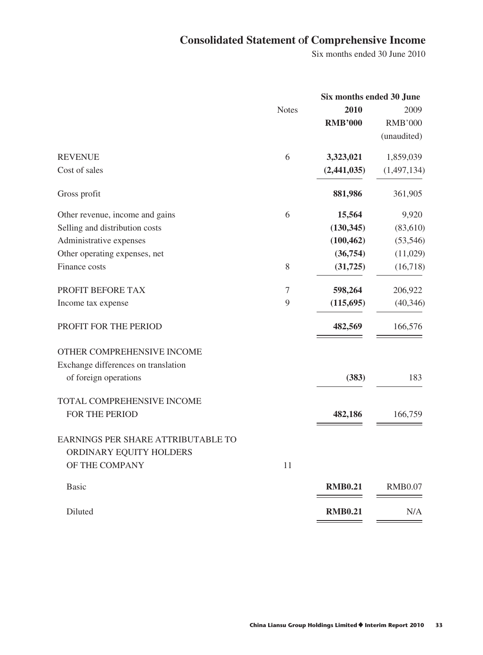## **Consolidated Statement Of Comprehensive Income**

Six months ended 30 June 2010

|                                                               | Six months ended 30 June |                |                |
|---------------------------------------------------------------|--------------------------|----------------|----------------|
|                                                               | <b>Notes</b>             | 2010           | 2009           |
|                                                               |                          | <b>RMB'000</b> | <b>RMB'000</b> |
|                                                               |                          |                | (unaudited)    |
| <b>REVENUE</b>                                                | 6                        | 3,323,021      | 1,859,039      |
| Cost of sales                                                 |                          | (2,441,035)    | (1,497,134)    |
| Gross profit                                                  |                          | 881,986        | 361,905        |
| Other revenue, income and gains                               | 6                        | 15,564         | 9,920          |
| Selling and distribution costs                                |                          | (130, 345)     | (83,610)       |
| Administrative expenses                                       |                          | (100, 462)     | (53, 546)      |
| Other operating expenses, net                                 |                          | (36, 754)      | (11,029)       |
| Finance costs                                                 | 8                        | (31, 725)      | (16,718)       |
| PROFIT BEFORE TAX                                             | $\overline{7}$           | 598,264        | 206,922        |
| Income tax expense                                            | 9                        | (115, 695)     | (40, 346)      |
| PROFIT FOR THE PERIOD                                         |                          | 482,569        | 166,576        |
| OTHER COMPREHENSIVE INCOME                                    |                          |                |                |
| Exchange differences on translation                           |                          |                |                |
| of foreign operations                                         |                          | (383)          | 183            |
| TOTAL COMPREHENSIVE INCOME                                    |                          |                |                |
| FOR THE PERIOD                                                |                          | 482,186        | 166,759        |
| EARNINGS PER SHARE ATTRIBUTABLE TO<br>ORDINARY EQUITY HOLDERS |                          |                |                |
| OF THE COMPANY                                                | 11                       |                |                |
| <b>Basic</b>                                                  |                          | <b>RMB0.21</b> | <b>RMB0.07</b> |
| Diluted                                                       |                          | <b>RMB0.21</b> | N/A            |
|                                                               |                          |                |                |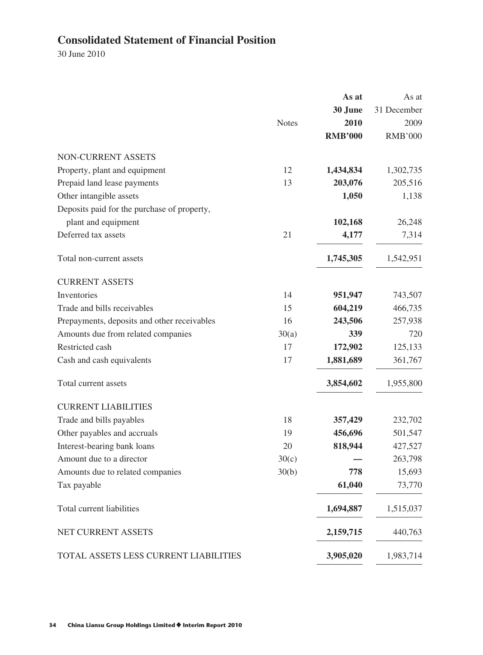## **Consolidated Statement of Financial Position**

30 June 2010

|                                             |              | As at          | As at          |
|---------------------------------------------|--------------|----------------|----------------|
|                                             |              | 30 June        | 31 December    |
|                                             | <b>Notes</b> | 2010           | 2009           |
|                                             |              | <b>RMB'000</b> | <b>RMB'000</b> |
| <b>NON-CURRENT ASSETS</b>                   |              |                |                |
| Property, plant and equipment               | 12           | 1,434,834      | 1,302,735      |
| Prepaid land lease payments                 | 13           | 203,076        | 205,516        |
| Other intangible assets                     |              | 1,050          | 1,138          |
| Deposits paid for the purchase of property, |              |                |                |
| plant and equipment                         |              | 102,168        | 26,248         |
| Deferred tax assets                         | 21           | 4,177          | 7,314          |
| Total non-current assets                    |              | 1,745,305      | 1,542,951      |
| <b>CURRENT ASSETS</b>                       |              |                |                |
| Inventories                                 | 14           | 951,947        | 743,507        |
| Trade and bills receivables                 | 15           | 604,219        | 466,735        |
| Prepayments, deposits and other receivables | 16           | 243,506        | 257,938        |
| Amounts due from related companies          | 30(a)        | 339            | 720            |
| Restricted cash                             | 17           | 172,902        | 125,133        |
| Cash and cash equivalents                   | 17           | 1,881,689      | 361,767        |
| Total current assets                        |              | 3,854,602      | 1,955,800      |
| <b>CURRENT LIABILITIES</b>                  |              |                |                |
| Trade and bills payables                    | 18           | 357,429        | 232,702        |
| Other payables and accruals                 | 19           | 456,696        | 501,547        |
| Interest-bearing bank loans                 | 20           | 818,944        | 427,527        |
| Amount due to a director                    | 30(c)        |                | 263,798        |
| Amounts due to related companies            | 30(b)        | 778            | 15,693         |
| Tax payable                                 |              | 61,040         | 73,770         |
| Total current liabilities                   |              | 1,694,887      | 1,515,037      |
| NET CURRENT ASSETS                          |              | 2,159,715      | 440,763        |
| TOTAL ASSETS LESS CURRENT LIABILITIES       |              | 3,905,020      | 1,983,714      |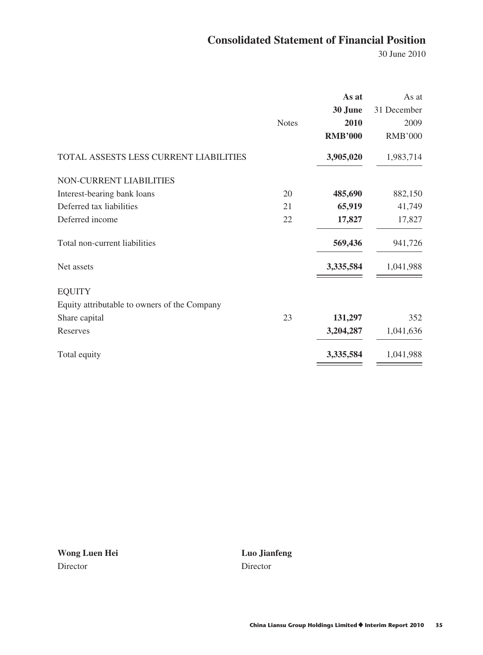## **Consolidated Statement of Financial Position**

30 June 2010

|                                              |              | As at          | As at          |
|----------------------------------------------|--------------|----------------|----------------|
|                                              | <b>Notes</b> | 30 June        | 31 December    |
|                                              |              | 2010           | 2009           |
|                                              |              | <b>RMB'000</b> | <b>RMB'000</b> |
| TOTAL ASSESTS LESS CURRENT LIABILITIES       |              | 3,905,020      | 1,983,714      |
| NON-CURRENT LIABILITIES                      |              |                |                |
| Interest-bearing bank loans                  | 20           | 485,690        | 882,150        |
| Deferred tax liabilities                     | 21           | 65,919         | 41,749         |
| Deferred income                              | 22           | 17,827         | 17,827         |
| Total non-current liabilities                |              | 569,436        | 941,726        |
| Net assets                                   |              | 3,335,584      | 1,041,988      |
| <b>EQUITY</b>                                |              |                |                |
| Equity attributable to owners of the Company |              |                |                |
| Share capital                                | 23           | 131,297        | 352            |
| Reserves                                     |              | 3,204,287      | 1,041,636      |
| Total equity                                 |              | 3,335,584      | 1,041,988      |
|                                              |              |                |                |

**Wong Luen Hei Luo Jianfeng** Director Director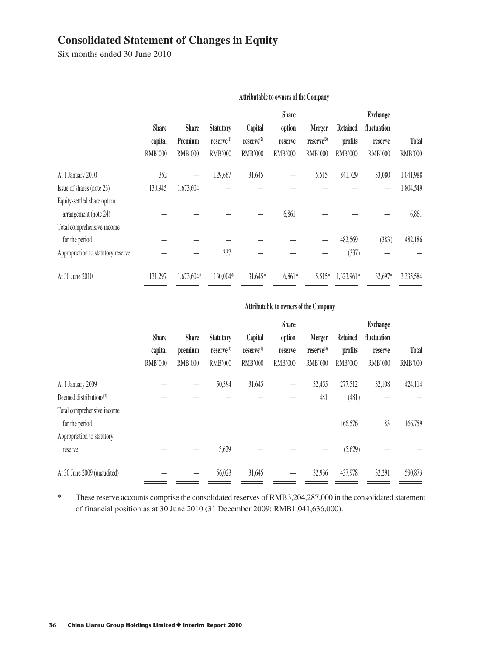# **Consolidated Statement of Changes in Equity**

Six months ended 30 June 2010

|                                                      | Attributable to owners of the Company     |                                           |                                                       |                                              |                                                     |                                                    |                                              |                                                             |                                |
|------------------------------------------------------|-------------------------------------------|-------------------------------------------|-------------------------------------------------------|----------------------------------------------|-----------------------------------------------------|----------------------------------------------------|----------------------------------------------|-------------------------------------------------------------|--------------------------------|
|                                                      | <b>Share</b><br>capital<br><b>RMB'000</b> | <b>Share</b><br>Premium<br><b>RMB'000</b> | <b>Statutory</b><br>$reserve^{(1)}$<br><b>RMB'000</b> | Capital<br>$reserve^{(2)}$<br><b>RMB'000</b> | <b>Share</b><br>option<br>reserve<br><b>RMB'000</b> | <b>Merger</b><br>$reserve^{(3)}$<br><b>RMB'000</b> | <b>Retained</b><br>profits<br><b>RMB'000</b> | <b>Exchange</b><br>fluctuation<br>reserve<br><b>RMB'000</b> | <b>Total</b><br><b>RMB'000</b> |
| At 1 January 2010                                    | 352                                       |                                           | 129,667                                               | 31,645                                       |                                                     | 5,515                                              | 841,729                                      | 33,080                                                      | 1,041,988                      |
| Issue of shares (note 23)                            | 130,945                                   | 1,673,604                                 |                                                       |                                              |                                                     |                                                    |                                              |                                                             | 1,804,549                      |
| Equity-settled share option<br>arrangement (note 24) |                                           |                                           |                                                       |                                              | 6,861                                               |                                                    |                                              |                                                             | 6,861                          |
| Total comprehensive income                           |                                           |                                           |                                                       |                                              |                                                     |                                                    |                                              |                                                             |                                |
| for the period                                       |                                           |                                           |                                                       |                                              |                                                     |                                                    | 482,569                                      | (383)                                                       | 482,186                        |
| Appropriation to statutory reserve                   |                                           |                                           | 337                                                   |                                              |                                                     |                                                    | (337)                                        |                                                             |                                |
| At 30 June 2010                                      | 131,297                                   | 1,673,604*                                | 130,004*                                              | 31,645*                                      | $6,861*$                                            | 5,515*                                             | 1,323,961*                                   | 32,697*                                                     | 3,335,584                      |

|                                              | <b>Share</b><br>capital<br><b>RMB'000</b> | <b>Share</b><br>premium<br><b>RMB'000</b> | <b>Statutory</b><br>$reserve^{(1)}$<br><b>RMB'000</b> | Capital<br>$reserve^{(2)}$<br><b>RMB'000</b> | <b>Share</b><br>option<br>reserve<br><b>RMB'000</b> | <b>Merger</b><br>$reserve^{(3)}$<br><b>RMB'000</b> | <b>Retained</b><br>profits<br><b>RMB'000</b> | <b>Exchange</b><br>fluctuation<br>reserve<br><b>RMB'000</b> | <b>Total</b><br><b>RMB'000</b> |
|----------------------------------------------|-------------------------------------------|-------------------------------------------|-------------------------------------------------------|----------------------------------------------|-----------------------------------------------------|----------------------------------------------------|----------------------------------------------|-------------------------------------------------------------|--------------------------------|
| At 1 January 2009                            |                                           |                                           | 50,394                                                | 31,645                                       |                                                     | 32,455                                             | 277,512                                      | 32,108                                                      | 424,114                        |
| Deemed distributions <sup>(3)</sup>          |                                           |                                           |                                                       |                                              |                                                     | 481                                                | (481)                                        |                                                             |                                |
| Total comprehensive income<br>for the period |                                           |                                           |                                                       |                                              |                                                     |                                                    | 166,576                                      | 183                                                         | 166,759                        |
| Appropriation to statutory                   |                                           |                                           |                                                       |                                              |                                                     |                                                    |                                              |                                                             |                                |
| reserve                                      |                                           |                                           | 5,629                                                 |                                              |                                                     |                                                    | (5,629)                                      |                                                             |                                |
| At 30 June 2009 (unaudited)                  |                                           |                                           | 56,023                                                | 31,645                                       |                                                     | 32,936                                             | 437,978                                      | 32,291                                                      | 590,873                        |

\* These reserve accounts comprise the consolidated reserves of RMB3,204,287,000 in the consolidated statement of financial position as at 30 June 2010 (31 December 2009: RMB1,041,636,000).

#### **Attributable to owners of the Company**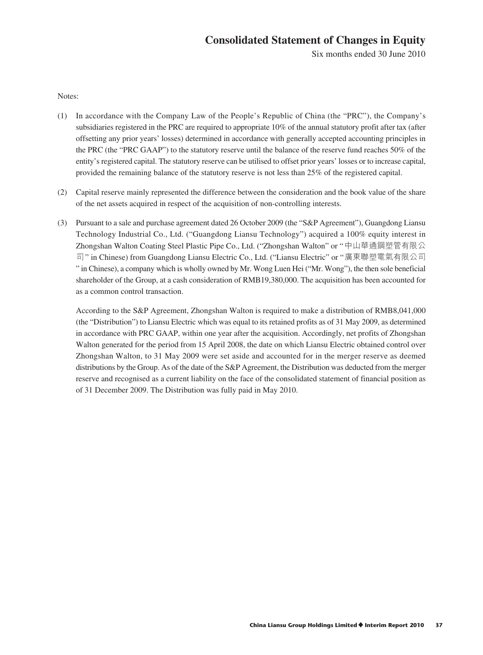# **Consolidated Statement of Changes in Equity**

Six months ended 30 June 2010

#### Notes:

- (1) In accordance with the Company Law of the People's Republic of China (the "PRC"), the Company's subsidiaries registered in the PRC are required to appropriate 10% of the annual statutory profit after tax (after offsetting any prior years' losses) determined in accordance with generally accepted accounting principles in the PRC (the "PRC GAAP") to the statutory reserve until the balance of the reserve fund reaches 50% of the entity's registered capital. The statutory reserve can be utilised to offset prior years' losses or to increase capital, provided the remaining balance of the statutory reserve is not less than 25% of the registered capital.
- (2) Capital reserve mainly represented the difference between the consideration and the book value of the share of the net assets acquired in respect of the acquisition of non-controlling interests.
- (3) Pursuant to a sale and purchase agreement dated 26 October 2009 (the "S&P Agreement"), Guangdong Liansu Technology Industrial Co., Ltd. ("Guangdong Liansu Technology") acquired a 100% equity interest in Zhongshan Walton Coating Steel Plastic Pipe Co., Ltd. ("Zhongshan Walton" or "中山華通鋼塑管有限公 司" in Chinese) from Guangdong Liansu Electric Co., Ltd. ("Liansu Electric" or "廣東聯塑電氣有限公司 " in Chinese), a company which is wholly owned by Mr. Wong Luen Hei ("Mr. Wong"), the then sole beneficial shareholder of the Group, at a cash consideration of RMB19,380,000. The acquisition has been accounted for as a common control transaction.

According to the S&P Agreement, Zhongshan Walton is required to make a distribution of RMB8,041,000 (the "Distribution") to Liansu Electric which was equal to its retained profits as of 31 May 2009, as determined in accordance with PRC GAAP, within one year after the acquisition. Accordingly, net profits of Zhongshan Walton generated for the period from 15 April 2008, the date on which Liansu Electric obtained control over Zhongshan Walton, to 31 May 2009 were set aside and accounted for in the merger reserve as deemed distributions by the Group. As of the date of the S&P Agreement, the Distribution was deducted from the merger reserve and recognised as a current liability on the face of the consolidated statement of financial position as of 31 December 2009. The Distribution was fully paid in May 2010.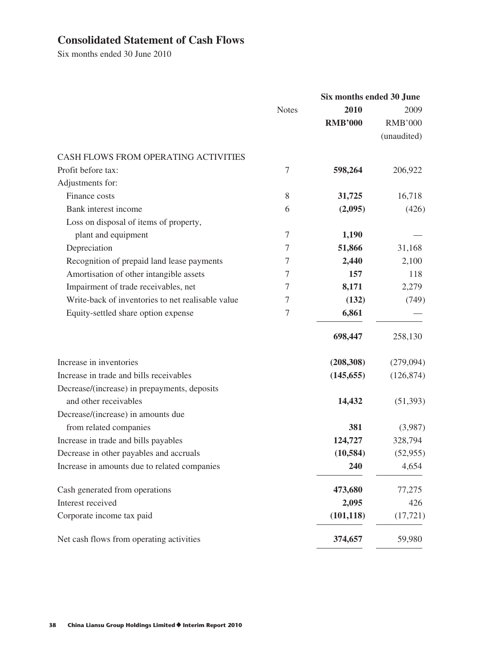# **Consolidated Statement of Cash Flows**

Six months ended 30 June 2010

|                                                   | <b>Notes</b>   | Six months ended 30 June<br>2010<br><b>RMB'000</b> | 2009<br><b>RMB'000</b><br>(unaudited) |
|---------------------------------------------------|----------------|----------------------------------------------------|---------------------------------------|
| CASH FLOWS FROM OPERATING ACTIVITIES              |                |                                                    |                                       |
| Profit before tax:                                | $\tau$         | 598,264                                            | 206,922                               |
| Adjustments for:                                  |                |                                                    |                                       |
| Finance costs                                     | 8              | 31,725                                             | 16,718                                |
| Bank interest income                              | 6              | (2,095)                                            | (426)                                 |
| Loss on disposal of items of property,            |                |                                                    |                                       |
| plant and equipment                               | $\overline{7}$ | 1,190                                              |                                       |
| Depreciation                                      | 7              | 51,866                                             | 31,168                                |
| Recognition of prepaid land lease payments        | 7              | 2,440                                              | 2,100                                 |
| Amortisation of other intangible assets           | 7              | 157                                                | 118                                   |
| Impairment of trade receivables, net              | 7              | 8,171                                              | 2,279                                 |
| Write-back of inventories to net realisable value | 7              | (132)                                              | (749)                                 |
| Equity-settled share option expense               | $\tau$         | 6,861                                              |                                       |
|                                                   |                | 698,447                                            | 258,130                               |
| Increase in inventories                           |                | (208, 308)                                         | (279,094)                             |
| Increase in trade and bills receivables           |                | (145, 655)                                         | (126, 874)                            |
| Decrease/(increase) in prepayments, deposits      |                |                                                    |                                       |
| and other receivables                             |                | 14,432                                             | (51, 393)                             |
| Decrease/(increase) in amounts due                |                |                                                    |                                       |
| from related companies                            |                | 381                                                | (3,987)                               |
| Increase in trade and bills payables              |                | 124,727                                            | 328,794                               |
| Decrease in other payables and accruals           |                | (10, 584)                                          | (52, 955)                             |
| Increase in amounts due to related companies      |                | 240                                                | 4,654                                 |
| Cash generated from operations                    |                | 473,680                                            | 77,275                                |
| Interest received                                 |                | 2,095                                              | 426                                   |
| Corporate income tax paid                         |                | (101, 118)                                         | (17, 721)                             |
| Net cash flows from operating activities          |                | 374,657                                            | 59,980                                |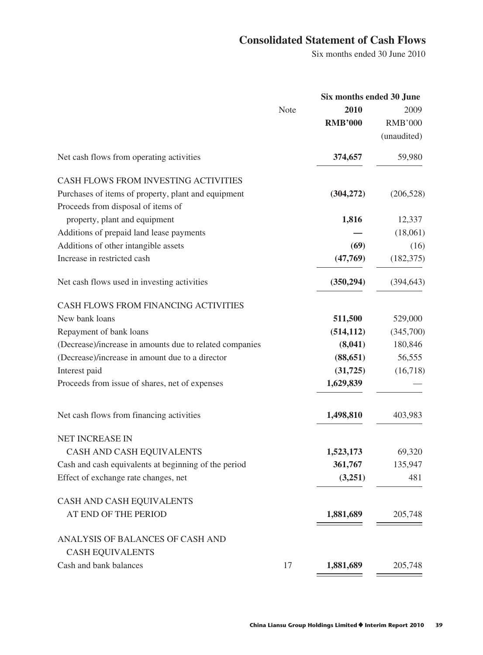## **Consolidated Statement of Cash Flows**

Six months ended 30 June 2010

|                                                                                           |      |                | Six months ended 30 June |  |  |
|-------------------------------------------------------------------------------------------|------|----------------|--------------------------|--|--|
|                                                                                           | Note | 2010           | 2009                     |  |  |
|                                                                                           |      | <b>RMB'000</b> | <b>RMB'000</b>           |  |  |
|                                                                                           |      |                | (unaudited)              |  |  |
| Net cash flows from operating activities                                                  |      | 374,657        | 59,980                   |  |  |
| CASH FLOWS FROM INVESTING ACTIVITIES                                                      |      |                |                          |  |  |
| Purchases of items of property, plant and equipment<br>Proceeds from disposal of items of |      | (304, 272)     | (206, 528)               |  |  |
| property, plant and equipment                                                             |      | 1,816          | 12,337                   |  |  |
| Additions of prepaid land lease payments                                                  |      |                | (18,061)                 |  |  |
| Additions of other intangible assets                                                      |      | (69)           | (16)                     |  |  |
| Increase in restricted cash                                                               |      | (47,769)       | (182, 375)               |  |  |
| Net cash flows used in investing activities                                               |      | (350, 294)     | (394, 643)               |  |  |
| CASH FLOWS FROM FINANCING ACTIVITIES                                                      |      |                |                          |  |  |
| New bank loans                                                                            |      | 511,500        | 529,000                  |  |  |
| Repayment of bank loans                                                                   |      | (514, 112)     | (345,700)                |  |  |
| (Decrease)/increase in amounts due to related companies                                   |      | (8,041)        | 180,846                  |  |  |
| (Decrease)/increase in amount due to a director                                           |      | (88, 651)      | 56,555                   |  |  |
| Interest paid                                                                             |      | (31, 725)      | (16,718)                 |  |  |
| Proceeds from issue of shares, net of expenses                                            |      | 1,629,839      |                          |  |  |
| Net cash flows from financing activities                                                  |      | 1,498,810      | 403,983                  |  |  |
| NET INCREASE IN                                                                           |      |                |                          |  |  |
| CASH AND CASH EQUIVALENTS                                                                 |      | 1,523,173      | 69,320                   |  |  |
| Cash and cash equivalents at beginning of the period                                      |      | 361,767        | 135,947                  |  |  |
| Effect of exchange rate changes, net                                                      |      | (3,251)        | 481                      |  |  |
| CASH AND CASH EQUIVALENTS                                                                 |      |                |                          |  |  |
| AT END OF THE PERIOD                                                                      |      | 1,881,689      | 205,748                  |  |  |
| ANALYSIS OF BALANCES OF CASH AND                                                          |      |                |                          |  |  |
| <b>CASH EQUIVALENTS</b>                                                                   |      |                |                          |  |  |
| Cash and bank balances                                                                    | 17   | 1,881,689      | 205,748                  |  |  |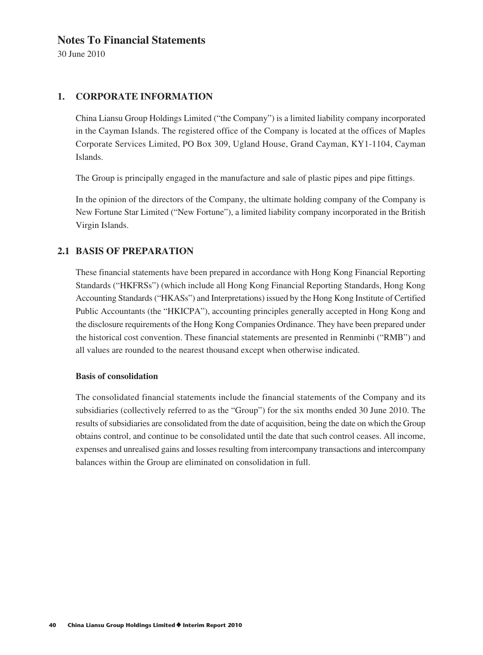30 June 2010

### **1. CORPORATE INFORMATION**

China Liansu Group Holdings Limited ("the Company") is a limited liability company incorporated in the Cayman Islands. The registered office of the Company is located at the offices of Maples Corporate Services Limited, PO Box 309, Ugland House, Grand Cayman, KY1-1104, Cayman Islands.

The Group is principally engaged in the manufacture and sale of plastic pipes and pipe fittings.

In the opinion of the directors of the Company, the ultimate holding company of the Company is New Fortune Star Limited ("New Fortune"), a limited liability company incorporated in the British Virgin Islands.

### **2.1 BASIS OF PREPARATION**

These financial statements have been prepared in accordance with Hong Kong Financial Reporting Standards ("HKFRSs") (which include all Hong Kong Financial Reporting Standards, Hong Kong Accounting Standards ("HKASs") and Interpretations) issued by the Hong Kong Institute of Certified Public Accountants (the "HKICPA"), accounting principles generally accepted in Hong Kong and the disclosure requirements of the Hong Kong Companies Ordinance. They have been prepared under the historical cost convention. These financial statements are presented in Renminbi ("RMB") and all values are rounded to the nearest thousand except when otherwise indicated.

#### **Basis of consolidation**

The consolidated financial statements include the financial statements of the Company and its subsidiaries (collectively referred to as the "Group") for the six months ended 30 June 2010. The results of subsidiaries are consolidated from the date of acquisition, being the date on which the Group obtains control, and continue to be consolidated until the date that such control ceases. All income, expenses and unrealised gains and losses resulting from intercompany transactions and intercompany balances within the Group are eliminated on consolidation in full.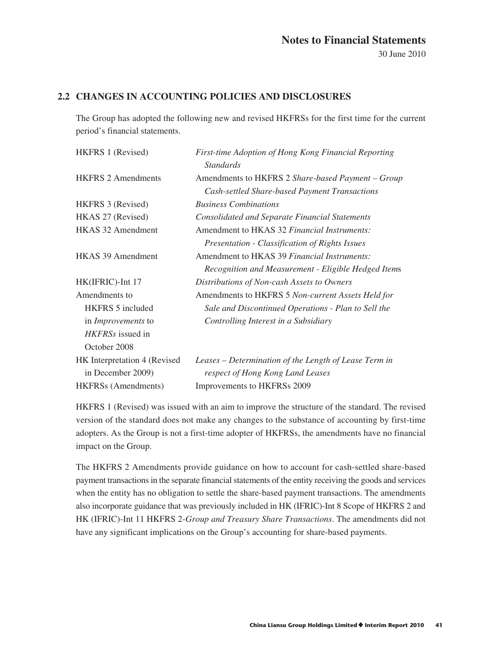### **2.2 CHANGES IN ACCOUNTING POLICIES AND DISCLOSURES**

The Group has adopted the following new and revised HKFRSs for the first time for the current period's financial statements.

| First-time Adoption of Hong Kong Financial Reporting<br><i>Standards</i>                                                 |
|--------------------------------------------------------------------------------------------------------------------------|
| Amendments to HKFRS 2 Share-based Payment – Group<br>Cash-settled Share-based Payment Transactions                       |
| <b>Business Combinations</b>                                                                                             |
| <b>Consolidated and Separate Financial Statements</b>                                                                    |
| Amendment to HKAS 32 Financial Instruments:<br>Presentation - Classification of Rights Issues                            |
| Amendment to HKAS 39 Financial Instruments:<br>Recognition and Measurement - Eligible Hedged Items                       |
| Distributions of Non-cash Assets to Owners                                                                               |
| Amendments to HKFRS 5 Non-current Assets Held for                                                                        |
| Sale and Discontinued Operations - Plan to Sell the<br>Controlling Interest in a Subsidiary                              |
| Leases – Determination of the Length of Lease Term in<br>respect of Hong Kong Land Leases<br>Improvements to HKFRSs 2009 |
|                                                                                                                          |

HKFRS 1 (Revised) was issued with an aim to improve the structure of the standard. The revised version of the standard does not make any changes to the substance of accounting by first-time adopters. As the Group is not a first-time adopter of HKFRSs, the amendments have no financial impact on the Group.

The HKFRS 2 Amendments provide guidance on how to account for cash-settled share-based payment transactions in the separate financial statements of the entity receiving the goods and services when the entity has no obligation to settle the share-based payment transactions. The amendments also incorporate guidance that was previously included in HK (IFRIC)-Int 8 Scope of HKFRS 2 and HK (IFRIC)-Int 11 HKFRS 2-*Group and Treasury Share Transactions*. The amendments did not have any significant implications on the Group's accounting for share-based payments.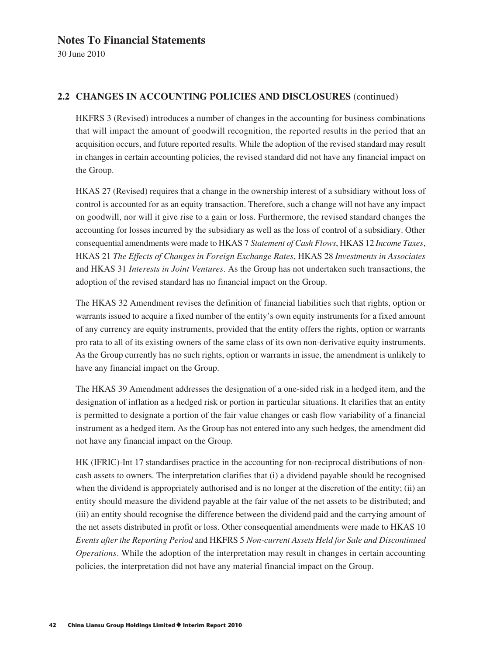### **2.2 CHANGES IN ACCOUNTING POLICIES AND DISCLOSURES** (continued)

HKFRS 3 (Revised) introduces a number of changes in the accounting for business combinations that will impact the amount of goodwill recognition, the reported results in the period that an acquisition occurs, and future reported results. While the adoption of the revised standard may result in changes in certain accounting policies, the revised standard did not have any financial impact on the Group.

HKAS 27 (Revised) requires that a change in the ownership interest of a subsidiary without loss of control is accounted for as an equity transaction. Therefore, such a change will not have any impact on goodwill, nor will it give rise to a gain or loss. Furthermore, the revised standard changes the accounting for losses incurred by the subsidiary as well as the loss of control of a subsidiary. Other consequential amendments were made to HKAS 7 *Statement of Cash Flows*, HKAS 12 *Income Taxes*, HKAS 21 *The Effects of Changes in Foreign Exchange Rates*, HKAS 28 *Investments in Associates* and HKAS 31 *Interests in Joint Ventures*. As the Group has not undertaken such transactions, the adoption of the revised standard has no financial impact on the Group.

The HKAS 32 Amendment revises the definition of financial liabilities such that rights, option or warrants issued to acquire a fixed number of the entity's own equity instruments for a fixed amount of any currency are equity instruments, provided that the entity offers the rights, option or warrants pro rata to all of its existing owners of the same class of its own non-derivative equity instruments. As the Group currently has no such rights, option or warrants in issue, the amendment is unlikely to have any financial impact on the Group.

The HKAS 39 Amendment addresses the designation of a one-sided risk in a hedged item, and the designation of inflation as a hedged risk or portion in particular situations. It clarifies that an entity is permitted to designate a portion of the fair value changes or cash flow variability of a financial instrument as a hedged item. As the Group has not entered into any such hedges, the amendment did not have any financial impact on the Group.

HK (IFRIC)-Int 17 standardises practice in the accounting for non-reciprocal distributions of noncash assets to owners. The interpretation clarifies that (i) a dividend payable should be recognised when the dividend is appropriately authorised and is no longer at the discretion of the entity; (ii) an entity should measure the dividend payable at the fair value of the net assets to be distributed; and (iii) an entity should recognise the difference between the dividend paid and the carrying amount of the net assets distributed in profit or loss. Other consequential amendments were made to HKAS 10 *Events after the Reporting Period* and HKFRS 5 *Non-current Assets Held for Sale and Discontinued Operations*. While the adoption of the interpretation may result in changes in certain accounting policies, the interpretation did not have any material financial impact on the Group.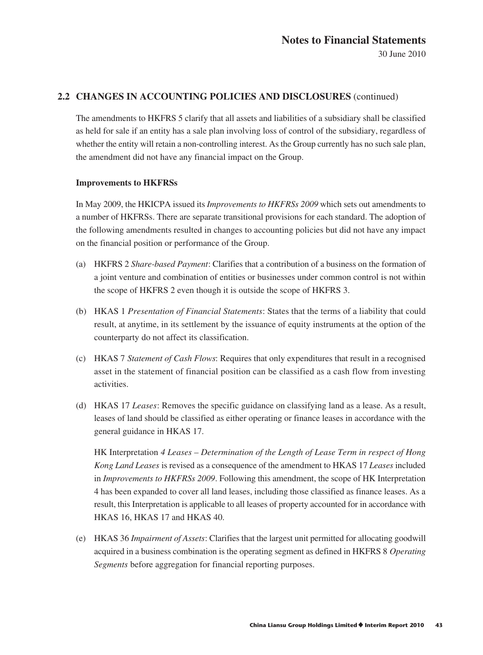### **2.2 CHANGES IN ACCOUNTING POLICIES AND DISCLOSURES** (continued)

The amendments to HKFRS 5 clarify that all assets and liabilities of a subsidiary shall be classified as held for sale if an entity has a sale plan involving loss of control of the subsidiary, regardless of whether the entity will retain a non-controlling interest. As the Group currently has no such sale plan, the amendment did not have any financial impact on the Group.

#### **Improvements to HKFRSs**

In May 2009, the HKICPA issued its *Improvements to HKFRSs 2009* which sets out amendments to a number of HKFRSs. There are separate transitional provisions for each standard. The adoption of the following amendments resulted in changes to accounting policies but did not have any impact on the financial position or performance of the Group.

- (a) HKFRS 2 *Share-based Payment*: Clarifies that a contribution of a business on the formation of a joint venture and combination of entities or businesses under common control is not within the scope of HKFRS 2 even though it is outside the scope of HKFRS 3.
- (b) HKAS 1 *Presentation of Financial Statements*: States that the terms of a liability that could result, at anytime, in its settlement by the issuance of equity instruments at the option of the counterparty do not affect its classification.
- (c) HKAS 7 *Statement of Cash Flows*: Requires that only expenditures that result in a recognised asset in the statement of financial position can be classified as a cash flow from investing activities.
- (d) HKAS 17 *Leases*: Removes the specific guidance on classifying land as a lease. As a result, leases of land should be classified as either operating or finance leases in accordance with the general guidance in HKAS 17.

HK Interpretation *4 Leases – Determination of the Length of Lease Term in respect of Hong Kong Land Leases* is revised as a consequence of the amendment to HKAS 17 *Leases* included in *Improvements to HKFRSs 2009*. Following this amendment, the scope of HK Interpretation 4 has been expanded to cover all land leases, including those classified as finance leases. As a result, this Interpretation is applicable to all leases of property accounted for in accordance with HKAS 16, HKAS 17 and HKAS 40.

(e) HKAS 36 *Impairment of Assets*: Clarifies that the largest unit permitted for allocating goodwill acquired in a business combination is the operating segment as defined in HKFRS 8 *Operating Segments* before aggregation for financial reporting purposes.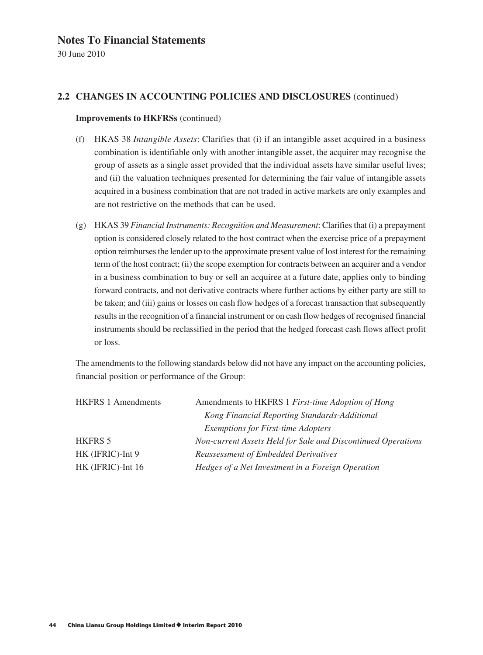30 June 2010

### **2.2 CHANGES IN ACCOUNTING POLICIES AND DISCLOSURES** (continued)

#### **Improvements to HKFRSs** (continued)

- (f) HKAS 38 *Intangible Assets*: Clarifies that (i) if an intangible asset acquired in a business combination is identifiable only with another intangible asset, the acquirer may recognise the group of assets as a single asset provided that the individual assets have similar useful lives; and (ii) the valuation techniques presented for determining the fair value of intangible assets acquired in a business combination that are not traded in active markets are only examples and are not restrictive on the methods that can be used.
- (g) HKAS 39 *Financial Instruments: Recognition and Measurement*: Clarifies that (i) a prepayment option is considered closely related to the host contract when the exercise price of a prepayment option reimburses the lender up to the approximate present value of lost interest for the remaining term of the host contract; (ii) the scope exemption for contracts between an acquirer and a vendor in a business combination to buy or sell an acquiree at a future date, applies only to binding forward contracts, and not derivative contracts where further actions by either party are still to be taken; and (iii) gains or losses on cash flow hedges of a forecast transaction that subsequently results in the recognition of a financial instrument or on cash flow hedges of recognised financial instruments should be reclassified in the period that the hedged forecast cash flows affect profit or loss.

The amendments to the following standards below did not have any impact on the accounting policies, financial position or performance of the Group:

| <b>HKFRS 1 Amendments</b> | Amendments to HKFRS 1 First-time Adoption of Hong            |
|---------------------------|--------------------------------------------------------------|
|                           | Kong Financial Reporting Standards-Additional                |
|                           | <b>Exemptions for First-time Adopters</b>                    |
| HKFRS 5                   | Non-current Assets Held for Sale and Discontinued Operations |
| HK (IFRIC)-Int 9          | <b>Reassessment of Embedded Derivatives</b>                  |
| HK (IFRIC)-Int 16         | Hedges of a Net Investment in a Foreign Operation            |
|                           |                                                              |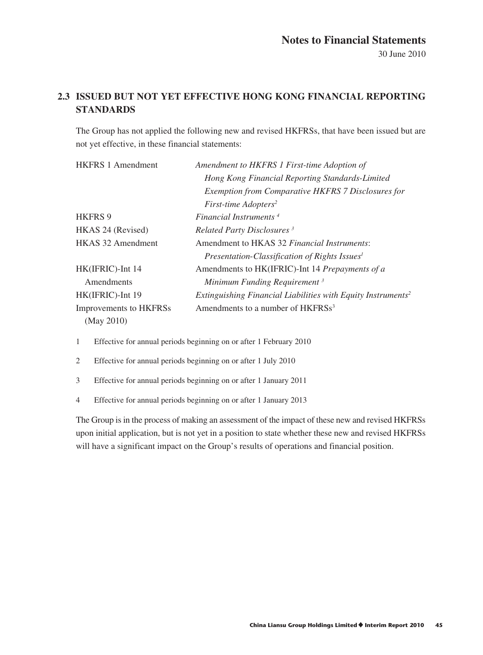30 June 2010

## **2.3 ISSUED BUT NOT YET EFFECTIVE HONG KONG FINANCIAL REPORTING STANDARDS**

The Group has not applied the following new and revised HKFRSs, that have been issued but are not yet effective, in these financial statements:

| Amendment to HKFRS 1 First-time Adoption of                              |  |  |  |  |
|--------------------------------------------------------------------------|--|--|--|--|
| Hong Kong Financial Reporting Standards-Limited                          |  |  |  |  |
| <b>Exemption from Comparative HKFRS 7 Disclosures for</b>                |  |  |  |  |
| First-time Adopters <sup>2</sup>                                         |  |  |  |  |
| Financial Instruments <sup>4</sup>                                       |  |  |  |  |
| Related Party Disclosures <sup>3</sup>                                   |  |  |  |  |
| Amendment to HKAS 32 Financial Instruments:                              |  |  |  |  |
| Presentation-Classification of Rights Issues <sup>1</sup>                |  |  |  |  |
| Amendments to HK(IFRIC)-Int 14 Prepayments of a                          |  |  |  |  |
| Minimum Funding Requirement $3$                                          |  |  |  |  |
| Extinguishing Financial Liabilities with Equity Instruments <sup>2</sup> |  |  |  |  |
| Amendments to a number of HKFRSs <sup>3</sup>                            |  |  |  |  |
|                                                                          |  |  |  |  |
|                                                                          |  |  |  |  |

1 Effective for annual periods beginning on or after 1 February 2010

- 2 Effective for annual periods beginning on or after 1 July 2010
- 3 Effective for annual periods beginning on or after 1 January 2011
- 4 Effective for annual periods beginning on or after 1 January 2013

The Group is in the process of making an assessment of the impact of these new and revised HKFRSs upon initial application, but is not yet in a position to state whether these new and revised HKFRSs will have a significant impact on the Group's results of operations and financial position.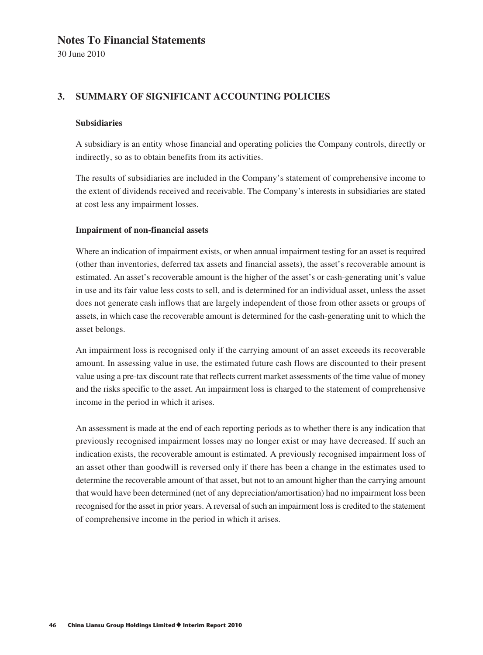30 June 2010

### **3. SUMMARY OF SIGNIFICANT ACCOUNTING POLICIES**

#### **Subsidiaries**

A subsidiary is an entity whose financial and operating policies the Company controls, directly or indirectly, so as to obtain benefits from its activities.

The results of subsidiaries are included in the Company's statement of comprehensive income to the extent of dividends received and receivable. The Company's interests in subsidiaries are stated at cost less any impairment losses.

#### **Impairment of non-financial assets**

Where an indication of impairment exists, or when annual impairment testing for an asset is required (other than inventories, deferred tax assets and financial assets), the asset's recoverable amount is estimated. An asset's recoverable amount is the higher of the asset's or cash-generating unit's value in use and its fair value less costs to sell, and is determined for an individual asset, unless the asset does not generate cash inflows that are largely independent of those from other assets or groups of assets, in which case the recoverable amount is determined for the cash-generating unit to which the asset belongs.

An impairment loss is recognised only if the carrying amount of an asset exceeds its recoverable amount. In assessing value in use, the estimated future cash flows are discounted to their present value using a pre-tax discount rate that reflects current market assessments of the time value of money and the risks specific to the asset. An impairment loss is charged to the statement of comprehensive income in the period in which it arises.

An assessment is made at the end of each reporting periods as to whether there is any indication that previously recognised impairment losses may no longer exist or may have decreased. If such an indication exists, the recoverable amount is estimated. A previously recognised impairment loss of an asset other than goodwill is reversed only if there has been a change in the estimates used to determine the recoverable amount of that asset, but not to an amount higher than the carrying amount that would have been determined (net of any depreciation/amortisation) had no impairment loss been recognised for the asset in prior years. A reversal of such an impairment loss is credited to the statement of comprehensive income in the period in which it arises.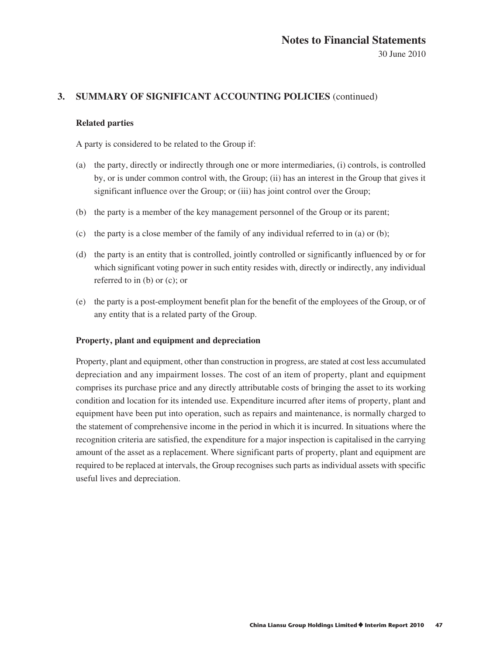30 June 2010

### **3. SUMMARY OF SIGNIFICANT ACCOUNTING POLICIES** (continued)

#### **Related parties**

A party is considered to be related to the Group if:

- (a) the party, directly or indirectly through one or more intermediaries, (i) controls, is controlled by, or is under common control with, the Group; (ii) has an interest in the Group that gives it significant influence over the Group; or (iii) has joint control over the Group;
- (b) the party is a member of the key management personnel of the Group or its parent;
- (c) the party is a close member of the family of any individual referred to in (a) or (b);
- (d) the party is an entity that is controlled, jointly controlled or significantly influenced by or for which significant voting power in such entity resides with, directly or indirectly, any individual referred to in (b) or (c); or
- (e) the party is a post-employment benefit plan for the benefit of the employees of the Group, or of any entity that is a related party of the Group.

#### **Property, plant and equipment and depreciation**

Property, plant and equipment, other than construction in progress, are stated at cost less accumulated depreciation and any impairment losses. The cost of an item of property, plant and equipment comprises its purchase price and any directly attributable costs of bringing the asset to its working condition and location for its intended use. Expenditure incurred after items of property, plant and equipment have been put into operation, such as repairs and maintenance, is normally charged to the statement of comprehensive income in the period in which it is incurred. In situations where the recognition criteria are satisfied, the expenditure for a major inspection is capitalised in the carrying amount of the asset as a replacement. Where significant parts of property, plant and equipment are required to be replaced at intervals, the Group recognises such parts as individual assets with specific useful lives and depreciation.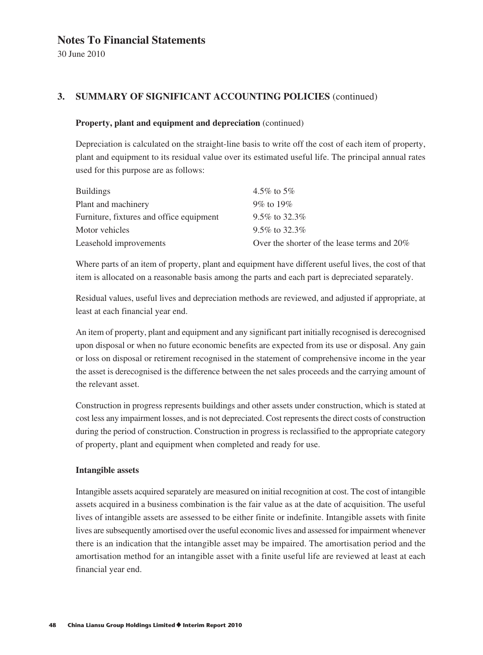30 June 2010

### **3. SUMMARY OF SIGNIFICANT ACCOUNTING POLICIES** (continued)

#### **Property, plant and equipment and depreciation** (continued)

Depreciation is calculated on the straight-line basis to write off the cost of each item of property, plant and equipment to its residual value over its estimated useful life. The principal annual rates used for this purpose are as follows:

| <b>Buildings</b>                         | 4.5\% to 5\%                                   |
|------------------------------------------|------------------------------------------------|
| Plant and machinery                      | 9\% to 19\%                                    |
| Furniture, fixtures and office equipment | 9.5\% to 32.3\%                                |
| Motor vehicles                           | 9.5\% to 32.3\%                                |
| Leasehold improvements                   | Over the shorter of the lease terms and $20\%$ |

Where parts of an item of property, plant and equipment have different useful lives, the cost of that item is allocated on a reasonable basis among the parts and each part is depreciated separately.

Residual values, useful lives and depreciation methods are reviewed, and adjusted if appropriate, at least at each financial year end.

An item of property, plant and equipment and any significant part initially recognised is derecognised upon disposal or when no future economic benefits are expected from its use or disposal. Any gain or loss on disposal or retirement recognised in the statement of comprehensive income in the year the asset is derecognised is the difference between the net sales proceeds and the carrying amount of the relevant asset.

Construction in progress represents buildings and other assets under construction, which is stated at cost less any impairment losses, and is not depreciated. Cost represents the direct costs of construction during the period of construction. Construction in progress is reclassified to the appropriate category of property, plant and equipment when completed and ready for use.

#### **Intangible assets**

Intangible assets acquired separately are measured on initial recognition at cost. The cost of intangible assets acquired in a business combination is the fair value as at the date of acquisition. The useful lives of intangible assets are assessed to be either finite or indefinite. Intangible assets with finite lives are subsequently amortised over the useful economic lives and assessed for impairment whenever there is an indication that the intangible asset may be impaired. The amortisation period and the amortisation method for an intangible asset with a finite useful life are reviewed at least at each financial year end.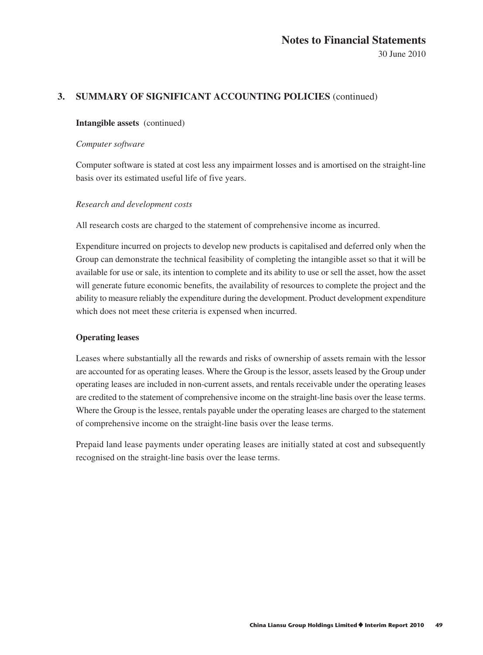30 June 2010

### **3. SUMMARY OF SIGNIFICANT ACCOUNTING POLICIES** (continued)

#### **Intangible assets** (continued)

#### *Computer software*

Computer software is stated at cost less any impairment losses and is amortised on the straight-line basis over its estimated useful life of five years.

#### *Research and development costs*

All research costs are charged to the statement of comprehensive income as incurred.

Expenditure incurred on projects to develop new products is capitalised and deferred only when the Group can demonstrate the technical feasibility of completing the intangible asset so that it will be available for use or sale, its intention to complete and its ability to use or sell the asset, how the asset will generate future economic benefits, the availability of resources to complete the project and the ability to measure reliably the expenditure during the development. Product development expenditure which does not meet these criteria is expensed when incurred.

#### **Operating leases**

Leases where substantially all the rewards and risks of ownership of assets remain with the lessor are accounted for as operating leases. Where the Group is the lessor, assets leased by the Group under operating leases are included in non-current assets, and rentals receivable under the operating leases are credited to the statement of comprehensive income on the straight-line basis over the lease terms. Where the Group is the lessee, rentals payable under the operating leases are charged to the statement of comprehensive income on the straight-line basis over the lease terms.

Prepaid land lease payments under operating leases are initially stated at cost and subsequently recognised on the straight-line basis over the lease terms.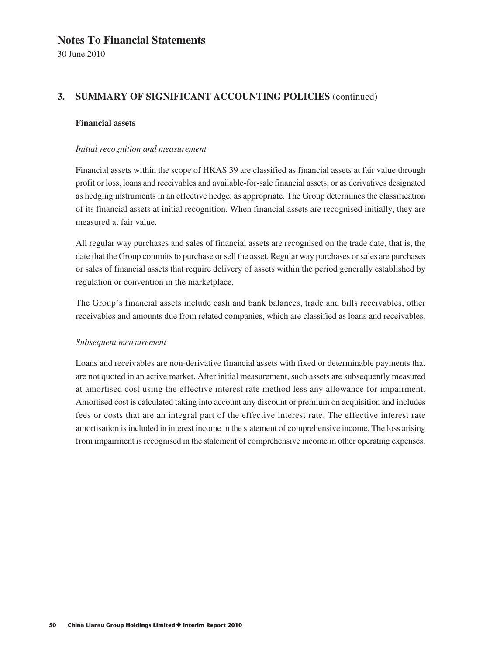30 June 2010

### **3. SUMMARY OF SIGNIFICANT ACCOUNTING POLICIES** (continued)

#### **Financial assets**

#### *Initial recognition and measurement*

Financial assets within the scope of HKAS 39 are classified as financial assets at fair value through profit or loss, loans and receivables and available-for-sale financial assets, or as derivatives designated as hedging instruments in an effective hedge, as appropriate. The Group determines the classification of its financial assets at initial recognition. When financial assets are recognised initially, they are measured at fair value.

All regular way purchases and sales of financial assets are recognised on the trade date, that is, the date that the Group commits to purchase or sell the asset. Regular way purchases or sales are purchases or sales of financial assets that require delivery of assets within the period generally established by regulation or convention in the marketplace.

The Group's financial assets include cash and bank balances, trade and bills receivables, other receivables and amounts due from related companies, which are classified as loans and receivables.

#### *Subsequent measurement*

Loans and receivables are non-derivative financial assets with fixed or determinable payments that are not quoted in an active market. After initial measurement, such assets are subsequently measured at amortised cost using the effective interest rate method less any allowance for impairment. Amortised cost is calculated taking into account any discount or premium on acquisition and includes fees or costs that are an integral part of the effective interest rate. The effective interest rate amortisation is included in interest income in the statement of comprehensive income. The loss arising from impairment is recognised in the statement of comprehensive income in other operating expenses.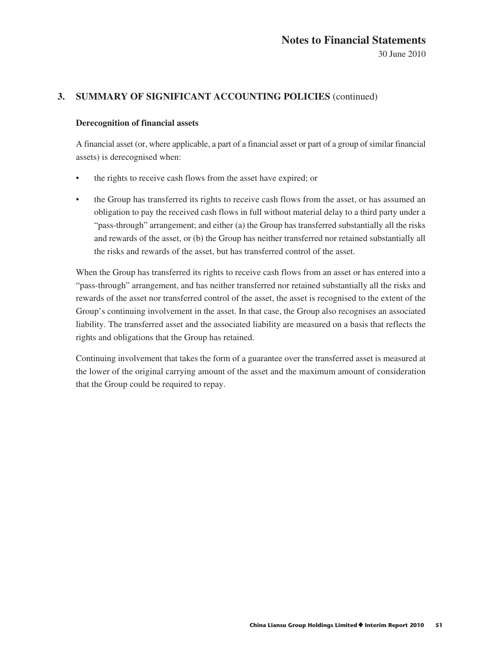30 June 2010

### **3. SUMMARY OF SIGNIFICANT ACCOUNTING POLICIES** (continued)

#### **Derecognition of financial assets**

A financial asset (or, where applicable, a part of a financial asset or part of a group of similar financial assets) is derecognised when:

- the rights to receive cash flows from the asset have expired; or
- the Group has transferred its rights to receive cash flows from the asset, or has assumed an obligation to pay the received cash flows in full without material delay to a third party under a "pass-through" arrangement; and either (a) the Group has transferred substantially all the risks and rewards of the asset, or (b) the Group has neither transferred nor retained substantially all the risks and rewards of the asset, but has transferred control of the asset.

When the Group has transferred its rights to receive cash flows from an asset or has entered into a "pass-through" arrangement, and has neither transferred nor retained substantially all the risks and rewards of the asset nor transferred control of the asset, the asset is recognised to the extent of the Group's continuing involvement in the asset. In that case, the Group also recognises an associated liability. The transferred asset and the associated liability are measured on a basis that reflects the rights and obligations that the Group has retained.

Continuing involvement that takes the form of a guarantee over the transferred asset is measured at the lower of the original carrying amount of the asset and the maximum amount of consideration that the Group could be required to repay.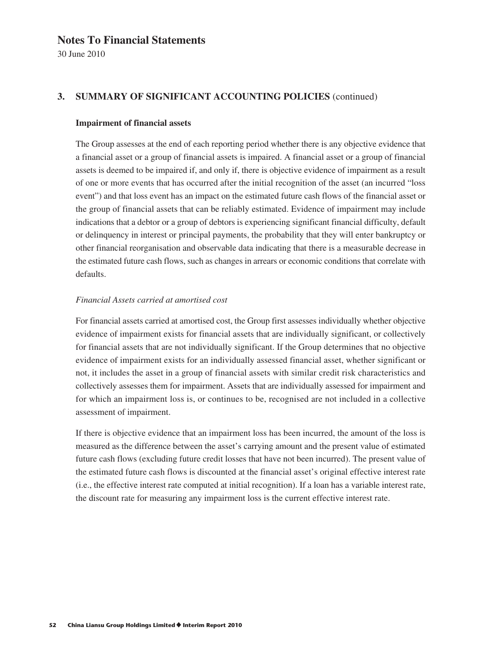30 June 2010

### **3. SUMMARY OF SIGNIFICANT ACCOUNTING POLICIES** (continued)

#### **Impairment of financial assets**

The Group assesses at the end of each reporting period whether there is any objective evidence that a financial asset or a group of financial assets is impaired. A financial asset or a group of financial assets is deemed to be impaired if, and only if, there is objective evidence of impairment as a result of one or more events that has occurred after the initial recognition of the asset (an incurred "loss event") and that loss event has an impact on the estimated future cash flows of the financial asset or the group of financial assets that can be reliably estimated. Evidence of impairment may include indications that a debtor or a group of debtors is experiencing significant financial difficulty, default or delinquency in interest or principal payments, the probability that they will enter bankruptcy or other financial reorganisation and observable data indicating that there is a measurable decrease in the estimated future cash flows, such as changes in arrears or economic conditions that correlate with defaults.

#### *Financial Assets carried at amortised cost*

For financial assets carried at amortised cost, the Group first assesses individually whether objective evidence of impairment exists for financial assets that are individually significant, or collectively for financial assets that are not individually significant. If the Group determines that no objective evidence of impairment exists for an individually assessed financial asset, whether significant or not, it includes the asset in a group of financial assets with similar credit risk characteristics and collectively assesses them for impairment. Assets that are individually assessed for impairment and for which an impairment loss is, or continues to be, recognised are not included in a collective assessment of impairment.

If there is objective evidence that an impairment loss has been incurred, the amount of the loss is measured as the difference between the asset's carrying amount and the present value of estimated future cash flows (excluding future credit losses that have not been incurred). The present value of the estimated future cash flows is discounted at the financial asset's original effective interest rate (i.e., the effective interest rate computed at initial recognition). If a loan has a variable interest rate, the discount rate for measuring any impairment loss is the current effective interest rate.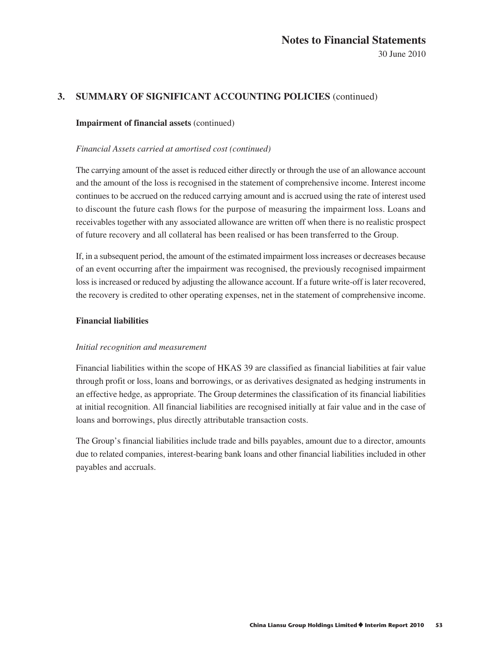30 June 2010

### **3. SUMMARY OF SIGNIFICANT ACCOUNTING POLICIES** (continued)

#### **Impairment of financial assets** (continued)

#### *Financial Assets carried at amortised cost (continued)*

The carrying amount of the asset is reduced either directly or through the use of an allowance account and the amount of the loss is recognised in the statement of comprehensive income. Interest income continues to be accrued on the reduced carrying amount and is accrued using the rate of interest used to discount the future cash flows for the purpose of measuring the impairment loss. Loans and receivables together with any associated allowance are written off when there is no realistic prospect of future recovery and all collateral has been realised or has been transferred to the Group.

If, in a subsequent period, the amount of the estimated impairment loss increases or decreases because of an event occurring after the impairment was recognised, the previously recognised impairment loss is increased or reduced by adjusting the allowance account. If a future write-off is later recovered, the recovery is credited to other operating expenses, net in the statement of comprehensive income.

#### **Financial liabilities**

#### *Initial recognition and measurement*

Financial liabilities within the scope of HKAS 39 are classified as financial liabilities at fair value through profit or loss, loans and borrowings, or as derivatives designated as hedging instruments in an effective hedge, as appropriate. The Group determines the classification of its financial liabilities at initial recognition. All financial liabilities are recognised initially at fair value and in the case of loans and borrowings, plus directly attributable transaction costs.

The Group's financial liabilities include trade and bills payables, amount due to a director, amounts due to related companies, interest-bearing bank loans and other financial liabilities included in other payables and accruals.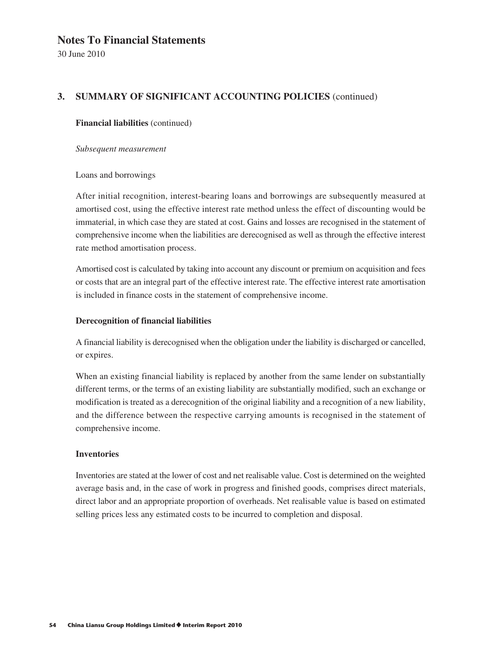30 June 2010

### **3. SUMMARY OF SIGNIFICANT ACCOUNTING POLICIES** (continued)

### **Financial liabilities** (continued)

#### *Subsequent measurement*

Loans and borrowings

After initial recognition, interest-bearing loans and borrowings are subsequently measured at amortised cost, using the effective interest rate method unless the effect of discounting would be immaterial, in which case they are stated at cost. Gains and losses are recognised in the statement of comprehensive income when the liabilities are derecognised as well as through the effective interest rate method amortisation process.

Amortised cost is calculated by taking into account any discount or premium on acquisition and fees or costs that are an integral part of the effective interest rate. The effective interest rate amortisation is included in finance costs in the statement of comprehensive income.

### **Derecognition of financial liabilities**

A financial liability is derecognised when the obligation under the liability is discharged or cancelled, or expires.

When an existing financial liability is replaced by another from the same lender on substantially different terms, or the terms of an existing liability are substantially modified, such an exchange or modification is treated as a derecognition of the original liability and a recognition of a new liability, and the difference between the respective carrying amounts is recognised in the statement of comprehensive income.

#### **Inventories**

Inventories are stated at the lower of cost and net realisable value. Cost is determined on the weighted average basis and, in the case of work in progress and finished goods, comprises direct materials, direct labor and an appropriate proportion of overheads. Net realisable value is based on estimated selling prices less any estimated costs to be incurred to completion and disposal.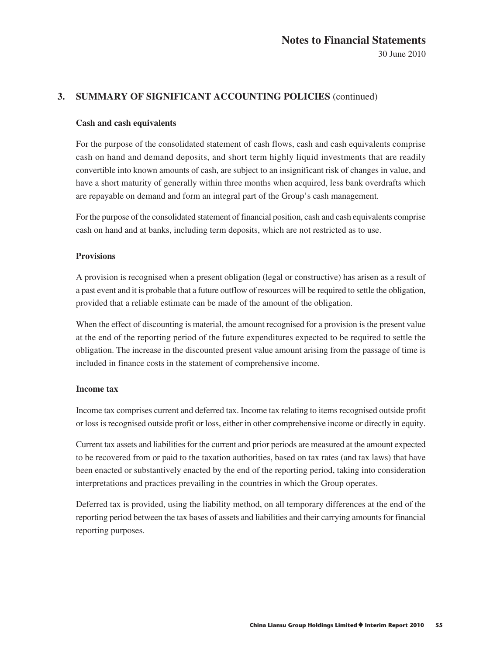### **3. SUMMARY OF SIGNIFICANT ACCOUNTING POLICIES** (continued)

#### **Cash and cash equivalents**

For the purpose of the consolidated statement of cash flows, cash and cash equivalents comprise cash on hand and demand deposits, and short term highly liquid investments that are readily convertible into known amounts of cash, are subject to an insignificant risk of changes in value, and have a short maturity of generally within three months when acquired, less bank overdrafts which are repayable on demand and form an integral part of the Group's cash management.

For the purpose of the consolidated statement of financial position, cash and cash equivalents comprise cash on hand and at banks, including term deposits, which are not restricted as to use.

#### **Provisions**

A provision is recognised when a present obligation (legal or constructive) has arisen as a result of a past event and it is probable that a future outflow of resources will be required to settle the obligation, provided that a reliable estimate can be made of the amount of the obligation.

When the effect of discounting is material, the amount recognised for a provision is the present value at the end of the reporting period of the future expenditures expected to be required to settle the obligation. The increase in the discounted present value amount arising from the passage of time is included in finance costs in the statement of comprehensive income.

#### **Income tax**

Income tax comprises current and deferred tax. Income tax relating to items recognised outside profit or loss is recognised outside profit or loss, either in other comprehensive income or directly in equity.

Current tax assets and liabilities for the current and prior periods are measured at the amount expected to be recovered from or paid to the taxation authorities, based on tax rates (and tax laws) that have been enacted or substantively enacted by the end of the reporting period, taking into consideration interpretations and practices prevailing in the countries in which the Group operates.

Deferred tax is provided, using the liability method, on all temporary differences at the end of the reporting period between the tax bases of assets and liabilities and their carrying amounts for financial reporting purposes.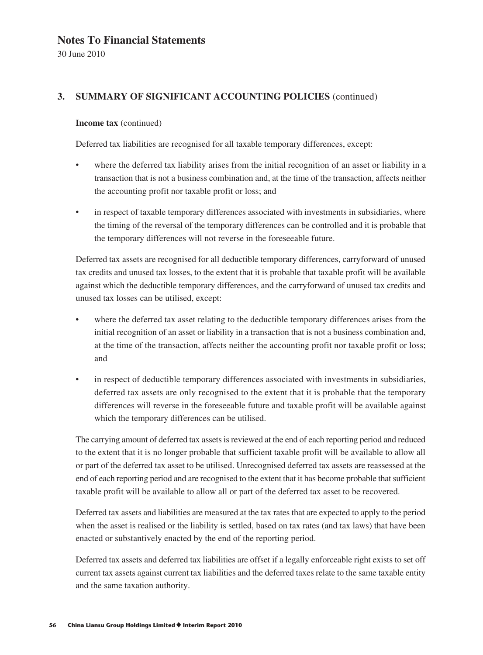30 June 2010

### **3. SUMMARY OF SIGNIFICANT ACCOUNTING POLICIES** (continued)

#### **Income tax** (continued)

Deferred tax liabilities are recognised for all taxable temporary differences, except:

- where the deferred tax liability arises from the initial recognition of an asset or liability in a transaction that is not a business combination and, at the time of the transaction, affects neither the accounting profit nor taxable profit or loss; and
- in respect of taxable temporary differences associated with investments in subsidiaries, where the timing of the reversal of the temporary differences can be controlled and it is probable that the temporary differences will not reverse in the foreseeable future.

Deferred tax assets are recognised for all deductible temporary differences, carryforward of unused tax credits and unused tax losses, to the extent that it is probable that taxable profit will be available against which the deductible temporary differences, and the carryforward of unused tax credits and unused tax losses can be utilised, except:

- where the deferred tax asset relating to the deductible temporary differences arises from the initial recognition of an asset or liability in a transaction that is not a business combination and, at the time of the transaction, affects neither the accounting profit nor taxable profit or loss; and
- in respect of deductible temporary differences associated with investments in subsidiaries, deferred tax assets are only recognised to the extent that it is probable that the temporary differences will reverse in the foreseeable future and taxable profit will be available against which the temporary differences can be utilised.

The carrying amount of deferred tax assets is reviewed at the end of each reporting period and reduced to the extent that it is no longer probable that sufficient taxable profit will be available to allow all or part of the deferred tax asset to be utilised. Unrecognised deferred tax assets are reassessed at the end of each reporting period and are recognised to the extent that it has become probable that sufficient taxable profit will be available to allow all or part of the deferred tax asset to be recovered.

Deferred tax assets and liabilities are measured at the tax rates that are expected to apply to the period when the asset is realised or the liability is settled, based on tax rates (and tax laws) that have been enacted or substantively enacted by the end of the reporting period.

Deferred tax assets and deferred tax liabilities are offset if a legally enforceable right exists to set off current tax assets against current tax liabilities and the deferred taxes relate to the same taxable entity and the same taxation authority.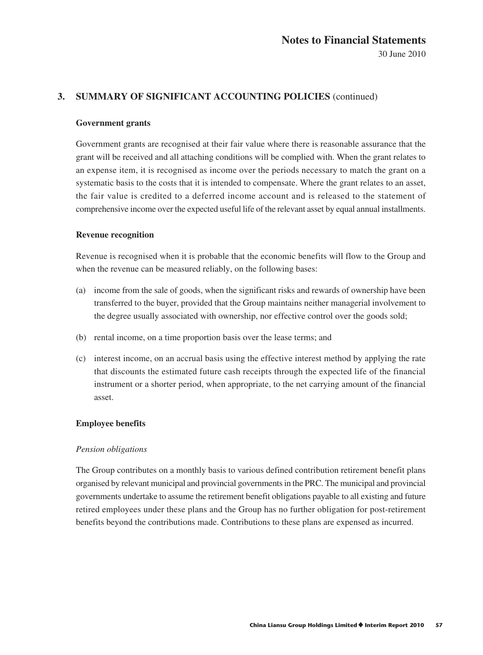### **3. SUMMARY OF SIGNIFICANT ACCOUNTING POLICIES** (continued)

#### **Government grants**

Government grants are recognised at their fair value where there is reasonable assurance that the grant will be received and all attaching conditions will be complied with. When the grant relates to an expense item, it is recognised as income over the periods necessary to match the grant on a systematic basis to the costs that it is intended to compensate. Where the grant relates to an asset, the fair value is credited to a deferred income account and is released to the statement of comprehensive income over the expected useful life of the relevant asset by equal annual installments.

#### **Revenue recognition**

Revenue is recognised when it is probable that the economic benefits will flow to the Group and when the revenue can be measured reliably, on the following bases:

- (a) income from the sale of goods, when the significant risks and rewards of ownership have been transferred to the buyer, provided that the Group maintains neither managerial involvement to the degree usually associated with ownership, nor effective control over the goods sold;
- (b) rental income, on a time proportion basis over the lease terms; and
- (c) interest income, on an accrual basis using the effective interest method by applying the rate that discounts the estimated future cash receipts through the expected life of the financial instrument or a shorter period, when appropriate, to the net carrying amount of the financial asset.

#### **Employee benefits**

#### *Pension obligations*

The Group contributes on a monthly basis to various defined contribution retirement benefit plans organised by relevant municipal and provincial governments in the PRC. The municipal and provincial governments undertake to assume the retirement benefit obligations payable to all existing and future retired employees under these plans and the Group has no further obligation for post-retirement benefits beyond the contributions made. Contributions to these plans are expensed as incurred.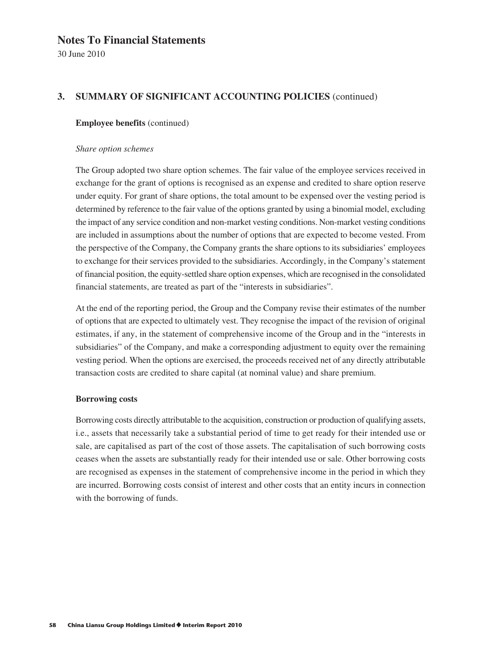30 June 2010

### **3. SUMMARY OF SIGNIFICANT ACCOUNTING POLICIES** (continued)

#### **Employee benefits** (continued)

#### *Share option schemes*

The Group adopted two share option schemes. The fair value of the employee services received in exchange for the grant of options is recognised as an expense and credited to share option reserve under equity. For grant of share options, the total amount to be expensed over the vesting period is determined by reference to the fair value of the options granted by using a binomial model, excluding the impact of any service condition and non-market vesting conditions. Non-market vesting conditions are included in assumptions about the number of options that are expected to become vested. From the perspective of the Company, the Company grants the share options to its subsidiaries' employees to exchange for their services provided to the subsidiaries. Accordingly, in the Company's statement of financial position, the equity-settled share option expenses, which are recognised in the consolidated financial statements, are treated as part of the "interests in subsidiaries".

At the end of the reporting period, the Group and the Company revise their estimates of the number of options that are expected to ultimately vest. They recognise the impact of the revision of original estimates, if any, in the statement of comprehensive income of the Group and in the "interests in subsidiaries" of the Company, and make a corresponding adjustment to equity over the remaining vesting period. When the options are exercised, the proceeds received net of any directly attributable transaction costs are credited to share capital (at nominal value) and share premium.

#### **Borrowing costs**

Borrowing costs directly attributable to the acquisition, construction or production of qualifying assets, i.e., assets that necessarily take a substantial period of time to get ready for their intended use or sale, are capitalised as part of the cost of those assets. The capitalisation of such borrowing costs ceases when the assets are substantially ready for their intended use or sale. Other borrowing costs are recognised as expenses in the statement of comprehensive income in the period in which they are incurred. Borrowing costs consist of interest and other costs that an entity incurs in connection with the borrowing of funds.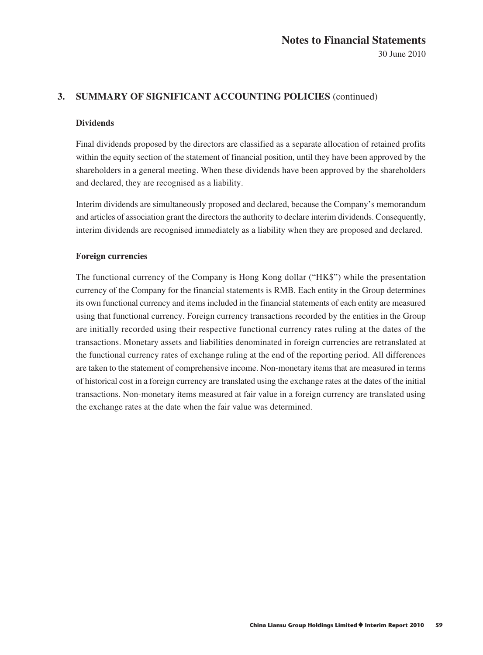### **3. SUMMARY OF SIGNIFICANT ACCOUNTING POLICIES** (continued)

#### **Dividends**

Final dividends proposed by the directors are classified as a separate allocation of retained profits within the equity section of the statement of financial position, until they have been approved by the shareholders in a general meeting. When these dividends have been approved by the shareholders and declared, they are recognised as a liability.

Interim dividends are simultaneously proposed and declared, because the Company's memorandum and articles of association grant the directors the authority to declare interim dividends. Consequently, interim dividends are recognised immediately as a liability when they are proposed and declared.

#### **Foreign currencies**

The functional currency of the Company is Hong Kong dollar ("HK\$") while the presentation currency of the Company for the financial statements is RMB. Each entity in the Group determines its own functional currency and items included in the financial statements of each entity are measured using that functional currency. Foreign currency transactions recorded by the entities in the Group are initially recorded using their respective functional currency rates ruling at the dates of the transactions. Monetary assets and liabilities denominated in foreign currencies are retranslated at the functional currency rates of exchange ruling at the end of the reporting period. All differences are taken to the statement of comprehensive income. Non-monetary items that are measured in terms of historical cost in a foreign currency are translated using the exchange rates at the dates of the initial transactions. Non-monetary items measured at fair value in a foreign currency are translated using the exchange rates at the date when the fair value was determined.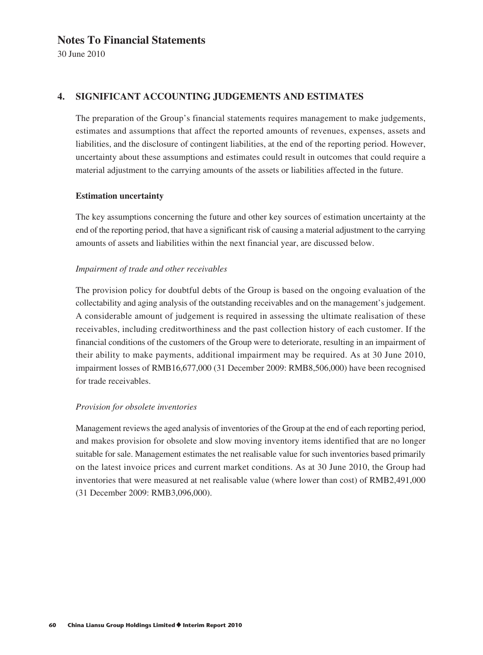30 June 2010

### **4. SIGNIFICANT ACCOUNTING JUDGEMENTS AND ESTIMATES**

The preparation of the Group's financial statements requires management to make judgements, estimates and assumptions that affect the reported amounts of revenues, expenses, assets and liabilities, and the disclosure of contingent liabilities, at the end of the reporting period. However, uncertainty about these assumptions and estimates could result in outcomes that could require a material adjustment to the carrying amounts of the assets or liabilities affected in the future.

#### **Estimation uncertainty**

The key assumptions concerning the future and other key sources of estimation uncertainty at the end of the reporting period, that have a significant risk of causing a material adjustment to the carrying amounts of assets and liabilities within the next financial year, are discussed below.

### *Impairment of trade and other receivables*

The provision policy for doubtful debts of the Group is based on the ongoing evaluation of the collectability and aging analysis of the outstanding receivables and on the management's judgement. A considerable amount of judgement is required in assessing the ultimate realisation of these receivables, including creditworthiness and the past collection history of each customer. If the financial conditions of the customers of the Group were to deteriorate, resulting in an impairment of their ability to make payments, additional impairment may be required. As at 30 June 2010, impairment losses of RMB16,677,000 (31 December 2009: RMB8,506,000) have been recognised for trade receivables.

#### *Provision for obsolete inventories*

Management reviews the aged analysis of inventories of the Group at the end of each reporting period, and makes provision for obsolete and slow moving inventory items identified that are no longer suitable for sale. Management estimates the net realisable value for such inventories based primarily on the latest invoice prices and current market conditions. As at 30 June 2010, the Group had inventories that were measured at net realisable value (where lower than cost) of RMB2,491,000 (31 December 2009: RMB3,096,000).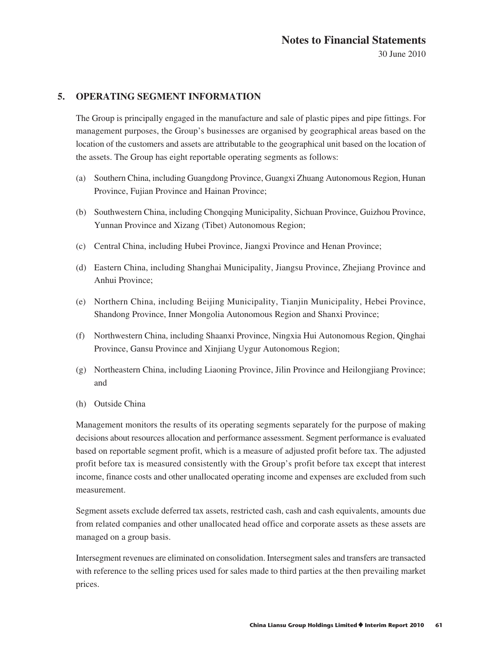### **5. OPERATING SEGMENT INFORMATION**

The Group is principally engaged in the manufacture and sale of plastic pipes and pipe fittings. For management purposes, the Group's businesses are organised by geographical areas based on the location of the customers and assets are attributable to the geographical unit based on the location of the assets. The Group has eight reportable operating segments as follows:

- (a) Southern China, including Guangdong Province, Guangxi Zhuang Autonomous Region, Hunan Province, Fujian Province and Hainan Province;
- (b) Southwestern China, including Chongqing Municipality, Sichuan Province, Guizhou Province, Yunnan Province and Xizang (Tibet) Autonomous Region;
- (c) Central China, including Hubei Province, Jiangxi Province and Henan Province;
- (d) Eastern China, including Shanghai Municipality, Jiangsu Province, Zhejiang Province and Anhui Province;
- (e) Northern China, including Beijing Municipality, Tianjin Municipality, Hebei Province, Shandong Province, Inner Mongolia Autonomous Region and Shanxi Province;
- (f) Northwestern China, including Shaanxi Province, Ningxia Hui Autonomous Region, Qinghai Province, Gansu Province and Xinjiang Uygur Autonomous Region;
- (g) Northeastern China, including Liaoning Province, Jilin Province and Heilongjiang Province; and
- (h) Outside China

Management monitors the results of its operating segments separately for the purpose of making decisions about resources allocation and performance assessment. Segment performance is evaluated based on reportable segment profit, which is a measure of adjusted profit before tax. The adjusted profit before tax is measured consistently with the Group's profit before tax except that interest income, finance costs and other unallocated operating income and expenses are excluded from such measurement.

Segment assets exclude deferred tax assets, restricted cash, cash and cash equivalents, amounts due from related companies and other unallocated head office and corporate assets as these assets are managed on a group basis.

Intersegment revenues are eliminated on consolidation. Intersegment sales and transfers are transacted with reference to the selling prices used for sales made to third parties at the then prevailing market prices.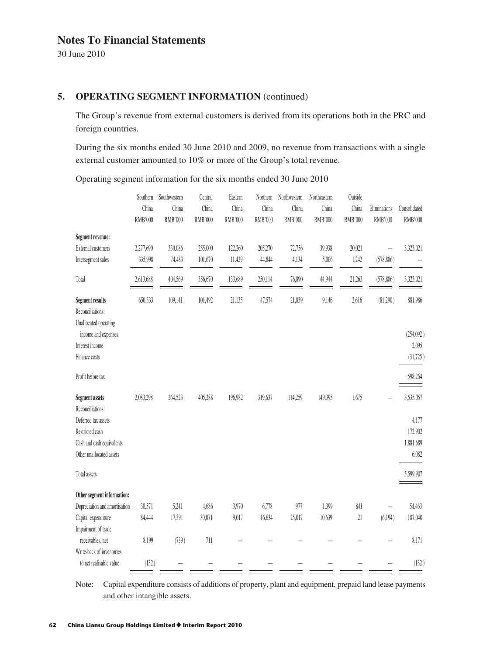30 June 2010

### **5. OPERATING SEGMENT INFORMATION** (continued)

The Group's revenue from external customers is derived from its operations both in the PRC and foreign countries.

During the six months ended 30 June 2010 and 2009, no revenue from transactions with a single external customer amounted to 10% or more of the Group's total revenue.

|                                              | Southern       | Southwestern   | Central        | Eastern        | Northern       | Northwestern   | Northeastern   | Outside        |                |                |
|----------------------------------------------|----------------|----------------|----------------|----------------|----------------|----------------|----------------|----------------|----------------|----------------|
|                                              | China          | China          | China          | China          | China          | China          | China          | China          | Eliminations   | Consolidated   |
|                                              | <b>RMB'000</b> | <b>RMB'000</b> | <b>RMB'000</b> | <b>RMB'000</b> | <b>RMB'000</b> | <b>RMB'000</b> | <b>RMB'000</b> | <b>RMB'000</b> | <b>RMB'000</b> | <b>RMB'000</b> |
| Segment revenue:                             |                |                |                |                |                |                |                |                |                |                |
| External customers                           | 2,277,690      | 330,086        | 255,000        | 122,260        | 205,270        | 72,756         | 39,938         | 20,021         |                | 3,323,021      |
| Intersegment sales                           | 335,998        | 74,483         | 101,670        | 11,429         | 44,844         | 4,134          | 5,006          | 1,242          | (578, 806)     |                |
| Total                                        | 2,613,688      | 404,569        | 356,670        | 133,689        | 250,114        | 76,890         | 44,944         | 21,263         | (578, 806)     | 3,323,021      |
| <b>Segment results</b>                       | 650,333        | 109,141        | 101,492        | 21,135         | 47,574         | 21,839         | 9,146          | 2,616          | (81,290)       | 881,986        |
| Reconciliations:                             |                |                |                |                |                |                |                |                |                |                |
| Unallocated operating<br>income and expenses |                |                |                |                |                |                |                |                |                | (254,092)      |
| Interest income                              |                |                |                |                |                |                |                |                |                | 2,095          |
| Finance costs                                |                |                |                |                |                |                |                |                |                | (31, 725)      |
|                                              |                |                |                |                |                |                |                |                |                |                |
| Profit before tax                            |                |                |                |                |                |                |                |                |                | 598,264        |
| <b>Segment assets</b>                        | 2,083,298      | 264,523        | 405,288        | 196,982        | 319,637        | 114,259        | 149,395        | 1,675          |                | 3,535,057      |
| Reconciliations:                             |                |                |                |                |                |                |                |                |                |                |
| Deferred tax assets                          |                |                |                |                |                |                |                |                |                | 4,177          |
| Restricted cash                              |                |                |                |                |                |                |                |                |                | 172,902        |
| Cash and cash equivalents                    |                |                |                |                |                |                |                |                |                | 1,881,689      |
| Other unallocated assets                     |                |                |                |                |                |                |                |                |                | 6,082          |
| Total assets                                 |                |                |                |                |                |                |                |                |                | 5,599,907      |
| Other segment information:                   |                |                |                |                |                |                |                |                |                |                |
| Depreciation and amortisation                | 30,571         | 5,241          | 4,686          | 3,970          | 6,778          | 977            | 1,399          | 841            |                | 54,463         |
| Capital expenditure                          | 84,444         | 17,391         | 30,071         | 9,017          | 16,634         | 25,017         | 10,639         | 21             | (6,194)        | 187,040        |
| Impairment of trade                          |                |                |                |                |                |                |                |                |                |                |
| receivables, net                             | 8,199          | (739)          | 711            |                |                |                |                |                |                | 8,171          |
| Write-back of inventories                    |                |                |                |                |                |                |                |                |                |                |
| to net realisable value                      | (132)          |                |                |                |                |                |                |                |                | (132)          |

Operating segment information for the six months ended 30 June 2010

Note: Capital expenditure consists of additions of property, plant and equipment, prepaid land lease payments and other intangible assets.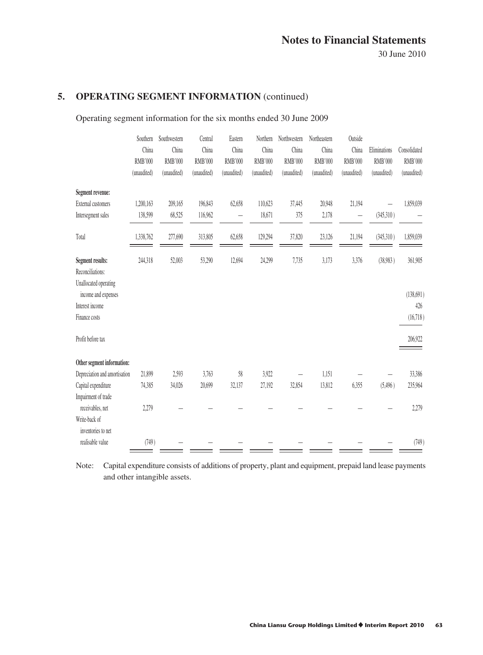### **5. OPERATING SEGMENT INFORMATION** (continued)

#### Operating segment information for the six months ended 30 June 2009

|                               | Southern       | Southwestern   | Central        | Eastern        | Northern       | Northwestern   | Northeastern   | Outside        |                |                |
|-------------------------------|----------------|----------------|----------------|----------------|----------------|----------------|----------------|----------------|----------------|----------------|
|                               | China          | China          | China          | China          | China          | China          | China          | China          | Eliminations   | Consolidated   |
|                               | <b>RMB'000</b> | <b>RMB'000</b> | <b>RMB'000</b> | <b>RMB'000</b> | <b>RMB'000</b> | <b>RMB'000</b> | <b>RMB'000</b> | <b>RMB'000</b> | <b>RMB'000</b> | <b>RMB'000</b> |
|                               | (unaudited)    | (unaudited)    | (unaudited)    | (unaudited)    | (unaudited)    | (unaudited)    | (unaudited)    | (unaudited)    | (unaudited)    | (unaudited)    |
| Segment revenue:              |                |                |                |                |                |                |                |                |                |                |
| External customers            | 1,200,163      | 209,165        | 196,843        | 62,658         | 110,623        | 37,445         | 20,948         | 21,194         |                | 1,859,039      |
| Intersegment sales            | 138,599        | 68,525         | 116,962        | —              | 18,671         | 375            | 2,178          |                | (345,310)      |                |
| Total                         | 1,338,762      | 277,690        | 313,805        | 62,658         | 129,294        | 37,820         | 23,126         | 21,194         | (345,310)      | 1,859,039      |
| Segment results:              | 244,318        | 52,003         | 53,290         | 12,694         | 24,299         | 7,735          | 3,173          | 3,376          | (38,983)       | 361,905        |
| Reconciliations:              |                |                |                |                |                |                |                |                |                |                |
| Unallocated operating         |                |                |                |                |                |                |                |                |                |                |
| income and expenses           |                |                |                |                |                |                |                |                |                | (138, 691)     |
| Interest income               |                |                |                |                |                |                |                |                |                | 426            |
| Finance costs                 |                |                |                |                |                |                |                |                |                | (16, 718)      |
| Profit before tax             |                |                |                |                |                |                |                |                |                | 206,922        |
| Other segment information:    |                |                |                |                |                |                |                |                |                |                |
| Depreciation and amortisation | 21,899         | 2,593          | 3,763          | 58             | 3,922          |                | 1,151          |                |                | 33,386         |
| Capital expenditure           | 74,385         | 34,026         | 20,699         | 32,137         | 27,192         | 32,854         | 13,812         | 6,355          | (5,496)        | 235,964        |
| Impairment of trade           |                |                |                |                |                |                |                |                |                |                |
| receivables, net              | 2,279          |                |                |                |                |                |                |                |                | 2,279          |
| Write-back of                 |                |                |                |                |                |                |                |                |                |                |
| inventories to net            |                |                |                |                |                |                |                |                |                |                |
| realisable value              | (749)          |                |                |                |                |                |                |                |                | (749)          |

Note: Capital expenditure consists of additions of property, plant and equipment, prepaid land lease payments and other intangible assets.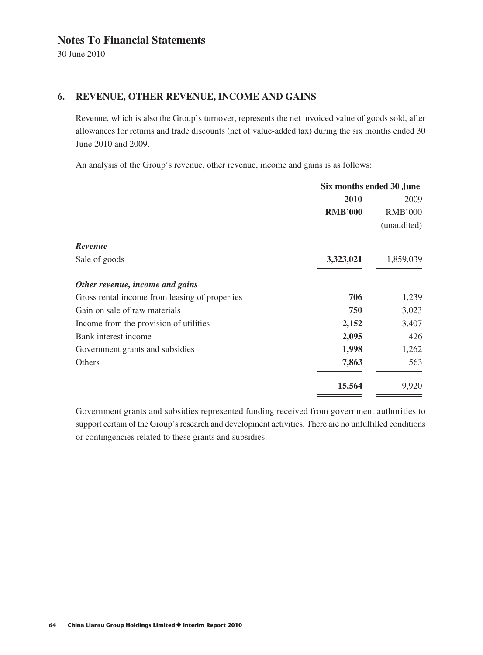30 June 2010

### **6. REVENUE, OTHER REVENUE, INCOME AND GAINS**

Revenue, which is also the Group's turnover, represents the net invoiced value of goods sold, after allowances for returns and trade discounts (net of value-added tax) during the six months ended 30 June 2010 and 2009.

An analysis of the Group's revenue, other revenue, income and gains is as follows:

|                | Six months ended 30 June |
|----------------|--------------------------|
| 2010           | 2009                     |
| <b>RMB'000</b> | <b>RMB'000</b>           |
|                | (unaudited)              |
|                |                          |
| 3,323,021      | 1,859,039                |
|                |                          |
| 706            | 1,239                    |
| 750            | 3,023                    |
| 2,152          | 3,407                    |
| 2,095          | 426                      |
| 1,998          | 1,262                    |
| 7,863          | 563                      |
| 15,564         | 9,920                    |
|                |                          |

Government grants and subsidies represented funding received from government authorities to support certain of the Group's research and development activities. There are no unfulfilled conditions or contingencies related to these grants and subsidies.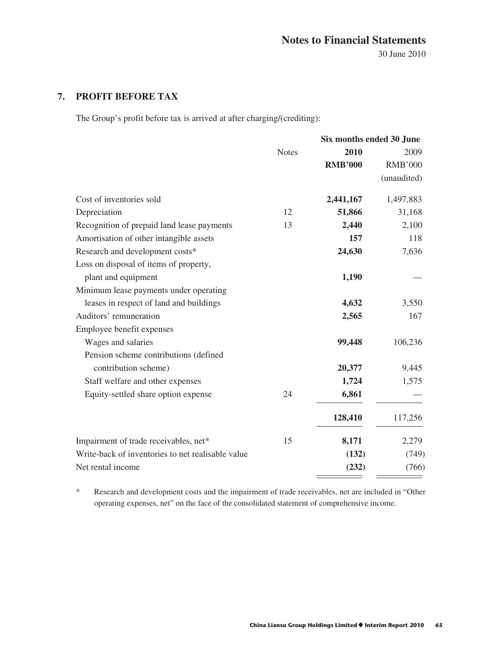30 June 2010

### **7. PROFIT BEFORE TAX**

The Group's profit before tax is arrived at after charging/(crediting):

|                                                   |              | Six months ended 30 June |                |
|---------------------------------------------------|--------------|--------------------------|----------------|
|                                                   | <b>Notes</b> | 2010                     | 2009           |
|                                                   |              | <b>RMB'000</b>           | <b>RMB'000</b> |
|                                                   |              |                          | (unaudited)    |
| Cost of inventories sold                          |              | 2,441,167                | 1,497,883      |
| Depreciation                                      | 12           | 51,866                   | 31,168         |
| Recognition of prepaid land lease payments        | 13           | 2,440                    | 2,100          |
| Amortisation of other intangible assets           |              | 157                      | 118            |
| Research and development costs*                   |              | 24,630                   | 7,636          |
| Loss on disposal of items of property,            |              |                          |                |
| plant and equipment                               |              | 1,190                    |                |
| Minimum lease payments under operating            |              |                          |                |
| leases in respect of land and buildings           |              | 4,632                    | 3,550          |
| Auditors' remuneration                            |              | 2,565                    | 167            |
| Employee benefit expenses                         |              |                          |                |
| Wages and salaries                                |              | 99,448                   | 106,236        |
| Pension scheme contributions (defined             |              |                          |                |
| contribution scheme)                              |              | 20,377                   | 9,445          |
| Staff welfare and other expenses                  |              | 1,724                    | 1,575          |
| Equity-settled share option expense               | 24           | 6,861                    |                |
|                                                   |              | 128,410                  | 117,256        |
| Impairment of trade receivables, net*             | 15           | 8,171                    | 2,279          |
| Write-back of inventories to net realisable value |              | (132)                    | (749)          |
| Net rental income                                 |              | (232)                    | (766)          |

\* Research and development costs and the impairment of trade receivables, net are included in "Other operating expenses, net" on the face of the consolidated statement of comprehensive income.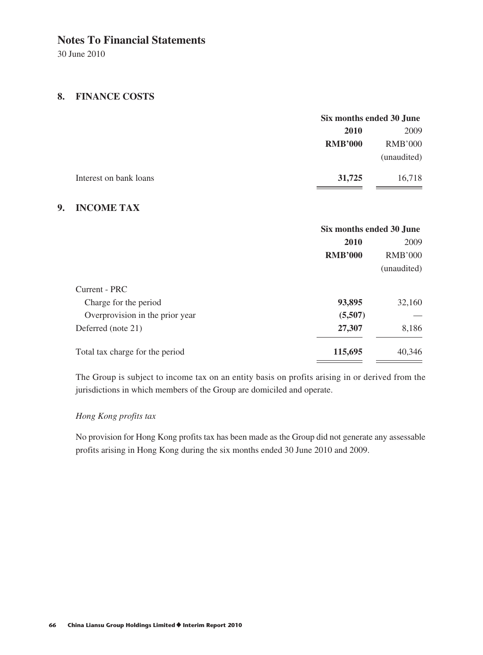30 June 2010

### **8. FINANCE COSTS**

|                        |                | Six months ended 30 June |  |
|------------------------|----------------|--------------------------|--|
|                        | <b>2010</b>    | 2009                     |  |
|                        | <b>RMB'000</b> | <b>RMB'000</b>           |  |
|                        |                | (unaudited)              |  |
| Interest on bank loans | 31,725         | 16,718                   |  |

### **9. INCOME TAX**

|                                 | Six months ended 30 June |                |  |
|---------------------------------|--------------------------|----------------|--|
|                                 | <b>2010</b>              | 2009           |  |
|                                 | <b>RMB'000</b>           | <b>RMB'000</b> |  |
|                                 |                          | (unaudited)    |  |
| Current - PRC                   |                          |                |  |
| Charge for the period           | 93,895                   | 32,160         |  |
| Overprovision in the prior year | (5,507)                  |                |  |
| Deferred (note 21)              | 27,307                   | 8,186          |  |
| Total tax charge for the period | 115,695                  | 40,346         |  |

The Group is subject to income tax on an entity basis on profits arising in or derived from the jurisdictions in which members of the Group are domiciled and operate.

### *Hong Kong profits tax*

No provision for Hong Kong profits tax has been made as the Group did not generate any assessable profits arising in Hong Kong during the six months ended 30 June 2010 and 2009.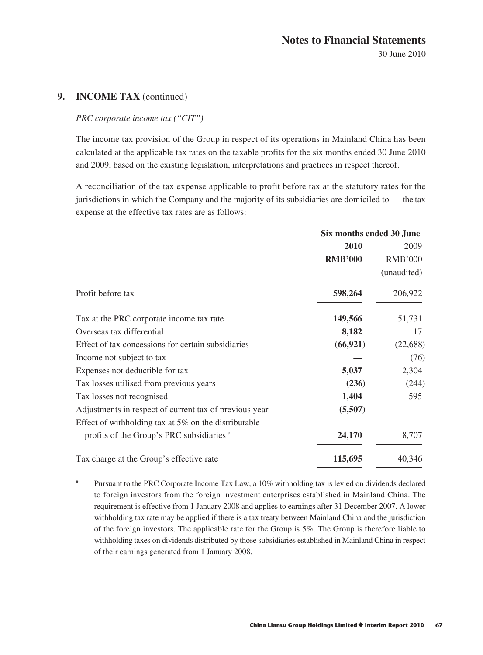### **9. INCOME TAX** (continued)

### *PRC corporate income tax ("CIT")*

The income tax provision of the Group in respect of its operations in Mainland China has been calculated at the applicable tax rates on the taxable profits for the six months ended 30 June 2010 and 2009, based on the existing legislation, interpretations and practices in respect thereof.

A reconciliation of the tax expense applicable to profit before tax at the statutory rates for the jurisdictions in which the Company and the majority of its subsidiaries are domiciled to the tax expense at the effective tax rates are as follows:

|                                                         | Six months ended 30 June |                |  |
|---------------------------------------------------------|--------------------------|----------------|--|
|                                                         | 2010                     | 2009           |  |
|                                                         | <b>RMB'000</b>           | <b>RMB'000</b> |  |
|                                                         |                          | (unaudited)    |  |
| Profit before tax                                       | 598,264                  | 206,922        |  |
| Tax at the PRC corporate income tax rate                | 149,566                  | 51,731         |  |
| Overseas tax differential                               | 8,182                    | 17             |  |
| Effect of tax concessions for certain subsidiaries      | (66, 921)                | (22, 688)      |  |
| Income not subject to tax                               |                          | (76)           |  |
| Expenses not deductible for tax                         | 5,037                    | 2,304          |  |
| Tax losses utilised from previous years                 | (236)                    | (244)          |  |
| Tax losses not recognised                               | 1,404                    | 595            |  |
| Adjustments in respect of current tax of previous year  | (5,507)                  |                |  |
| Effect of withholding tax at $5\%$ on the distributable |                          |                |  |
| profits of the Group's PRC subsidiaries <sup>#</sup>    | 24,170                   | 8,707          |  |
| Tax charge at the Group's effective rate                | 115,695                  | 40,346         |  |

<sup>#</sup> Pursuant to the PRC Corporate Income Tax Law, a 10% withholding tax is levied on dividends declared to foreign investors from the foreign investment enterprises established in Mainland China. The requirement is effective from 1 January 2008 and applies to earnings after 31 December 2007. A lower withholding tax rate may be applied if there is a tax treaty between Mainland China and the jurisdiction of the foreign investors. The applicable rate for the Group is 5%. The Group is therefore liable to withholding taxes on dividends distributed by those subsidiaries established in Mainland China in respect of their earnings generated from 1 January 2008.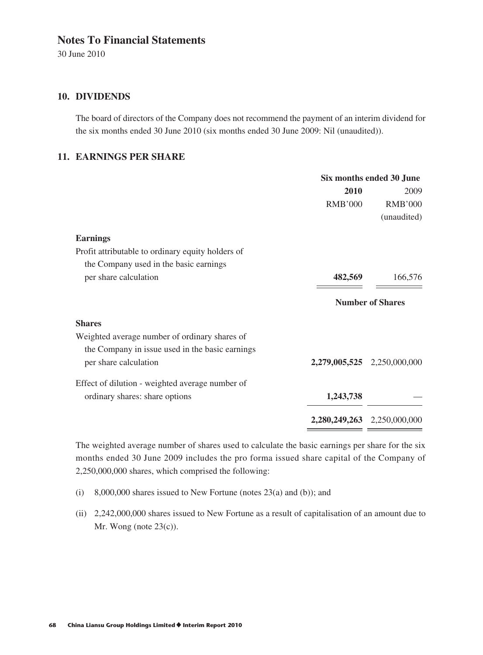30 June 2010

### **10. DIVIDENDS**

The board of directors of the Company does not recommend the payment of an interim dividend for the six months ended 30 June 2010 (six months ended 30 June 2009: Nil (unaudited)).

### **11. EARNINGS PER SHARE**

|                                                   | Six months ended 30 June |                             |  |
|---------------------------------------------------|--------------------------|-----------------------------|--|
|                                                   | 2010                     | 2009                        |  |
|                                                   | <b>RMB'000</b>           | <b>RMB'000</b>              |  |
|                                                   |                          | (unaudited)                 |  |
| <b>Earnings</b>                                   |                          |                             |  |
| Profit attributable to ordinary equity holders of |                          |                             |  |
| the Company used in the basic earnings            |                          |                             |  |
| per share calculation                             | 482,569                  | 166,576                     |  |
|                                                   | <b>Number of Shares</b>  |                             |  |
| <b>Shares</b>                                     |                          |                             |  |
| Weighted average number of ordinary shares of     |                          |                             |  |
| the Company in issue used in the basic earnings   |                          |                             |  |
| per share calculation                             |                          | 2,279,005,525 2,250,000,000 |  |
| Effect of dilution - weighted average number of   |                          |                             |  |
| ordinary shares: share options                    | 1,243,738                |                             |  |
|                                                   |                          | 2,280,249,263 2,250,000,000 |  |

The weighted average number of shares used to calculate the basic earnings per share for the six months ended 30 June 2009 includes the pro forma issued share capital of the Company of 2,250,000,000 shares, which comprised the following:

- (i)  $8,000,000$  shares issued to New Fortune (notes 23(a) and (b)); and
- (ii) 2,242,000,000 shares issued to New Fortune as a result of capitalisation of an amount due to Mr. Wong (note 23(c)).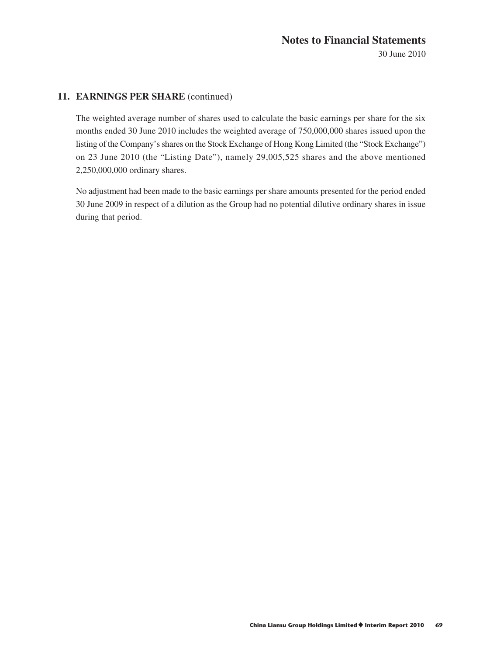30 June 2010

### **11. EARNINGS PER SHARE** (continued)

The weighted average number of shares used to calculate the basic earnings per share for the six months ended 30 June 2010 includes the weighted average of 750,000,000 shares issued upon the listing of the Company's shares on the Stock Exchange of Hong Kong Limited (the "Stock Exchange") on 23 June 2010 (the "Listing Date"), namely 29,005,525 shares and the above mentioned 2,250,000,000 ordinary shares.

No adjustment had been made to the basic earnings per share amounts presented for the period ended 30 June 2009 in respect of a dilution as the Group had no potential dilutive ordinary shares in issue during that period.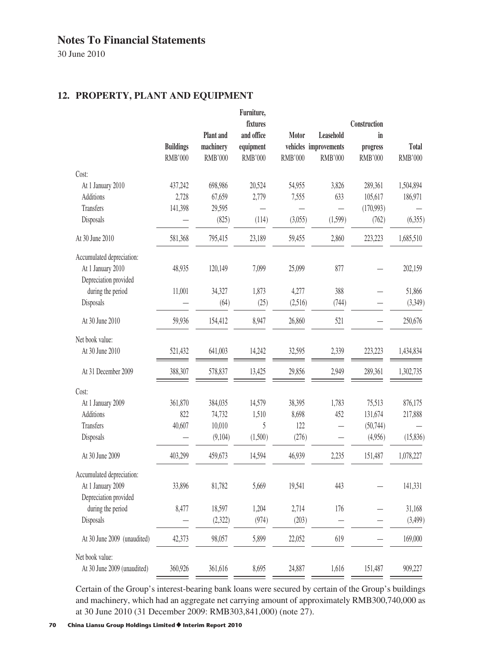30 June 2010

## **12. PROPERTY, PLANT AND EQUIPMENT**

| Cost:<br>437,242<br>698,986<br>54,955<br>3,826<br>289,361<br>At 1 January 2010<br>20,524<br>Additions<br>2,728<br>7,555<br>105,617<br>67,659<br>2,779<br>633<br><b>Transfers</b><br>141,398<br>29,595<br>(170, 993)<br>(114)<br>(3,055)<br>(1,599)<br>Disposals<br>(825)<br>(762)<br>At 30 June 2010<br>581,368<br>795,415<br>23,189<br>59,455<br>2,860<br>223,223<br>Accumulated depreciation:<br>At 1 January 2010<br>48,935<br>120,149<br>7,099<br>25,099<br>877<br>Depreciation provided<br>during the period<br>1,873<br>388<br>11,001<br>34,327<br>4,277<br>Disposals<br>(64)<br>(25)<br>(2,516)<br>(744)<br>59,936<br>26,860<br>521<br>At 30 June 2010<br>154,412<br>8,947<br>Net book value:<br>At 30 June 2010<br>2,339<br>223,223<br>521,432<br>641,003<br>14,242<br>32,595<br>29,856<br>2,949<br>At 31 December 2009<br>388,307<br>578,837<br>13,425<br>289,361<br>Cost:<br>1,783<br>75,513<br>At 1 January 2009<br>361,870<br>384,035<br>14,579<br>38,395<br>Additions<br>822<br>1,510<br>8,698<br>452<br>131,674<br>74,732<br>5<br>Transfers<br>122<br>40,607<br>10,010<br>(50, 744)<br>(1,500)<br>(276)<br>Disposals<br>(9,104)<br>(4,956)<br>At 30 June 2009<br>403,299<br>2,235<br>459,673<br>14,594<br>46,939<br>151,487<br>Accumulated depreciation:<br>At 1 January 2009<br>5,669<br>33,896<br>81,782<br>19,541<br>443<br>Depreciation provided<br>during the period<br>18,597<br>1,204<br>2,714<br>176<br>8,477<br>Disposals<br>(974)<br>(2,322)<br>(203) |                             | <b>Buildings</b><br><b>RMB'000</b> | Plant and<br>machinery<br><b>RMB'000</b> | Furniture,<br>fixtures<br>and office<br>equipment<br><b>RMB'000</b> | Motor<br><b>RMB'000</b> | Leasehold<br>vehicles improvements<br><b>RMB'000</b> | Construction<br>in<br>progress<br><b>RMB'000</b> | <b>Total</b><br><b>RMB'000</b> |
|-------------------------------------------------------------------------------------------------------------------------------------------------------------------------------------------------------------------------------------------------------------------------------------------------------------------------------------------------------------------------------------------------------------------------------------------------------------------------------------------------------------------------------------------------------------------------------------------------------------------------------------------------------------------------------------------------------------------------------------------------------------------------------------------------------------------------------------------------------------------------------------------------------------------------------------------------------------------------------------------------------------------------------------------------------------------------------------------------------------------------------------------------------------------------------------------------------------------------------------------------------------------------------------------------------------------------------------------------------------------------------------------------------------------------------------------------------------------------------|-----------------------------|------------------------------------|------------------------------------------|---------------------------------------------------------------------|-------------------------|------------------------------------------------------|--------------------------------------------------|--------------------------------|
|                                                                                                                                                                                                                                                                                                                                                                                                                                                                                                                                                                                                                                                                                                                                                                                                                                                                                                                                                                                                                                                                                                                                                                                                                                                                                                                                                                                                                                                                               |                             |                                    |                                          |                                                                     |                         |                                                      |                                                  |                                |
|                                                                                                                                                                                                                                                                                                                                                                                                                                                                                                                                                                                                                                                                                                                                                                                                                                                                                                                                                                                                                                                                                                                                                                                                                                                                                                                                                                                                                                                                               |                             |                                    |                                          |                                                                     |                         |                                                      |                                                  | 1,504,894                      |
|                                                                                                                                                                                                                                                                                                                                                                                                                                                                                                                                                                                                                                                                                                                                                                                                                                                                                                                                                                                                                                                                                                                                                                                                                                                                                                                                                                                                                                                                               |                             |                                    |                                          |                                                                     |                         |                                                      |                                                  | 186,971                        |
|                                                                                                                                                                                                                                                                                                                                                                                                                                                                                                                                                                                                                                                                                                                                                                                                                                                                                                                                                                                                                                                                                                                                                                                                                                                                                                                                                                                                                                                                               |                             |                                    |                                          |                                                                     |                         |                                                      |                                                  |                                |
|                                                                                                                                                                                                                                                                                                                                                                                                                                                                                                                                                                                                                                                                                                                                                                                                                                                                                                                                                                                                                                                                                                                                                                                                                                                                                                                                                                                                                                                                               |                             |                                    |                                          |                                                                     |                         |                                                      |                                                  | (6, 355)                       |
|                                                                                                                                                                                                                                                                                                                                                                                                                                                                                                                                                                                                                                                                                                                                                                                                                                                                                                                                                                                                                                                                                                                                                                                                                                                                                                                                                                                                                                                                               |                             |                                    |                                          |                                                                     |                         |                                                      |                                                  | 1,685,510                      |
|                                                                                                                                                                                                                                                                                                                                                                                                                                                                                                                                                                                                                                                                                                                                                                                                                                                                                                                                                                                                                                                                                                                                                                                                                                                                                                                                                                                                                                                                               |                             |                                    |                                          |                                                                     |                         |                                                      |                                                  | 202,159                        |
|                                                                                                                                                                                                                                                                                                                                                                                                                                                                                                                                                                                                                                                                                                                                                                                                                                                                                                                                                                                                                                                                                                                                                                                                                                                                                                                                                                                                                                                                               |                             |                                    |                                          |                                                                     |                         |                                                      |                                                  | 51,866                         |
|                                                                                                                                                                                                                                                                                                                                                                                                                                                                                                                                                                                                                                                                                                                                                                                                                                                                                                                                                                                                                                                                                                                                                                                                                                                                                                                                                                                                                                                                               |                             |                                    |                                          |                                                                     |                         |                                                      |                                                  | (3,349)                        |
|                                                                                                                                                                                                                                                                                                                                                                                                                                                                                                                                                                                                                                                                                                                                                                                                                                                                                                                                                                                                                                                                                                                                                                                                                                                                                                                                                                                                                                                                               |                             |                                    |                                          |                                                                     |                         |                                                      |                                                  | 250,676                        |
|                                                                                                                                                                                                                                                                                                                                                                                                                                                                                                                                                                                                                                                                                                                                                                                                                                                                                                                                                                                                                                                                                                                                                                                                                                                                                                                                                                                                                                                                               |                             |                                    |                                          |                                                                     |                         |                                                      |                                                  |                                |
|                                                                                                                                                                                                                                                                                                                                                                                                                                                                                                                                                                                                                                                                                                                                                                                                                                                                                                                                                                                                                                                                                                                                                                                                                                                                                                                                                                                                                                                                               |                             |                                    |                                          |                                                                     |                         |                                                      |                                                  | 1,434,834                      |
|                                                                                                                                                                                                                                                                                                                                                                                                                                                                                                                                                                                                                                                                                                                                                                                                                                                                                                                                                                                                                                                                                                                                                                                                                                                                                                                                                                                                                                                                               |                             |                                    |                                          |                                                                     |                         |                                                      |                                                  | 1,302,735                      |
|                                                                                                                                                                                                                                                                                                                                                                                                                                                                                                                                                                                                                                                                                                                                                                                                                                                                                                                                                                                                                                                                                                                                                                                                                                                                                                                                                                                                                                                                               |                             |                                    |                                          |                                                                     |                         |                                                      |                                                  |                                |
|                                                                                                                                                                                                                                                                                                                                                                                                                                                                                                                                                                                                                                                                                                                                                                                                                                                                                                                                                                                                                                                                                                                                                                                                                                                                                                                                                                                                                                                                               |                             |                                    |                                          |                                                                     |                         |                                                      |                                                  | 876,175                        |
|                                                                                                                                                                                                                                                                                                                                                                                                                                                                                                                                                                                                                                                                                                                                                                                                                                                                                                                                                                                                                                                                                                                                                                                                                                                                                                                                                                                                                                                                               |                             |                                    |                                          |                                                                     |                         |                                                      |                                                  | 217,888                        |
|                                                                                                                                                                                                                                                                                                                                                                                                                                                                                                                                                                                                                                                                                                                                                                                                                                                                                                                                                                                                                                                                                                                                                                                                                                                                                                                                                                                                                                                                               |                             |                                    |                                          |                                                                     |                         |                                                      |                                                  |                                |
|                                                                                                                                                                                                                                                                                                                                                                                                                                                                                                                                                                                                                                                                                                                                                                                                                                                                                                                                                                                                                                                                                                                                                                                                                                                                                                                                                                                                                                                                               |                             |                                    |                                          |                                                                     |                         |                                                      |                                                  | (15, 836)                      |
|                                                                                                                                                                                                                                                                                                                                                                                                                                                                                                                                                                                                                                                                                                                                                                                                                                                                                                                                                                                                                                                                                                                                                                                                                                                                                                                                                                                                                                                                               |                             |                                    |                                          |                                                                     |                         |                                                      |                                                  | 1,078,227                      |
|                                                                                                                                                                                                                                                                                                                                                                                                                                                                                                                                                                                                                                                                                                                                                                                                                                                                                                                                                                                                                                                                                                                                                                                                                                                                                                                                                                                                                                                                               |                             |                                    |                                          |                                                                     |                         |                                                      |                                                  |                                |
|                                                                                                                                                                                                                                                                                                                                                                                                                                                                                                                                                                                                                                                                                                                                                                                                                                                                                                                                                                                                                                                                                                                                                                                                                                                                                                                                                                                                                                                                               |                             |                                    |                                          |                                                                     |                         |                                                      |                                                  | 141,331                        |
|                                                                                                                                                                                                                                                                                                                                                                                                                                                                                                                                                                                                                                                                                                                                                                                                                                                                                                                                                                                                                                                                                                                                                                                                                                                                                                                                                                                                                                                                               |                             |                                    |                                          |                                                                     |                         |                                                      |                                                  |                                |
|                                                                                                                                                                                                                                                                                                                                                                                                                                                                                                                                                                                                                                                                                                                                                                                                                                                                                                                                                                                                                                                                                                                                                                                                                                                                                                                                                                                                                                                                               |                             |                                    |                                          |                                                                     |                         |                                                      |                                                  | 31,168                         |
|                                                                                                                                                                                                                                                                                                                                                                                                                                                                                                                                                                                                                                                                                                                                                                                                                                                                                                                                                                                                                                                                                                                                                                                                                                                                                                                                                                                                                                                                               |                             |                                    |                                          |                                                                     |                         |                                                      |                                                  | (3,499)                        |
|                                                                                                                                                                                                                                                                                                                                                                                                                                                                                                                                                                                                                                                                                                                                                                                                                                                                                                                                                                                                                                                                                                                                                                                                                                                                                                                                                                                                                                                                               | At 30 June 2009 (unaudited) | 42,373                             | 98,057                                   | 5,899                                                               | 22,052                  | 619                                                  |                                                  | 169,000                        |
| Net book value:                                                                                                                                                                                                                                                                                                                                                                                                                                                                                                                                                                                                                                                                                                                                                                                                                                                                                                                                                                                                                                                                                                                                                                                                                                                                                                                                                                                                                                                               |                             |                                    |                                          |                                                                     |                         |                                                      |                                                  |                                |
| At 30 June 2009 (unaudited)<br>360,926<br>361,616<br>8,695<br>24,887<br>1,616<br>151,487                                                                                                                                                                                                                                                                                                                                                                                                                                                                                                                                                                                                                                                                                                                                                                                                                                                                                                                                                                                                                                                                                                                                                                                                                                                                                                                                                                                      |                             |                                    |                                          |                                                                     |                         |                                                      |                                                  | 909,227                        |

Certain of the Group's interest-bearing bank loans were secured by certain of the Group's buildings and machinery, which had an aggregate net carrying amount of approximately RMB300,740,000 as at 30 June 2010 (31 December 2009: RMB303,841,000) (note 27).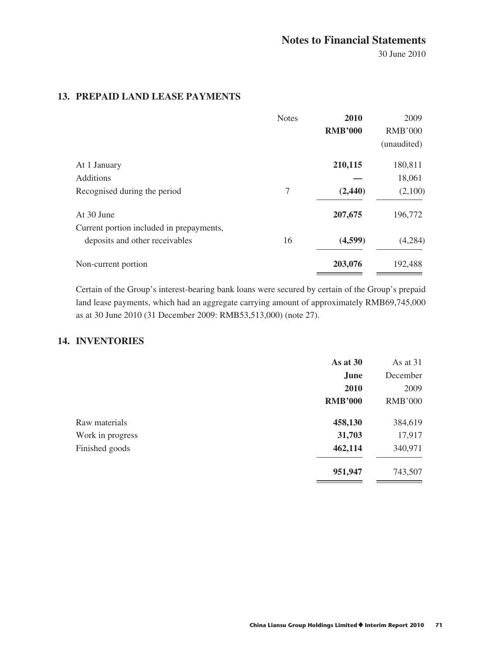### **13. PREPAID LAND LEASE PAYMENTS**

| <b>Notes</b> | 2010<br><b>RMB'000</b> | 2009<br><b>RMB'000</b> |
|--------------|------------------------|------------------------|
|              |                        | (unaudited)            |
|              | 210,115                | 180,811                |
|              |                        | 18,061                 |
| 7            | (2,440)                | (2,100)                |
|              | 207,675                | 196,772                |
|              |                        |                        |
| 16           | (4,599)                | (4,284)                |
|              | 203,076                | 192,488                |
|              |                        |                        |

Certain of the Group's interest-bearing bank loans were secured by certain of the Group's prepaid land lease payments, which had an aggregate carrying amount of approximately RMB69,745,000 as at 30 June 2010 (31 December 2009: RMB53,513,000) (note 27).

### **14. INVENTORIES**

|                  | As at 30       | As at $31$     |
|------------------|----------------|----------------|
|                  | June           | December       |
|                  | 2010           | 2009           |
|                  | <b>RMB'000</b> | <b>RMB'000</b> |
| Raw materials    | 458,130        | 384,619        |
| Work in progress | 31,703         | 17,917         |
| Finished goods   | 462,114        | 340,971        |
|                  | 951,947        | 743,507        |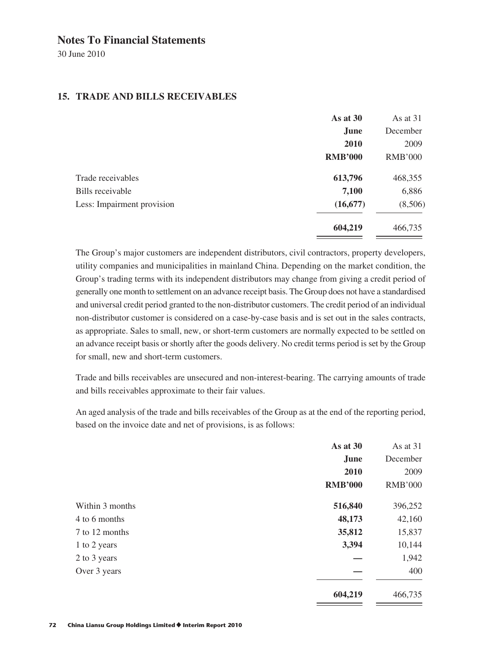30 June 2010

### **15. TRADE AND BILLS RECEIVABLES**

|                            | As at 30       | As at 31       |
|----------------------------|----------------|----------------|
|                            | June           | December       |
|                            | 2010           | 2009           |
|                            | <b>RMB'000</b> | <b>RMB'000</b> |
| Trade receivables          | 613,796        | 468,355        |
| Bills receivable           | 7,100          | 6,886          |
| Less: Impairment provision | (16, 677)      | (8,506)        |
|                            | 604,219        | 466,735        |

The Group's major customers are independent distributors, civil contractors, property developers, utility companies and municipalities in mainland China. Depending on the market condition, the Group's trading terms with its independent distributors may change from giving a credit period of generally one month to settlement on an advance receipt basis. The Group does not have a standardised and universal credit period granted to the non-distributor customers. The credit period of an individual non-distributor customer is considered on a case-by-case basis and is set out in the sales contracts, as appropriate. Sales to small, new, or short-term customers are normally expected to be settled on an advance receipt basis or shortly after the goods delivery. No credit terms period is set by the Group for small, new and short-term customers.

Trade and bills receivables are unsecured and non-interest-bearing. The carrying amounts of trade and bills receivables approximate to their fair values.

An aged analysis of the trade and bills receivables of the Group as at the end of the reporting period, based on the invoice date and net of provisions, is as follows:

|                 | As at 30       | As at 31       |
|-----------------|----------------|----------------|
|                 | June           | December       |
|                 | 2010           | 2009           |
|                 | <b>RMB'000</b> | <b>RMB'000</b> |
| Within 3 months | 516,840        | 396,252        |
| 4 to 6 months   | 48,173         | 42,160         |
| 7 to 12 months  | 35,812         | 15,837         |
| 1 to 2 years    | 3,394          | 10,144         |
| 2 to 3 years    |                | 1,942          |
| Over 3 years    |                | 400            |
|                 | 604,219        | 466,735        |
|                 |                |                |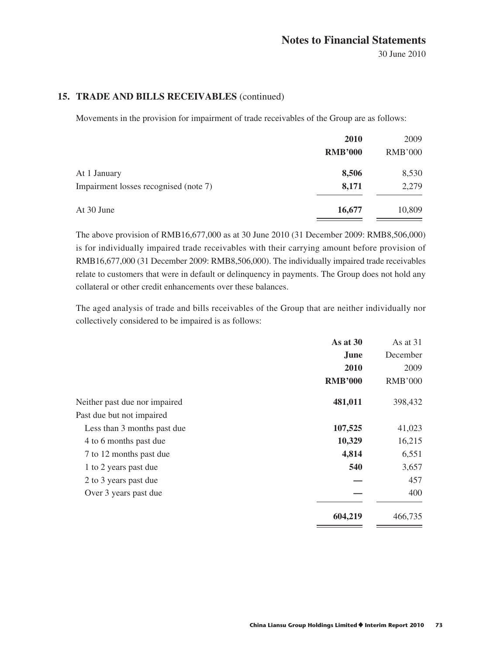## **15. TRADE AND BILLS RECEIVABLES** (continued)

Movements in the provision for impairment of trade receivables of the Group are as follows:

|                                       | <b>2010</b><br><b>RMB'000</b> | 2009<br><b>RMB'000</b> |
|---------------------------------------|-------------------------------|------------------------|
| At 1 January                          | 8,506                         | 8,530                  |
| Impairment losses recognised (note 7) | 8,171                         | 2,279                  |
| At 30 June                            | 16,677                        | 10,809                 |

The above provision of RMB16,677,000 as at 30 June 2010 (31 December 2009: RMB8,506,000) is for individually impaired trade receivables with their carrying amount before provision of RMB16,677,000 (31 December 2009: RMB8,506,000). The individually impaired trade receivables relate to customers that were in default or delinquency in payments. The Group does not hold any collateral or other credit enhancements over these balances.

The aged analysis of trade and bills receivables of the Group that are neither individually nor collectively considered to be impaired is as follows:

| As at 30<br>As at $31$           |                               |
|----------------------------------|-------------------------------|
| December<br>June                 |                               |
| 2009<br>2010                     |                               |
| <b>RMB'000</b><br><b>RMB'000</b> |                               |
| 481,011<br>398,432               | Neither past due nor impaired |
|                                  | Past due but not impaired     |
| 41,023<br>107,525                | Less than 3 months past due   |
| 16,215<br>10,329                 | 4 to 6 months past due        |
| 6,551<br>4,814                   | 7 to 12 months past due       |
| 540<br>3,657                     | 1 to 2 years past due         |
| 457                              | 2 to 3 years past due         |
| 400                              | Over 3 years past due         |
| 466,735<br>604,219               |                               |
|                                  |                               |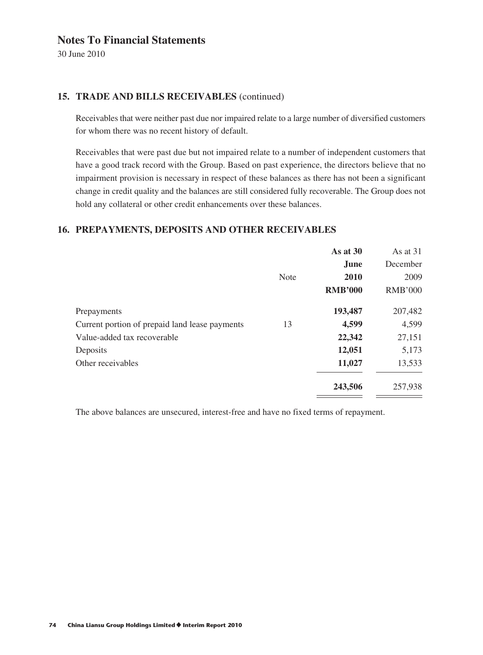30 June 2010

## **15. TRADE AND BILLS RECEIVABLES** (continued)

Receivables that were neither past due nor impaired relate to a large number of diversified customers for whom there was no recent history of default.

Receivables that were past due but not impaired relate to a number of independent customers that have a good track record with the Group. Based on past experience, the directors believe that no impairment provision is necessary in respect of these balances as there has not been a significant change in credit quality and the balances are still considered fully recoverable. The Group does not hold any collateral or other credit enhancements over these balances.

## **16. PREPAYMENTS, DEPOSITS AND OTHER RECEIVABLES**

|                                                |             | As at 30       | As at $31$     |
|------------------------------------------------|-------------|----------------|----------------|
|                                                |             | June           | December       |
|                                                | <b>Note</b> | <b>2010</b>    | 2009           |
|                                                |             | <b>RMB'000</b> | <b>RMB'000</b> |
| Prepayments                                    |             | 193,487        | 207,482        |
| Current portion of prepaid land lease payments | 13          | 4,599          | 4,599          |
| Value-added tax recoverable                    |             | 22,342         | 27,151         |
| Deposits                                       |             | 12,051         | 5,173          |
| Other receivables                              |             | 11,027         | 13,533         |
|                                                |             | 243,506        | 257,938        |

The above balances are unsecured, interest-free and have no fixed terms of repayment.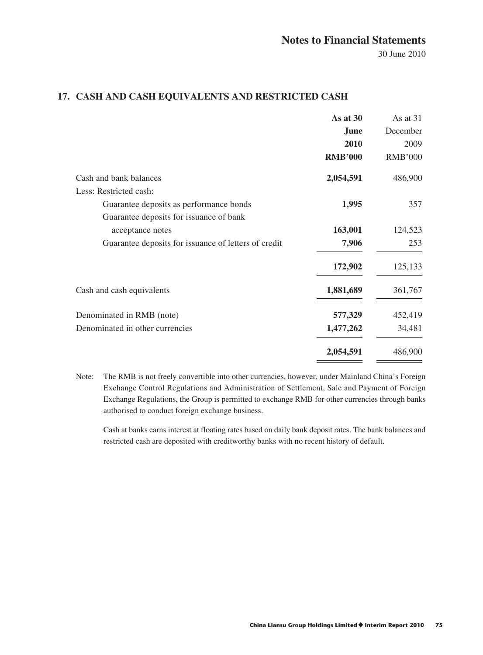30 June 2010

### **17. CASH AND CASH EQUIVALENTS AND RESTRICTED CASH**

|                                                      | As at 30       | As at 31       |
|------------------------------------------------------|----------------|----------------|
|                                                      | June           | December       |
|                                                      | 2010           | 2009           |
|                                                      | <b>RMB'000</b> | <b>RMB'000</b> |
| Cash and bank balances                               | 2,054,591      | 486,900        |
| Less: Restricted cash:                               |                |                |
| Guarantee deposits as performance bonds              | 1,995          | 357            |
| Guarantee deposits for issuance of bank              |                |                |
| acceptance notes                                     | 163,001        | 124,523        |
| Guarantee deposits for issuance of letters of credit | 7,906          | 253            |
|                                                      | 172,902        | 125,133        |
| Cash and cash equivalents                            | 1,881,689      | 361,767        |
| Denominated in RMB (note)                            | 577,329        | 452,419        |
| Denominated in other currencies                      | 1,477,262      | 34,481         |
|                                                      | 2,054,591      | 486,900        |

Note: The RMB is not freely convertible into other currencies, however, under Mainland China's Foreign Exchange Control Regulations and Administration of Settlement, Sale and Payment of Foreign Exchange Regulations, the Group is permitted to exchange RMB for other currencies through banks authorised to conduct foreign exchange business.

Cash at banks earns interest at floating rates based on daily bank deposit rates. The bank balances and restricted cash are deposited with creditworthy banks with no recent history of default.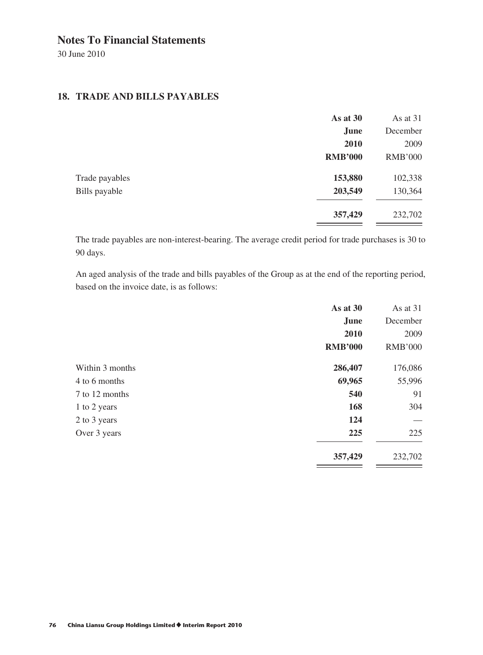30 June 2010

## **18. TRADE AND BILLS PAYABLES**

|                | As at 30       | As at 31       |
|----------------|----------------|----------------|
|                | June           | December       |
|                | 2010           | 2009           |
|                | <b>RMB'000</b> | <b>RMB'000</b> |
| Trade payables | 153,880        | 102,338        |
| Bills payable  | 203,549        | 130,364        |
|                | 357,429        | 232,702        |

The trade payables are non-interest-bearing. The average credit period for trade purchases is 30 to 90 days.

An aged analysis of the trade and bills payables of the Group as at the end of the reporting period, based on the invoice date, is as follows:

|                 | As at 30       | As at $31$     |
|-----------------|----------------|----------------|
|                 | June           | December       |
|                 | 2010           | 2009           |
|                 | <b>RMB'000</b> | <b>RMB'000</b> |
| Within 3 months | 286,407        | 176,086        |
| 4 to 6 months   | 69,965         | 55,996         |
| 7 to 12 months  | 540            | 91             |
| 1 to 2 years    | 168            | 304            |
| 2 to 3 years    | 124            |                |
| Over 3 years    | 225            | 225            |
|                 | 357,429        | 232,702        |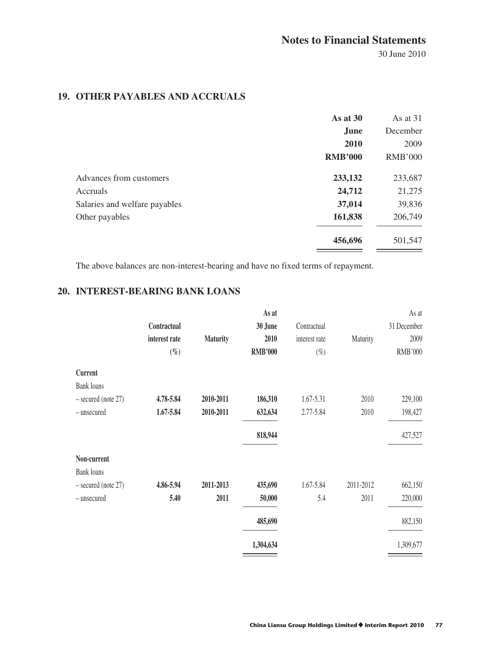# **19. OTHER PAYABLES AND ACCRUALS**

|                               | As at 30       | As at $31$     |
|-------------------------------|----------------|----------------|
|                               | June           | December       |
|                               | 2010           | 2009           |
|                               | <b>RMB'000</b> | <b>RMB'000</b> |
| Advances from customers       | 233,132        | 233,687        |
| Accruals                      | 24,712         | 21,275         |
| Salaries and welfare payables | 37,014         | 39,836         |
| Other payables                | 161,838        | 206,749        |
|                               | 456,696        | 501,547        |
|                               |                |                |

The above balances are non-interest-bearing and have no fixed terms of repayment.

## **20. INTEREST-BEARING BANK LOANS**

|                     |               |                 | As at          |               |           | As at          |
|---------------------|---------------|-----------------|----------------|---------------|-----------|----------------|
|                     | Contractual   |                 | 30 June        | Contractual   |           | 31 December    |
|                     | interest rate | <b>Maturity</b> | 2010           | interest rate | Maturity  | 2009           |
|                     | $(\%)$        |                 | <b>RMB'000</b> | $(\%)$        |           | <b>RMB'000</b> |
| Current             |               |                 |                |               |           |                |
| <b>Bank</b> loans   |               |                 |                |               |           |                |
| - secured (note 27) | 4.78-5.84     | 2010-2011       | 186,310        | 1.67-5.31     | 2010      | 229,100        |
| - unsecured         | 1.67-5.84     | 2010-2011       | 632,634        | 2.77-5.84     | 2010      | 198,427        |
|                     |               |                 | 818,944        |               |           | 427,527        |
| Non-current         |               |                 |                |               |           |                |
| <b>Bank</b> loans   |               |                 |                |               |           |                |
| - secured (note 27) | 4.86-5.94     | 2011-2013       | 435,690        | 1.67-5.84     | 2011-2012 | 662,150        |
| - unsecured         | 5.40          | 2011            | 50,000         | 5.4           | 2011      | 220,000        |
|                     |               |                 | 485,690        |               |           | 882,150        |
|                     |               |                 | 1,304,634      |               |           | 1,309,677      |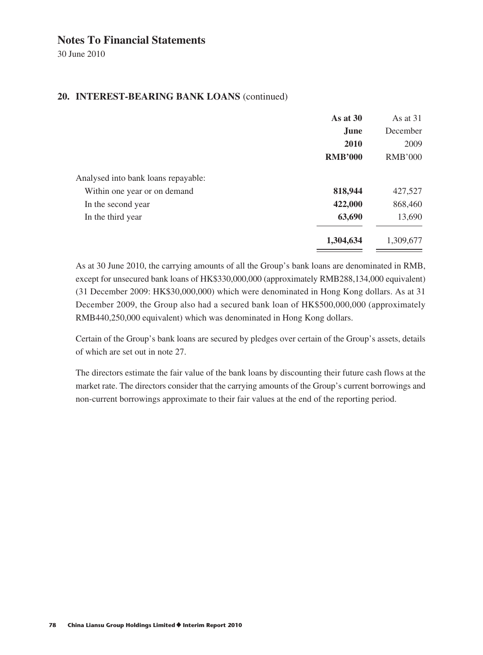30 June 2010

### **20. INTEREST-BEARING BANK LOANS** (continued)

|                                     | As at $30$     | As at $31$     |
|-------------------------------------|----------------|----------------|
|                                     | June           | December       |
|                                     | 2010           | 2009           |
|                                     | <b>RMB'000</b> | <b>RMB'000</b> |
| Analysed into bank loans repayable: |                |                |
| Within one year or on demand        | 818,944        | 427,527        |
| In the second year                  | 422,000        | 868,460        |
| In the third year                   | 63,690         | 13,690         |
|                                     | 1,304,634      | 1,309,677      |

As at 30 June 2010, the carrying amounts of all the Group's bank loans are denominated in RMB, except for unsecured bank loans of HK\$330,000,000 (approximately RMB288,134,000 equivalent) (31 December 2009: HK\$30,000,000) which were denominated in Hong Kong dollars. As at 31 December 2009, the Group also had a secured bank loan of HK\$500,000,000 (approximately RMB440,250,000 equivalent) which was denominated in Hong Kong dollars.

Certain of the Group's bank loans are secured by pledges over certain of the Group's assets, details of which are set out in note 27.

The directors estimate the fair value of the bank loans by discounting their future cash flows at the market rate. The directors consider that the carrying amounts of the Group's current borrowings and non-current borrowings approximate to their fair values at the end of the reporting period.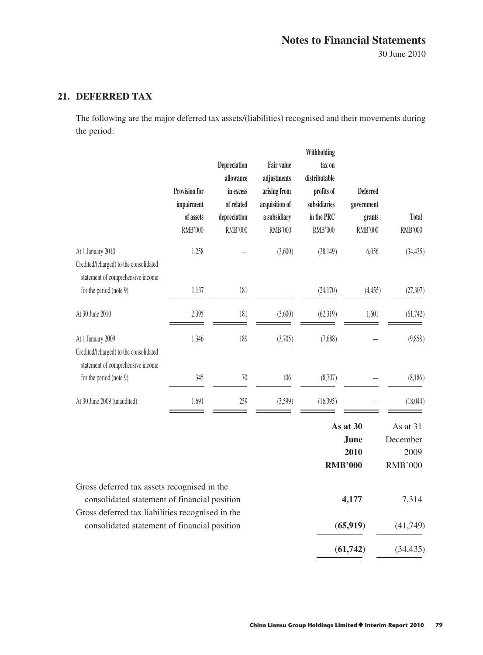## **21. DEFERRED TAX**

The following are the major deferred tax assets/(liabilities) recognised and their movements during the period:

|                                                                                                  |                         |                         |                                | Withholding                |                      |                |
|--------------------------------------------------------------------------------------------------|-------------------------|-------------------------|--------------------------------|----------------------------|----------------------|----------------|
|                                                                                                  |                         | Depreciation            | Fair value                     | tax on                     |                      |                |
|                                                                                                  |                         | allowance               | adjustments                    | distributable              |                      |                |
|                                                                                                  | <b>Provision for</b>    | in excess<br>of related | arising from                   | profits of<br>subsidiaries | <b>Deferred</b>      |                |
|                                                                                                  | impairment<br>of assets | depreciation            | acquisition of<br>a subsidiary | in the PRC                 | government<br>grants | <b>Total</b>   |
|                                                                                                  | <b>RMB'000</b>          | <b>RMB'000</b>          | <b>RMB'000</b>                 | <b>RMB'000</b>             | <b>RMB'000</b>       | <b>RMB'000</b> |
| At 1 January 2010                                                                                | 1,258                   |                         | (3,600)                        | (38,149)                   | 6,056                | (34, 435)      |
| Credited/(charged) to the consolidated                                                           |                         |                         |                                |                            |                      |                |
| statement of comprehensive income                                                                |                         |                         |                                |                            |                      |                |
| for the period (note 9)                                                                          | 1,137                   | 181                     |                                | (24,170)                   | (4, 455)             | (27, 307)      |
| At 30 June 2010                                                                                  | 2,395                   | 181                     | (3,600)                        | (62, 319)                  | 1,601                | (61, 742)      |
| At 1 January 2009                                                                                | 1,346                   | 189                     | (3,705)                        | (7,688)                    |                      | (9,858)        |
| Credited/(charged) to the consolidated<br>statement of comprehensive income                      |                         |                         |                                |                            |                      |                |
| for the period (note 9)                                                                          | 345                     | $70\,$                  | 106                            | (8,707)                    |                      | (8,186)        |
| At 30 June 2009 (unaudited)                                                                      | 1,691                   | 259                     | (3,599)                        | (16, 395)                  |                      | (18,044)       |
|                                                                                                  |                         |                         |                                |                            | As at 30             | As at 31       |
|                                                                                                  |                         |                         |                                |                            | June                 | December       |
|                                                                                                  |                         |                         |                                |                            | 2010                 | 2009           |
|                                                                                                  |                         |                         |                                |                            | <b>RMB'000</b>       | <b>RMB'000</b> |
| Gross deferred tax assets recognised in the                                                      |                         |                         |                                |                            |                      |                |
| consolidated statement of financial position                                                     |                         |                         |                                |                            | 4,177                | 7,314          |
| Gross deferred tax liabilities recognised in the<br>consolidated statement of financial position |                         |                         |                                |                            | (65, 919)            | (41, 749)      |

 $\frac{(61,742)}{2}$   $\frac{(34,435)}{2}$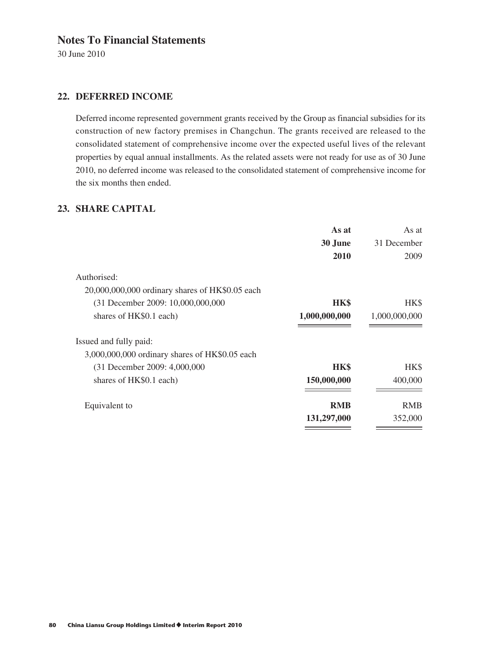30 June 2010

### **22. DEFERRED INCOME**

Deferred income represented government grants received by the Group as financial subsidies for its construction of new factory premises in Changchun. The grants received are released to the consolidated statement of comprehensive income over the expected useful lives of the relevant properties by equal annual installments. As the related assets were not ready for use as of 30 June 2010, no deferred income was released to the consolidated statement of comprehensive income for the six months then ended.

## **23. SHARE CAPITAL**

|                                                 | As at         | As at         |
|-------------------------------------------------|---------------|---------------|
|                                                 | 30 June       | 31 December   |
|                                                 | 2010          | 2009          |
| Authorised:                                     |               |               |
| 20,000,000,000 ordinary shares of HK\$0.05 each |               |               |
| (31 December 2009: 10,000,000,000               | <b>HK\$</b>   | HK\$          |
| shares of HK\$0.1 each)                         | 1,000,000,000 | 1,000,000,000 |
| Issued and fully paid:                          |               |               |
| 3,000,000,000 ordinary shares of HK\$0.05 each  |               |               |
| (31 December 2009: 4,000,000                    | <b>HK\$</b>   | HK\$          |
| shares of HK\$0.1 each)                         | 150,000,000   | 400,000       |
| Equivalent to                                   | <b>RMB</b>    | <b>RMB</b>    |
|                                                 | 131,297,000   | 352,000       |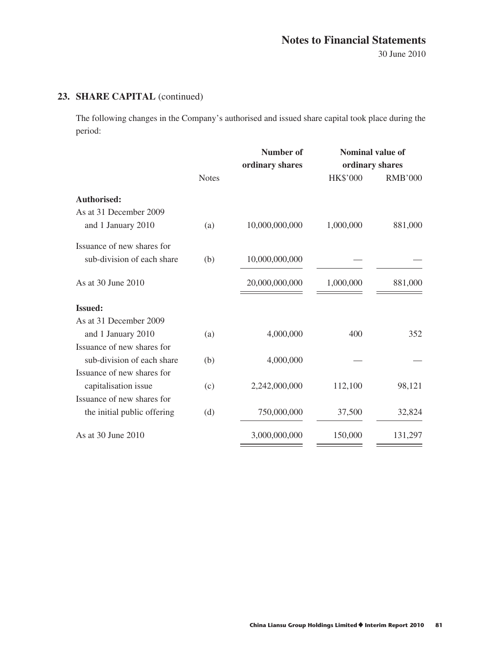30 June 2010

## 23. **SHARE CAPITAL** (continued)

The following changes in the Company's authorised and issued share capital took place during the period:

|                             |              | <b>Number of</b><br>ordinary shares | <b>Nominal value of</b><br>ordinary shares |                |
|-----------------------------|--------------|-------------------------------------|--------------------------------------------|----------------|
|                             | <b>Notes</b> |                                     | <b>HK\$'000</b>                            | <b>RMB'000</b> |
| <b>Authorised:</b>          |              |                                     |                                            |                |
| As at 31 December 2009      |              |                                     |                                            |                |
| and 1 January 2010          | (a)          | 10,000,000,000                      | 1,000,000                                  | 881,000        |
| Issuance of new shares for  |              |                                     |                                            |                |
| sub-division of each share  | (b)          | 10,000,000,000                      |                                            |                |
| As at 30 June 2010          |              | 20,000,000,000                      | 1,000,000                                  | 881,000        |
| <b>Issued:</b>              |              |                                     |                                            |                |
| As at 31 December 2009      |              |                                     |                                            |                |
| and 1 January 2010          | (a)          | 4,000,000                           | 400                                        | 352            |
| Issuance of new shares for  |              |                                     |                                            |                |
| sub-division of each share  | (b)          | 4,000,000                           |                                            |                |
| Issuance of new shares for  |              |                                     |                                            |                |
| capitalisation issue        | (c)          | 2,242,000,000                       | 112,100                                    | 98,121         |
| Issuance of new shares for  |              |                                     |                                            |                |
| the initial public offering | (d)          | 750,000,000                         | 37,500                                     | 32,824         |
| As at 30 June 2010          |              | 3,000,000,000                       | 150,000                                    | 131,297        |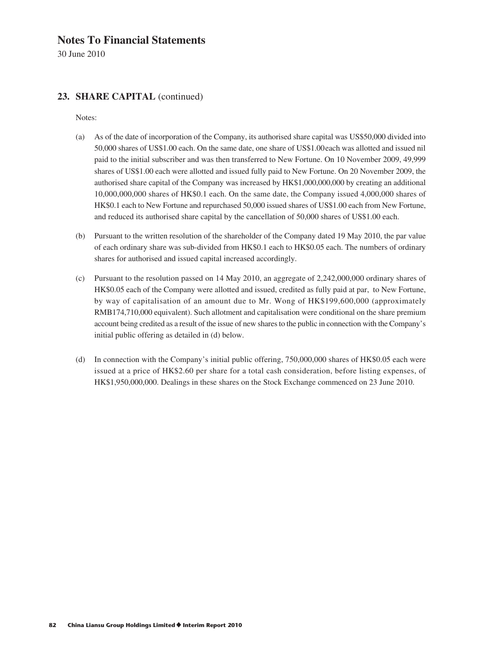30 June 2010

## 23. **SHARE CAPITAL** (continued)

Notes:

- (a) As of the date of incorporation of the Company, its authorised share capital was US\$50,000 divided into 50,000 shares of US\$1.00 each. On the same date, one share of US\$1.00each was allotted and issued nil paid to the initial subscriber and was then transferred to New Fortune. On 10 November 2009, 49,999 shares of US\$1.00 each were allotted and issued fully paid to New Fortune. On 20 November 2009, the authorised share capital of the Company was increased by HK\$1,000,000,000 by creating an additional 10,000,000,000 shares of HK\$0.1 each. On the same date, the Company issued 4,000,000 shares of HK\$0.1 each to New Fortune and repurchased 50,000 issued shares of US\$1.00 each from New Fortune, and reduced its authorised share capital by the cancellation of 50,000 shares of US\$1.00 each.
- (b) Pursuant to the written resolution of the shareholder of the Company dated 19 May 2010, the par value of each ordinary share was sub-divided from HK\$0.1 each to HK\$0.05 each. The numbers of ordinary shares for authorised and issued capital increased accordingly.
- (c) Pursuant to the resolution passed on 14 May 2010, an aggregate of 2,242,000,000 ordinary shares of HK\$0.05 each of the Company were allotted and issued, credited as fully paid at par, to New Fortune, by way of capitalisation of an amount due to Mr. Wong of HK\$199,600,000 (approximately RMB174,710,000 equivalent). Such allotment and capitalisation were conditional on the share premium account being credited as a result of the issue of new shares to the public in connection with the Company's initial public offering as detailed in (d) below.
- (d) In connection with the Company's initial public offering, 750,000,000 shares of HK\$0.05 each were issued at a price of HK\$2.60 per share for a total cash consideration, before listing expenses, of HK\$1,950,000,000. Dealings in these shares on the Stock Exchange commenced on 23 June 2010.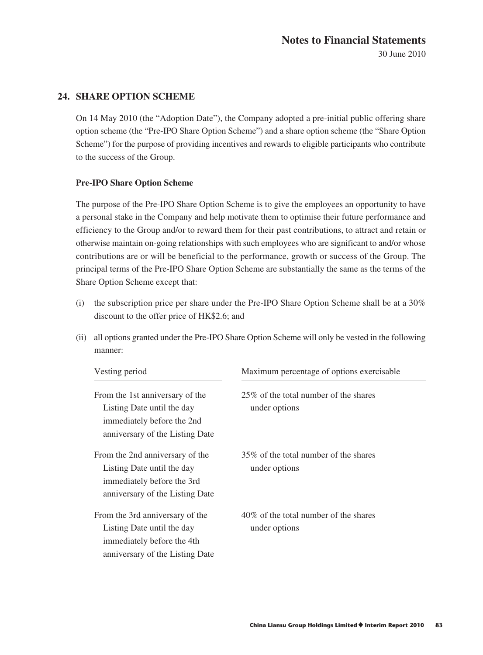30 June 2010

### **24. SHARE OPTION SCHEME**

On 14 May 2010 (the "Adoption Date"), the Company adopted a pre-initial public offering share option scheme (the "Pre-IPO Share Option Scheme") and a share option scheme (the "Share Option Scheme") for the purpose of providing incentives and rewards to eligible participants who contribute to the success of the Group.

#### **Pre-IPO Share Option Scheme**

The purpose of the Pre-IPO Share Option Scheme is to give the employees an opportunity to have a personal stake in the Company and help motivate them to optimise their future performance and efficiency to the Group and/or to reward them for their past contributions, to attract and retain or otherwise maintain on-going relationships with such employees who are significant to and/or whose contributions are or will be beneficial to the performance, growth or success of the Group. The principal terms of the Pre-IPO Share Option Scheme are substantially the same as the terms of the Share Option Scheme except that:

- (i) the subscription price per share under the Pre-IPO Share Option Scheme shall be at a 30% discount to the offer price of HK\$2.6; and
- (ii) all options granted under the Pre-IPO Share Option Scheme will only be vested in the following manner:

| Vesting period                                                                                                                 | Maximum percentage of options exercisable               |
|--------------------------------------------------------------------------------------------------------------------------------|---------------------------------------------------------|
| From the 1st anniversary of the<br>Listing Date until the day<br>immediately before the 2nd<br>anniversary of the Listing Date | 25\% of the total number of the shares<br>under options |
| From the 2nd anniversary of the<br>Listing Date until the day<br>immediately before the 3rd<br>anniversary of the Listing Date | 35\% of the total number of the shares<br>under options |
| From the 3rd anniversary of the<br>Listing Date until the day<br>immediately before the 4th<br>anniversary of the Listing Date | 40\% of the total number of the shares<br>under options |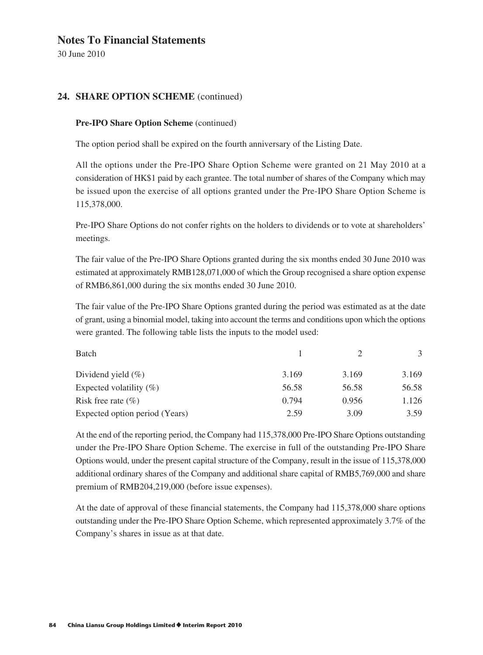30 June 2010

## **24. SHARE OPTION SCHEME** (continued)

#### **Pre-IPO Share Option Scheme** (continued)

The option period shall be expired on the fourth anniversary of the Listing Date.

All the options under the Pre-IPO Share Option Scheme were granted on 21 May 2010 at a consideration of HK\$1 paid by each grantee. The total number of shares of the Company which may be issued upon the exercise of all options granted under the Pre-IPO Share Option Scheme is 115,378,000.

Pre-IPO Share Options do not confer rights on the holders to dividends or to vote at shareholders' meetings.

The fair value of the Pre-IPO Share Options granted during the six months ended 30 June 2010 was estimated at approximately RMB128,071,000 of which the Group recognised a share option expense of RMB6,861,000 during the six months ended 30 June 2010.

The fair value of the Pre-IPO Share Options granted during the period was estimated as at the date of grant, using a binomial model, taking into account the terms and conditions upon which the options were granted. The following table lists the inputs to the model used:

| <b>Batch</b>                   |       |       | 3     |
|--------------------------------|-------|-------|-------|
| Dividend yield $(\% )$         | 3.169 | 3.169 | 3.169 |
| Expected volatility $(\%)$     | 56.58 | 56.58 | 56.58 |
| Risk free rate $(\% )$         | 0.794 | 0.956 | 1.126 |
| Expected option period (Years) | 2.59  | 3.09  | 3.59  |

At the end of the reporting period, the Company had 115,378,000 Pre-IPO Share Options outstanding under the Pre-IPO Share Option Scheme. The exercise in full of the outstanding Pre-IPO Share Options would, under the present capital structure of the Company, result in the issue of 115,378,000 additional ordinary shares of the Company and additional share capital of RMB5,769,000 and share premium of RMB204,219,000 (before issue expenses).

At the date of approval of these financial statements, the Company had 115,378,000 share options outstanding under the Pre-IPO Share Option Scheme, which represented approximately 3.7% of the Company's shares in issue as at that date.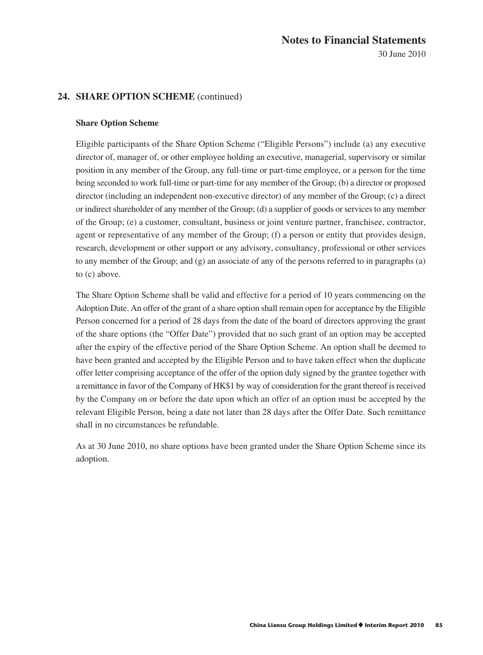30 June 2010

### **24. SHARE OPTION SCHEME** (continued)

#### **Share Option Scheme**

Eligible participants of the Share Option Scheme ("Eligible Persons") include (a) any executive director of, manager of, or other employee holding an executive, managerial, supervisory or similar position in any member of the Group, any full-time or part-time employee, or a person for the time being seconded to work full-time or part-time for any member of the Group; (b) a director or proposed director (including an independent non-executive director) of any member of the Group; (c) a direct or indirect shareholder of any member of the Group; (d) a supplier of goods or services to any member of the Group; (e) a customer, consultant, business or joint venture partner, franchisee, contractor, agent or representative of any member of the Group; (f) a person or entity that provides design, research, development or other support or any advisory, consultancy, professional or other services to any member of the Group; and (g) an associate of any of the persons referred to in paragraphs (a) to (c) above.

The Share Option Scheme shall be valid and effective for a period of 10 years commencing on the Adoption Date. An offer of the grant of a share option shall remain open for acceptance by the Eligible Person concerned for a period of 28 days from the date of the board of directors approving the grant of the share options (the "Offer Date") provided that no such grant of an option may be accepted after the expiry of the effective period of the Share Option Scheme. An option shall be deemed to have been granted and accepted by the Eligible Person and to have taken effect when the duplicate offer letter comprising acceptance of the offer of the option duly signed by the grantee together with a remittance in favor of the Company of HK\$1 by way of consideration for the grant thereof is received by the Company on or before the date upon which an offer of an option must be accepted by the relevant Eligible Person, being a date not later than 28 days after the Offer Date. Such remittance shall in no circumstances be refundable.

As at 30 June 2010, no share options have been granted under the Share Option Scheme since its adoption.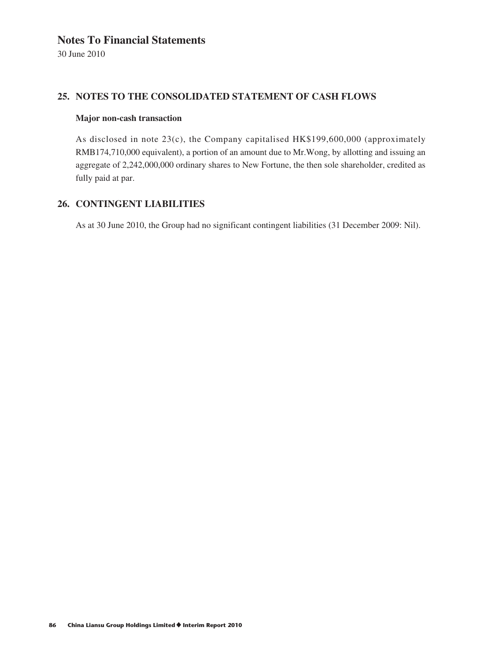30 June 2010

## **25. NOTES TO THE CONSOLIDATED STATEMENT OF CASH FLOWS**

#### **Major non-cash transaction**

As disclosed in note 23(c), the Company capitalised HK\$199,600,000 (approximately RMB174,710,000 equivalent), a portion of an amount due to Mr.Wong, by allotting and issuing an aggregate of 2,242,000,000 ordinary shares to New Fortune, the then sole shareholder, credited as fully paid at par.

## **26. CONTINGENT LIABILITIES**

As at 30 June 2010, the Group had no significant contingent liabilities (31 December 2009: Nil).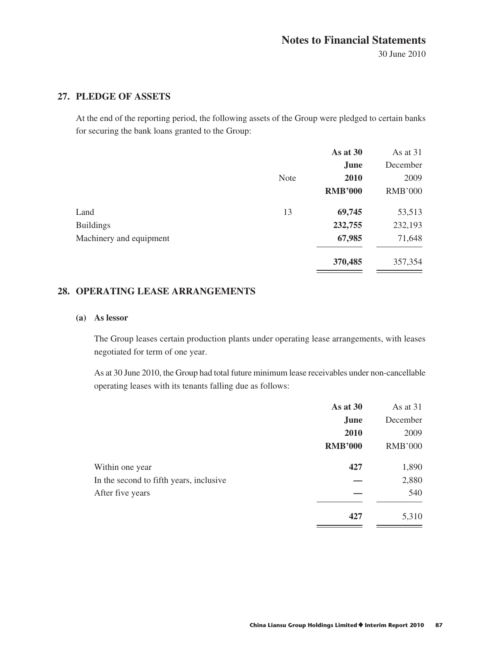30 June 2010

### **27. PLEDGE OF ASSETS**

At the end of the reporting period, the following assets of the Group were pledged to certain banks for securing the bank loans granted to the Group:

|                         |             | As at 30       | As at 31       |
|-------------------------|-------------|----------------|----------------|
|                         |             | June           | December       |
|                         | <b>Note</b> | 2010           | 2009           |
|                         |             | <b>RMB'000</b> | <b>RMB'000</b> |
| Land                    | 13          | 69,745         | 53,513         |
| <b>Buildings</b>        |             | 232,755        | 232,193        |
| Machinery and equipment |             | 67,985         | 71,648         |
|                         |             | 370,485        | 357,354        |

### **28. OPERATING LEASE ARRANGEMENTS**

### **(a) As lessor**

The Group leases certain production plants under operating lease arrangements, with leases negotiated for term of one year.

As at 30 June 2010, the Group had total future minimum lease receivables under non-cancellable operating leases with its tenants falling due as follows:

| As at 30       | As at 31       |
|----------------|----------------|
| June           | December       |
| 2010           | 2009           |
| <b>RMB'000</b> | <b>RMB'000</b> |
| 427            | 1,890          |
|                | 2,880          |
|                | 540            |
| 427            | 5,310          |
|                |                |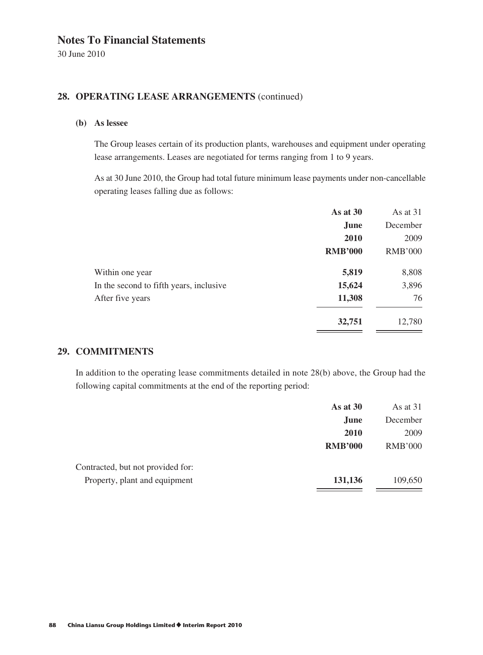30 June 2010

### **28. OPERATING LEASE ARRANGEMENTS** (continued)

#### **(b) As lessee**

The Group leases certain of its production plants, warehouses and equipment under operating lease arrangements. Leases are negotiated for terms ranging from 1 to 9 years.

As at 30 June 2010, the Group had total future minimum lease payments under non-cancellable operating leases falling due as follows:

| As at 30       | As at 31       |
|----------------|----------------|
| June           | December       |
| 2010           | 2009           |
| <b>RMB'000</b> | <b>RMB'000</b> |
| 5,819          | 8,808          |
| 15,624         | 3,896          |
| 11,308         | 76             |
| 32,751         | 12,780         |
|                |                |

### **29. COMMITMENTS**

In addition to the operating lease commitments detailed in note 28(b) above, the Group had the following capital commitments at the end of the reporting period:

|                                   | As at 30       | As at $31$     |
|-----------------------------------|----------------|----------------|
|                                   | June           | December       |
|                                   | <b>2010</b>    | 2009           |
|                                   | <b>RMB'000</b> | <b>RMB'000</b> |
| Contracted, but not provided for: |                |                |
| Property, plant and equipment     | 131,136        | 109,650        |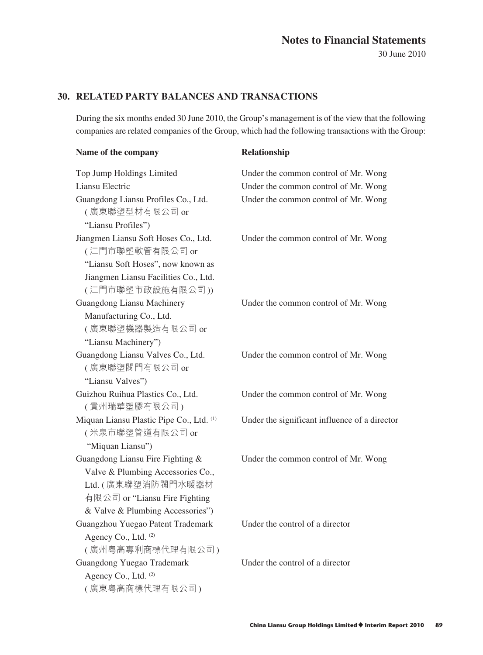30 June 2010

### **30. RELATED PARTY BALANCES AND TRANSACTIONS**

During the six months ended 30 June 2010, the Group's management is of the view that the following companies are related companies of the Group, which had the following transactions with the Group:

| Name of the company                      | Relationship                                  |
|------------------------------------------|-----------------------------------------------|
| Top Jump Holdings Limited                | Under the common control of Mr. Wong          |
| Liansu Electric                          | Under the common control of Mr. Wong          |
| Guangdong Liansu Profiles Co., Ltd.      | Under the common control of Mr. Wong          |
| (廣東聯塑型材有限公司 or                           |                                               |
| "Liansu Profiles")                       |                                               |
| Jiangmen Liansu Soft Hoses Co., Ltd.     | Under the common control of Mr. Wong          |
| (江門市聯塑軟管有限公司 or                          |                                               |
| "Liansu Soft Hoses", now known as        |                                               |
| Jiangmen Liansu Facilities Co., Ltd.     |                                               |
| (江門市聯塑市政設施有限公司))                         |                                               |
| <b>Guangdong Liansu Machinery</b>        | Under the common control of Mr. Wong          |
| Manufacturing Co., Ltd.                  |                                               |
| (廣東聯塑機器製造有限公司 or                         |                                               |
| "Liansu Machinery")                      |                                               |
| Guangdong Liansu Valves Co., Ltd.        | Under the common control of Mr. Wong          |
| (廣東聯塑閥門有限公司 or                           |                                               |
| "Liansu Valves")                         |                                               |
| Guizhou Ruihua Plastics Co., Ltd.        | Under the common control of Mr. Wong          |
| (貴州瑞華塑膠有限公司)                             |                                               |
| Miquan Liansu Plastic Pipe Co., Ltd. (1) | Under the significant influence of a director |
| (米泉市聯塑管道有限公司 or                          |                                               |
| "Miquan Liansu")                         |                                               |
| Guangdong Liansu Fire Fighting &         | Under the common control of Mr. Wong          |
| Valve & Plumbing Accessories Co.,        |                                               |
| Ltd. (廣東聯塑消防閥門水暖器材                       |                                               |
| 有限公司 or "Liansu Fire Fighting            |                                               |
| & Valve & Plumbing Accessories")         |                                               |
| Guangzhou Yuegao Patent Trademark        | Under the control of a director               |
| Agency Co., Ltd. (2)                     |                                               |
| (廣州粵高專利商標代理有限公司)                         |                                               |
| Guangdong Yuegao Trademark               | Under the control of a director               |
| Agency Co., Ltd. (2)<br>(廣東粵高商標代理有限公司)   |                                               |
|                                          |                                               |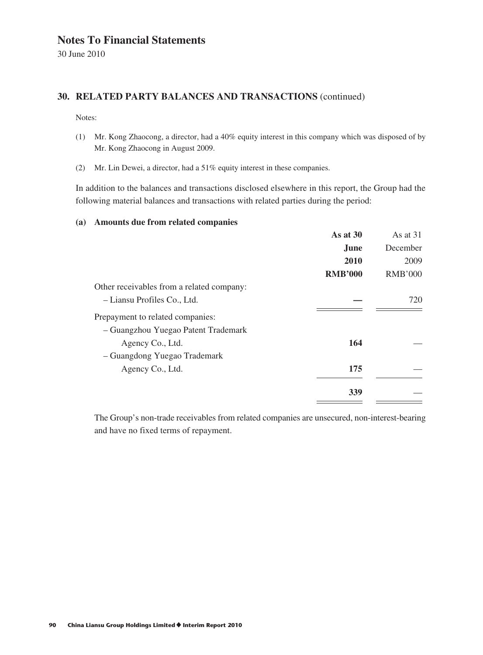30 June 2010

### **30. RELATED PARTY BALANCES AND TRANSACTIONS** (continued)

Notes:

- (1) Mr. Kong Zhaocong, a director, had a 40% equity interest in this company which was disposed of by Mr. Kong Zhaocong in August 2009.
- (2) Mr. Lin Dewei, a director, had a 51% equity interest in these companies.

In addition to the balances and transactions disclosed elsewhere in this report, the Group had the following material balances and transactions with related parties during the period:

#### **(a) Amounts due from related companies**

|                                           | As at 30       | As at $31$     |
|-------------------------------------------|----------------|----------------|
|                                           | June           | December       |
|                                           | 2010           | 2009           |
|                                           | <b>RMB'000</b> | <b>RMB'000</b> |
| Other receivables from a related company: |                |                |
| - Liansu Profiles Co., Ltd.               |                | 720            |
| Prepayment to related companies:          |                |                |
| - Guangzhou Yuegao Patent Trademark       |                |                |
| Agency Co., Ltd.                          | 164            |                |
| - Guangdong Yuegao Trademark              |                |                |
| Agency Co., Ltd.                          | 175            |                |
|                                           | 339            |                |
|                                           |                |                |

The Group's non-trade receivables from related companies are unsecured, non-interest-bearing and have no fixed terms of repayment.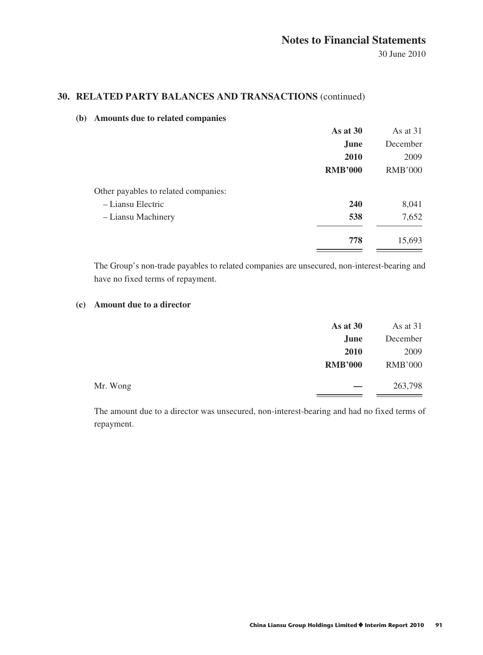30 June 2010

### **30. RELATED PARTY BALANCES AND TRANSACTIONS** (continued)

#### **(b) Amounts due to related companies**

|                                      | As at 30       | As at 31       |
|--------------------------------------|----------------|----------------|
|                                      | June           | December       |
|                                      | 2010           | 2009           |
|                                      | <b>RMB'000</b> | <b>RMB'000</b> |
| Other payables to related companies: |                |                |
| - Liansu Electric                    | <b>240</b>     | 8,041          |
| - Liansu Machinery                   | 538            | 7,652          |
|                                      | 778            | 15,693         |

The Group's non-trade payables to related companies are unsecured, non-interest-bearing and have no fixed terms of repayment.

#### **(c) Amount due to a director**

| As at $30$     | As at $31$     |
|----------------|----------------|
| June           | December       |
| 2010           | 2009           |
| <b>RMB'000</b> | <b>RMB'000</b> |
|                | 263,798        |
|                |                |

The amount due to a director was unsecured, non-interest-bearing and had no fixed terms of repayment.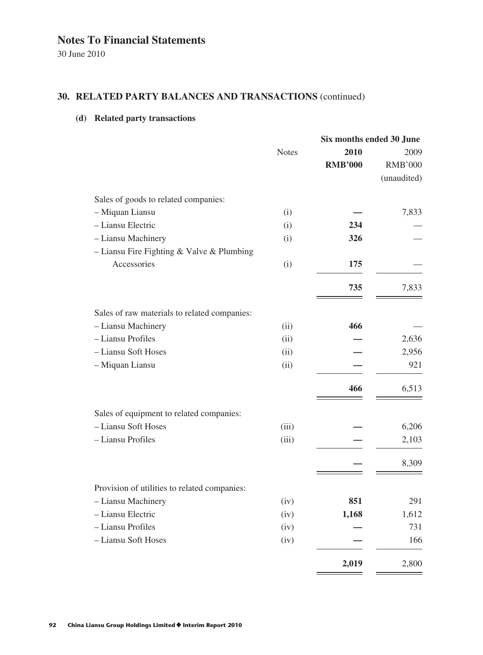30 June 2010

## **30. RELATED PARTY BALANCES AND TRANSACTIONS** (continued)

#### **(d) Related party transactions**

|                                              |              |                | Six months ended 30 June |
|----------------------------------------------|--------------|----------------|--------------------------|
|                                              | <b>Notes</b> | 2010           | 2009                     |
|                                              |              | <b>RMB'000</b> | <b>RMB'000</b>           |
|                                              |              |                | (unaudited)              |
| Sales of goods to related companies:         |              |                |                          |
| - Miquan Liansu                              | (i)          |                | 7,833                    |
| - Liansu Electric                            | (i)          | 234            |                          |
| - Liansu Machinery                           | (i)          | 326            |                          |
| $-$ Liansu Fire Fighting & Valve & Plumbing  |              |                |                          |
| Accessories                                  | (i)          | 175            |                          |
|                                              |              | 735            | 7,833                    |
| Sales of raw materials to related companies: |              |                |                          |
| - Liansu Machinery                           | (ii)         | 466            |                          |
| - Liansu Profiles                            | (ii)         |                | 2,636                    |
| - Liansu Soft Hoses                          | (ii)         |                | 2,956                    |
| - Miquan Liansu                              | (ii)         |                | 921                      |
|                                              |              | 466            | 6,513                    |
| Sales of equipment to related companies:     |              |                |                          |
| - Liansu Soft Hoses                          | (iii)        |                | 6,206                    |
| - Liansu Profiles                            | (iii)        |                | 2,103                    |
|                                              |              |                | 8,309                    |
| Provision of utilities to related companies: |              |                |                          |
| - Liansu Machinery                           | (iv)         | 851            | 291                      |
| - Liansu Electric                            | (iv)         | 1,168          | 1,612                    |
| - Liansu Profiles                            | (iv)         |                | 731                      |
| - Liansu Soft Hoses                          | (iv)         |                | 166                      |
|                                              |              | 2,019          | 2,800                    |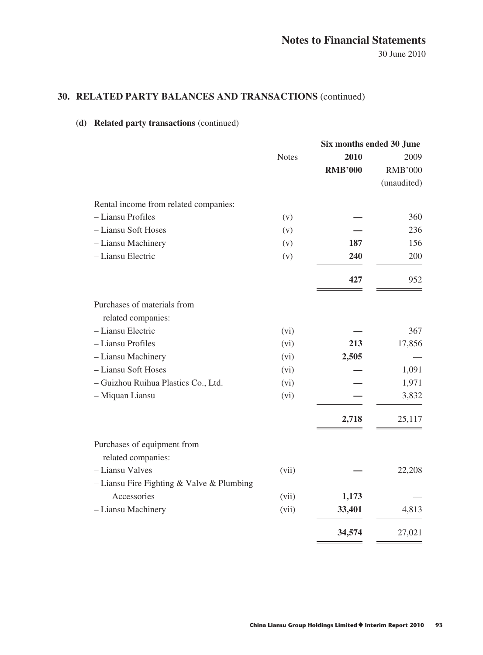30 June 2010

## **30. RELATED PARTY BALANCES AND TRANSACTIONS** (continued)

#### **(d) Related party transactions** (continued)

|                                                   |              |                | Six months ended 30 June |
|---------------------------------------------------|--------------|----------------|--------------------------|
|                                                   | <b>Notes</b> | 2010           | 2009                     |
|                                                   |              | <b>RMB'000</b> | <b>RMB'000</b>           |
|                                                   |              |                | (unaudited)              |
| Rental income from related companies:             |              |                |                          |
| - Liansu Profiles                                 | (v)          |                | 360                      |
| - Liansu Soft Hoses                               | (v)          |                | 236                      |
| - Liansu Machinery                                | (v)          | 187            | 156                      |
| - Liansu Electric                                 | (v)          | 240            | 200                      |
|                                                   |              | 427            | 952                      |
| Purchases of materials from                       |              |                |                          |
| related companies:                                |              |                |                          |
| - Liansu Electric                                 | (vi)         |                | 367                      |
| - Liansu Profiles                                 | (vi)         | 213            | 17,856                   |
| - Liansu Machinery                                | (vi)         | 2,505          |                          |
| - Liansu Soft Hoses                               | (vi)         |                | 1,091                    |
| - Guizhou Ruihua Plastics Co., Ltd.               | (vi)         |                | 1,971                    |
| - Miquan Liansu                                   | (vi)         |                | 3,832                    |
|                                                   |              | 2,718          | 25,117                   |
| Purchases of equipment from<br>related companies: |              |                |                          |
| - Liansu Valves                                   | (vii)        |                | 22,208                   |
| $-$ Liansu Fire Fighting & Valve & Plumbing       |              |                |                          |
| Accessories                                       | (vii)        | 1,173          |                          |
| - Liansu Machinery                                | (vii)        | 33,401         | 4,813                    |
|                                                   |              | 34,574         | 27,021                   |
|                                                   |              |                |                          |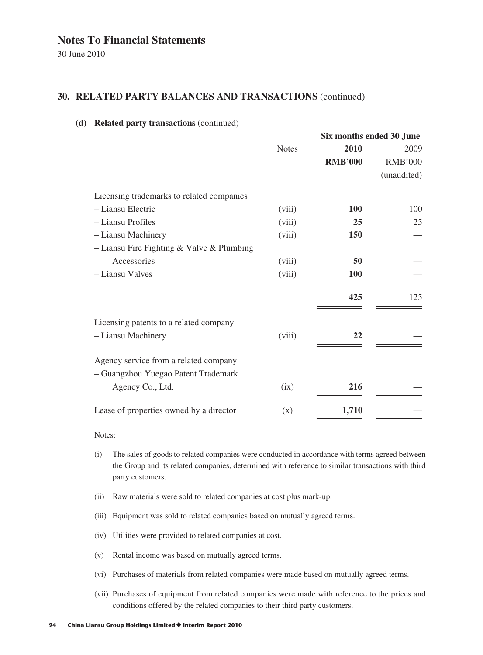30 June 2010

### **30. RELATED PARTY BALANCES AND TRANSACTIONS** (continued)

|                                             | Six months ended 30 June |                |                |
|---------------------------------------------|--------------------------|----------------|----------------|
|                                             | <b>Notes</b>             | 2010           | 2009           |
|                                             |                          | <b>RMB'000</b> | <b>RMB'000</b> |
|                                             |                          |                | (unaudited)    |
| Licensing trademarks to related companies   |                          |                |                |
| - Liansu Electric                           | (viii)                   | <b>100</b>     | 100            |
| - Liansu Profiles                           | (viii)                   | 25             | 25             |
| - Liansu Machinery                          | (viii)                   | 150            |                |
| $-$ Liansu Fire Fighting & Valve & Plumbing |                          |                |                |
| Accessories                                 | (viii)                   | 50             |                |
| - Liansu Valves                             | (viii)                   | 100            |                |
|                                             |                          | 425            | 125            |
| Licensing patents to a related company      |                          |                |                |
| - Liansu Machinery                          | (viii)                   | 22             |                |
| Agency service from a related company       |                          |                |                |
| - Guangzhou Yuegao Patent Trademark         |                          |                |                |
| Agency Co., Ltd.                            | (ix)                     | 216            |                |
| Lease of properties owned by a director     | (x)                      | 1,710          |                |
|                                             |                          |                |                |

#### **(d) Related party transactions** (continued)

Notes:

- (i) The sales of goods to related companies were conducted in accordance with terms agreed between the Group and its related companies, determined with reference to similar transactions with third party customers.
- (ii) Raw materials were sold to related companies at cost plus mark-up.
- (iii) Equipment was sold to related companies based on mutually agreed terms.
- (iv) Utilities were provided to related companies at cost.
- (v) Rental income was based on mutually agreed terms.
- (vi) Purchases of materials from related companies were made based on mutually agreed terms.
- (vii) Purchases of equipment from related companies were made with reference to the prices and conditions offered by the related companies to their third party customers.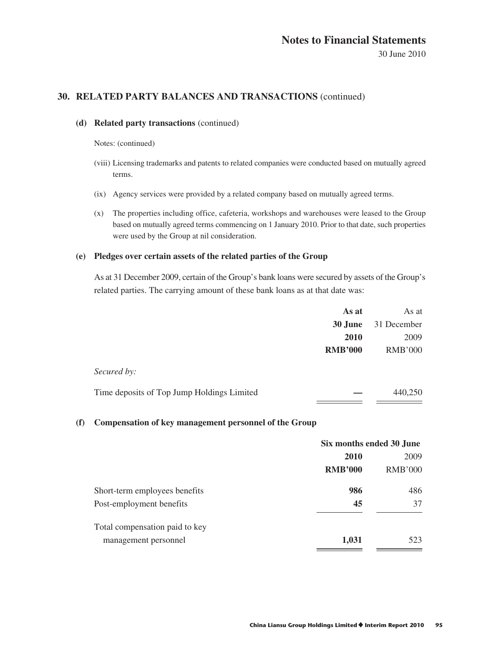30 June 2010

## **30. RELATED PARTY BALANCES AND TRANSACTIONS** (continued)

### **(d) Related party transactions** (continued)

Notes: (continued)

- (viii) Licensing trademarks and patents to related companies were conducted based on mutually agreed terms.
- (ix) Agency services were provided by a related company based on mutually agreed terms.
- (x) The properties including office, cafeteria, workshops and warehouses were leased to the Group based on mutually agreed terms commencing on 1 January 2010. Prior to that date, such properties were used by the Group at nil consideration.

#### **(e) Pledges over certain assets of the related parties of the Group**

As at 31 December 2009, certain of the Group's bank loans were secured by assets of the Group's related parties. The carrying amount of these bank loans as at that date was:

|                                            | As at          | As at          |
|--------------------------------------------|----------------|----------------|
|                                            | 30 June        | 31 December    |
|                                            | 2010           | 2009           |
|                                            | <b>RMB'000</b> | <b>RMB'000</b> |
| Secured by:                                |                |                |
| Time deposits of Top Jump Holdings Limited |                | 440,250        |

#### **(f) Compensation of key management personnel of the Group**

|                                | Six months ended 30 June |                |  |
|--------------------------------|--------------------------|----------------|--|
|                                | <b>2010</b>              |                |  |
|                                | <b>RMB'000</b>           | <b>RMB'000</b> |  |
| Short-term employees benefits  | 986                      | 486            |  |
| Post-employment benefits       | 45                       | 37             |  |
| Total compensation paid to key |                          |                |  |
| management personnel           | 1,031                    | 523            |  |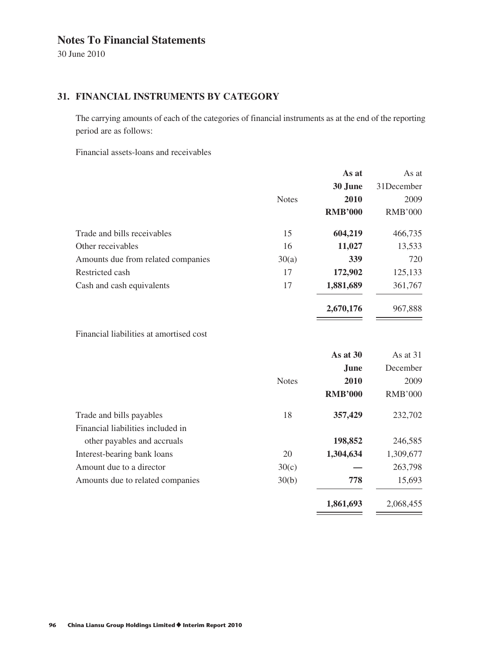30 June 2010

## **31. FINANCIAL INSTRUMENTS BY CATEGORY**

The carrying amounts of each of the categories of financial instruments as at the end of the reporting period are as follows:

Financial assets-loans and receivables

|                                    |              | As at          | As at          |
|------------------------------------|--------------|----------------|----------------|
|                                    |              | 30 June        | 31December     |
|                                    | <b>Notes</b> | 2010           | 2009           |
|                                    |              | <b>RMB'000</b> | <b>RMB'000</b> |
| Trade and bills receivables        | 15           | 604,219        | 466,735        |
| Other receivables                  | 16           | 11,027         | 13,533         |
| Amounts due from related companies | 30(a)        | 339            | 720            |
| Restricted cash                    | 17           | 172,902        | 125,133        |
| Cash and cash equivalents          | 17           | 1,881,689      | 361,767        |
|                                    |              | 2,670,176      | 967,888        |

Financial liabilities at amortised cost

|                                   |              | As at $30$     | As at $31$     |
|-----------------------------------|--------------|----------------|----------------|
|                                   |              | June           | December       |
|                                   | <b>Notes</b> | 2010           | 2009           |
|                                   |              | <b>RMB'000</b> | <b>RMB'000</b> |
| Trade and bills payables          | 18           | 357,429        | 232,702        |
| Financial liabilities included in |              |                |                |
| other payables and accruals       |              | 198,852        | 246,585        |
| Interest-bearing bank loans       | 20           | 1,304,634      | 1,309,677      |
| Amount due to a director          | 30(c)        |                | 263,798        |
| Amounts due to related companies  | 30(b)        | 778            | 15,693         |
|                                   |              | 1,861,693      | 2,068,455      |
|                                   |              |                |                |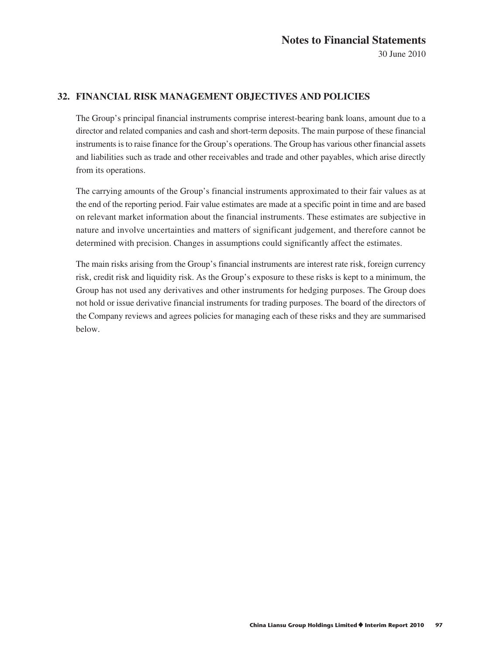### **32. FINANCIAL RISK MANAGEMENT OBJECTIVES AND POLICIES**

The Group's principal financial instruments comprise interest-bearing bank loans, amount due to a director and related companies and cash and short-term deposits. The main purpose of these financial instruments is to raise finance for the Group's operations. The Group has various other financial assets and liabilities such as trade and other receivables and trade and other payables, which arise directly from its operations.

The carrying amounts of the Group's financial instruments approximated to their fair values as at the end of the reporting period. Fair value estimates are made at a specific point in time and are based on relevant market information about the financial instruments. These estimates are subjective in nature and involve uncertainties and matters of significant judgement, and therefore cannot be determined with precision. Changes in assumptions could significantly affect the estimates.

The main risks arising from the Group's financial instruments are interest rate risk, foreign currency risk, credit risk and liquidity risk. As the Group's exposure to these risks is kept to a minimum, the Group has not used any derivatives and other instruments for hedging purposes. The Group does not hold or issue derivative financial instruments for trading purposes. The board of the directors of the Company reviews and agrees policies for managing each of these risks and they are summarised below.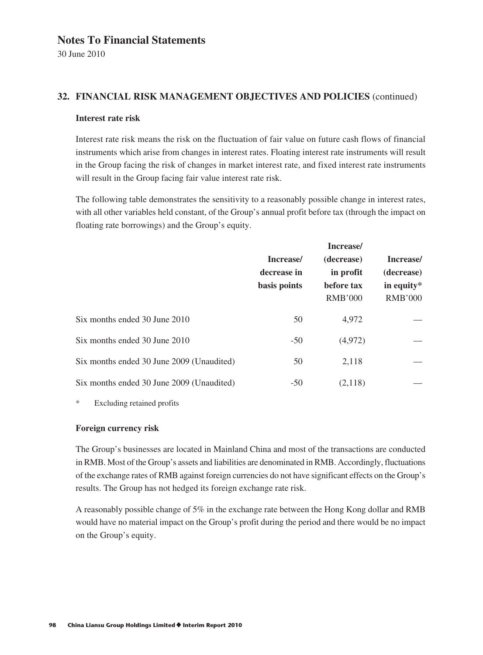30 June 2010

## **32. FINANCIAL RISK MANAGEMENT OBJECTIVES AND POLICIES** (continued)

#### **Interest rate risk**

Interest rate risk means the risk on the fluctuation of fair value on future cash flows of financial instruments which arise from changes in interest rates. Floating interest rate instruments will result in the Group facing the risk of changes in market interest rate, and fixed interest rate instruments will result in the Group facing fair value interest rate risk.

The following table demonstrates the sensitivity to a reasonably possible change in interest rates, with all other variables held constant, of the Group's annual profit before tax (through the impact on floating rate borrowings) and the Group's equity.

|                                           | Increase/<br>decrease in<br>basis points | Increase/<br>(decrease)<br>in profit<br>before tax<br><b>RMB'000</b> | Increase/<br>(decrease)<br>in equity $*$<br><b>RMB'000</b> |
|-------------------------------------------|------------------------------------------|----------------------------------------------------------------------|------------------------------------------------------------|
| Six months ended 30 June 2010             | 50                                       | 4,972                                                                |                                                            |
| Six months ended 30 June 2010             | $-50$                                    | (4,972)                                                              |                                                            |
| Six months ended 30 June 2009 (Unaudited) | 50                                       | 2,118                                                                |                                                            |
| Six months ended 30 June 2009 (Unaudited) | $-50$                                    | (2,118)                                                              |                                                            |

\* Excluding retained profits

#### **Foreign currency risk**

The Group's businesses are located in Mainland China and most of the transactions are conducted in RMB. Most of the Group's assets and liabilities are denominated in RMB. Accordingly, fluctuations of the exchange rates of RMB against foreign currencies do not have significant effects on the Group's results. The Group has not hedged its foreign exchange rate risk.

A reasonably possible change of 5% in the exchange rate between the Hong Kong dollar and RMB would have no material impact on the Group's profit during the period and there would be no impact on the Group's equity.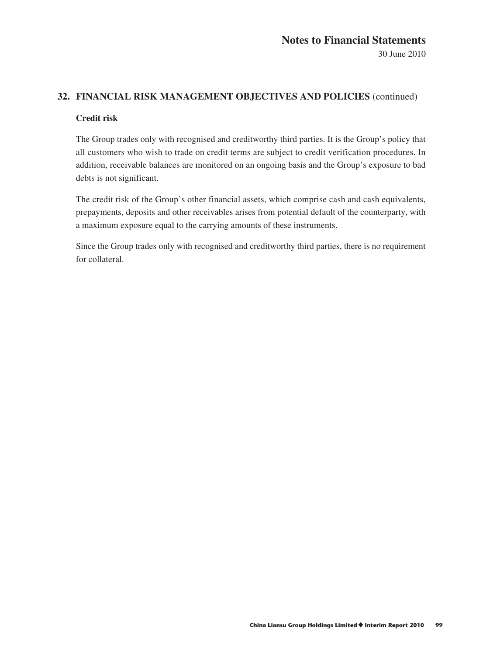30 June 2010

### **32. FINANCIAL RISK MANAGEMENT OBJECTIVES AND POLICIES** (continued)

#### **Credit risk**

The Group trades only with recognised and creditworthy third parties. It is the Group's policy that all customers who wish to trade on credit terms are subject to credit verification procedures. In addition, receivable balances are monitored on an ongoing basis and the Group's exposure to bad debts is not significant.

The credit risk of the Group's other financial assets, which comprise cash and cash equivalents, prepayments, deposits and other receivables arises from potential default of the counterparty, with a maximum exposure equal to the carrying amounts of these instruments.

Since the Group trades only with recognised and creditworthy third parties, there is no requirement for collateral.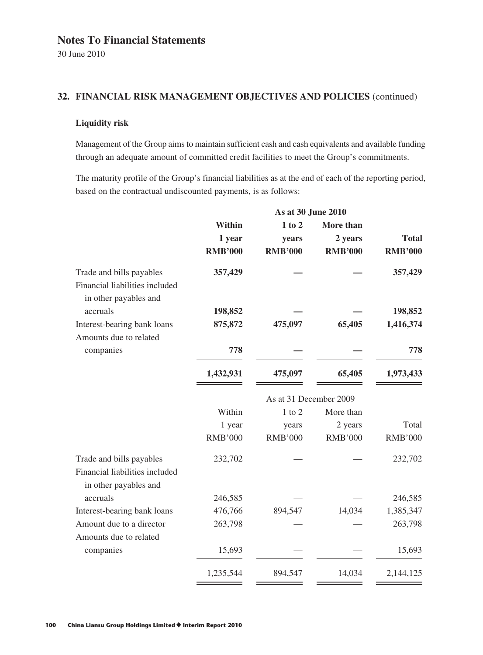30 June 2010

### **32. FINANCIAL RISK MANAGEMENT OBJECTIVES AND POLICIES** (continued)

#### **Liquidity risk**

Management of the Group aims to maintain sufficient cash and cash equivalents and available funding through an adequate amount of committed credit facilities to meet the Group's commitments.

The maturity profile of the Group's financial liabilities as at the end of each of the reporting period, based on the contractual undiscounted payments, is as follows:

|                                                                                     | As at 30 June 2010                 |                                       |                                        |                                |
|-------------------------------------------------------------------------------------|------------------------------------|---------------------------------------|----------------------------------------|--------------------------------|
|                                                                                     | Within<br>1 year<br><b>RMB'000</b> | $1$ to $2$<br>years<br><b>RMB'000</b> | More than<br>2 years<br><b>RMB'000</b> | <b>Total</b><br><b>RMB'000</b> |
| Trade and bills payables<br>Financial liabilities included                          | 357,429                            |                                       |                                        | 357,429                        |
| in other payables and<br>accruals                                                   | 198,852                            |                                       |                                        | 198,852                        |
| Interest-bearing bank loans                                                         | 875,872                            | 475,097                               | 65,405                                 | 1,416,374                      |
| Amounts due to related                                                              |                                    |                                       |                                        |                                |
| companies                                                                           | 778                                |                                       |                                        | 778                            |
|                                                                                     | 1,432,931                          | 475,097                               | 65,405                                 | 1,973,433                      |
|                                                                                     |                                    | As at 31 December 2009                |                                        |                                |
|                                                                                     | Within                             | $1$ to $2$                            | More than                              |                                |
|                                                                                     | 1 year                             | years                                 | 2 years                                | Total                          |
|                                                                                     | <b>RMB'000</b>                     | <b>RMB'000</b>                        | <b>RMB'000</b>                         | <b>RMB'000</b>                 |
| Trade and bills payables<br>Financial liabilities included<br>in other payables and | 232,702                            |                                       |                                        | 232,702                        |
| accruals                                                                            | 246,585                            |                                       |                                        | 246,585                        |
| Interest-bearing bank loans                                                         | 476,766                            | 894,547                               | 14,034                                 | 1,385,347                      |
| Amount due to a director<br>Amounts due to related                                  | 263,798                            |                                       |                                        | 263,798                        |
| companies                                                                           | 15,693                             |                                       |                                        | 15,693                         |
|                                                                                     | 1,235,544                          | 894,547                               | 14,034                                 | 2,144,125                      |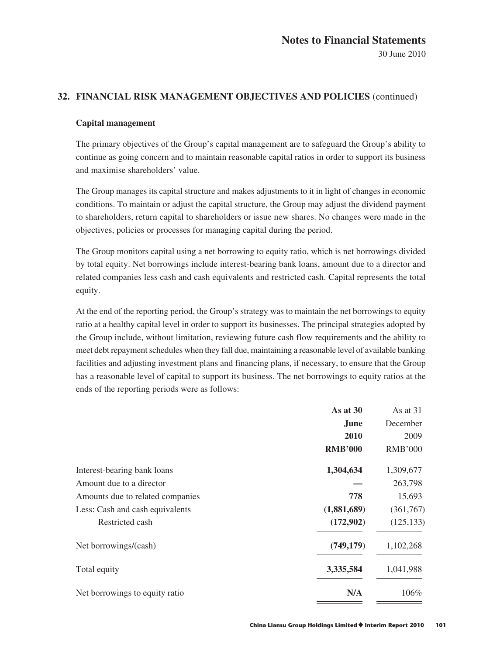### **32. FINANCIAL RISK MANAGEMENT OBJECTIVES AND POLICIES** (continued)

#### **Capital management**

The primary objectives of the Group's capital management are to safeguard the Group's ability to continue as going concern and to maintain reasonable capital ratios in order to support its business and maximise shareholders' value.

The Group manages its capital structure and makes adjustments to it in light of changes in economic conditions. To maintain or adjust the capital structure, the Group may adjust the dividend payment to shareholders, return capital to shareholders or issue new shares. No changes were made in the objectives, policies or processes for managing capital during the period.

The Group monitors capital using a net borrowing to equity ratio, which is net borrowings divided by total equity. Net borrowings include interest-bearing bank loans, amount due to a director and related companies less cash and cash equivalents and restricted cash. Capital represents the total equity.

At the end of the reporting period, the Group's strategy was to maintain the net borrowings to equity ratio at a healthy capital level in order to support its businesses. The principal strategies adopted by the Group include, without limitation, reviewing future cash flow requirements and the ability to meet debt repayment schedules when they fall due, maintaining a reasonable level of available banking facilities and adjusting investment plans and financing plans, if necessary, to ensure that the Group has a reasonable level of capital to support its business. The net borrowings to equity ratios at the ends of the reporting periods were as follows:

|                                  | As at 30       | As at $31$     |
|----------------------------------|----------------|----------------|
|                                  | June           | December       |
|                                  | 2010           | 2009           |
|                                  | <b>RMB'000</b> | <b>RMB'000</b> |
| Interest-bearing bank loans      | 1,304,634      | 1,309,677      |
| Amount due to a director         |                | 263,798        |
| Amounts due to related companies | 778            | 15,693         |
| Less: Cash and cash equivalents  | (1,881,689)    | (361,767)      |
| Restricted cash                  | (172,902)      | (125, 133)     |
| Net borrowings/(cash)            | (749, 179)     | 1,102,268      |
| Total equity                     | 3,335,584      | 1,041,988      |
| Net borrowings to equity ratio   | N/A            | 106%           |
|                                  |                |                |